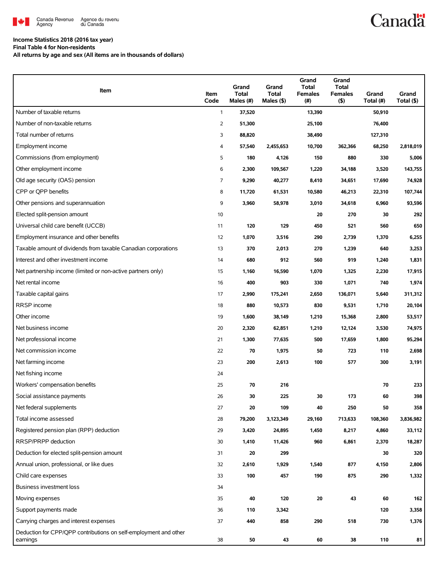

### **Income Statistics 2018 (2016 tax year)**

**Final Table 4 for Non-residents**

**All returns by age and sex (All items are in thousands of dollars)**

| Item                                                                         | Item<br>Code | Grand<br><b>Total</b><br>Males (#) | Grand<br><b>Total</b><br>Males (\$) | Grand<br><b>Total</b><br><b>Females</b><br>(#) | Grand<br><b>Total</b><br><b>Females</b><br>$($ \$) | Grand<br>Total (#) | Grand<br>Total (\$) |
|------------------------------------------------------------------------------|--------------|------------------------------------|-------------------------------------|------------------------------------------------|----------------------------------------------------|--------------------|---------------------|
| Number of taxable returns                                                    | $\mathbf{1}$ | 37,520                             |                                     | 13,390                                         |                                                    | 50,910             |                     |
| Number of non-taxable returns                                                | 2            | 51,300                             |                                     | 25,100                                         |                                                    | 76,400             |                     |
| Total number of returns                                                      | 3            | 88,820                             |                                     | 38,490                                         |                                                    | 127,310            |                     |
| Employment income                                                            | 4            | 57,540                             | 2,455,653                           | 10,700                                         | 362,366                                            | 68,250             | 2,818,019           |
| Commissions (from employment)                                                | 5            | 180                                | 4,126                               | 150                                            | 880                                                | 330                | 5,006               |
| Other employment income                                                      | 6            | 2,300                              | 109,567                             | 1,220                                          | 34,188                                             | 3,520              | 143,755             |
| Old age security (OAS) pension                                               | 7            | 9,290                              | 40,277                              | 8,410                                          | 34,651                                             | 17,690             | 74,928              |
| CPP or OPP benefits                                                          | 8            | 11,720                             | 61,531                              | 10,580                                         | 46,213                                             | 22,310             | 107,744             |
| Other pensions and superannuation                                            | 9            | 3,960                              | 58,978                              | 3,010                                          | 34,618                                             | 6,960              | 93,596              |
| Elected split-pension amount                                                 | 10           |                                    |                                     | 20                                             | 270                                                | 30                 | 292                 |
| Universal child care benefit (UCCB)                                          | 11           | 120                                | 129                                 | 450                                            | 521                                                | 560                | 650                 |
| Employment insurance and other benefits                                      | 12           | 1,070                              | 3,516                               | 290                                            | 2,739                                              | 1,370              | 6,255               |
| Taxable amount of dividends from taxable Canadian corporations               | 13           | 370                                | 2,013                               | 270                                            | 1,239                                              | 640                | 3,253               |
| Interest and other investment income                                         | 14           | 680                                | 912                                 | 560                                            | 919                                                | 1,240              | 1,831               |
| Net partnership income (limited or non-active partners only)                 | 15           | 1,160                              | 16,590                              | 1,070                                          | 1,325                                              | 2,230              | 17,915              |
| Net rental income                                                            | 16           | 400                                | 903                                 | 330                                            | 1,071                                              | 740                | 1,974               |
| Taxable capital gains                                                        | 17           | 2,990                              | 175,241                             | 2,650                                          | 136,071                                            | 5,640              | 311,312             |
| RRSP income                                                                  | 18           | 880                                | 10,573                              | 830                                            | 9,531                                              | 1,710              | 20,104              |
| Other income                                                                 | 19           | 1,600                              | 38,149                              | 1,210                                          | 15,368                                             | 2,800              | 53,517              |
| Net business income                                                          | 20           | 2,320                              | 62,851                              | 1,210                                          | 12,124                                             | 3,530              | 74,975              |
| Net professional income                                                      | 21           | 1,300                              | 77,635                              | 500                                            | 17,659                                             | 1,800              | 95,294              |
| Net commission income                                                        | 22           | 70                                 | 1,975                               | 50                                             | 723                                                | 110                | 2,698               |
| Net farming income                                                           | 23           | 200                                | 2,613                               | 100                                            | 577                                                | 300                | 3,191               |
| Net fishing income                                                           | 24           |                                    |                                     |                                                |                                                    |                    |                     |
| Workers' compensation benefits                                               | 25           | 70                                 | 216                                 |                                                |                                                    | 70                 | 233                 |
| Social assistance payments                                                   | 26           | 30                                 | 225                                 | 30                                             | 173                                                | 60                 | 398                 |
| Net federal supplements                                                      | 27           | 20                                 | 109                                 | 40                                             | 250                                                | 50                 | 358                 |
| Total income assessed                                                        | 28           | 79,200                             | 3,123,349                           | 29,160                                         | 713,633                                            | 108,360            | 3,836,982           |
| Registered pension plan (RPP) deduction                                      | 29           | 3,420                              | 24,895                              | 1,450                                          | 8,217                                              | 4,860              | 33,112              |
| RRSP/PRPP deduction                                                          | 30           | 1,410                              | 11,426                              | 960                                            | 6,861                                              | 2,370              | 18,287              |
| Deduction for elected split-pension amount                                   | 31           | 20                                 | 299                                 |                                                |                                                    | 30                 | 320                 |
| Annual union, professional, or like dues                                     | 32           | 2,610                              | 1,929                               | 1,540                                          | 877                                                | 4,150              | 2,806               |
| Child care expenses                                                          | 33           | 100                                | 457                                 | 190                                            | 875                                                | 290                | 1,332               |
| Business investment loss                                                     | 34           |                                    |                                     |                                                |                                                    |                    |                     |
| Moving expenses                                                              | 35           | 40                                 | 120                                 | 20                                             | 43                                                 | 60                 | 162                 |
| Support payments made                                                        | 36           | 110                                | 3,342                               |                                                |                                                    | 120                | 3,358               |
| Carrying charges and interest expenses                                       | 37           | 440                                | 858                                 | 290                                            | 518                                                | 730                | 1,376               |
| Deduction for CPP/QPP contributions on self-employment and other<br>earnings | 38           | 50                                 | 43                                  | 60                                             | 38                                                 | 110                | 81                  |

**Canadä**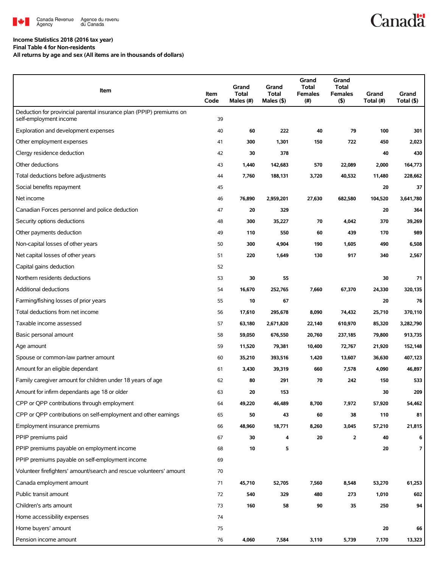

# **Income Statistics 2018 (2016 tax year)**

**Final Table 4 for Non-residents**

**All returns by age and sex (All items are in thousands of dollars)**

| Item                                                                                          | Item<br>Code | Grand<br><b>Total</b><br>Males (#) | Grand<br><b>Total</b><br>Males (\$) | Grand<br><b>Total</b><br><b>Females</b><br>(#) | Grand<br><b>Total</b><br><b>Females</b><br>$($ \$) | Grand<br>Total (#) | Grand<br>Total (\$) |
|-----------------------------------------------------------------------------------------------|--------------|------------------------------------|-------------------------------------|------------------------------------------------|----------------------------------------------------|--------------------|---------------------|
| Deduction for provincial parental insurance plan (PPIP) premiums on<br>self-employment income | 39           |                                    |                                     |                                                |                                                    |                    |                     |
| Exploration and development expenses                                                          | 40           | 60                                 | 222                                 | 40                                             | 79                                                 | 100                | 301                 |
| Other employment expenses                                                                     | 41           | 300                                | 1,301                               | 150                                            | 722                                                | 450                | 2,023               |
| Clergy residence deduction                                                                    | 42           | 30                                 | 378                                 |                                                |                                                    | 40                 | 430                 |
| Other deductions                                                                              | 43           | 1,440                              | 142,683                             | 570                                            | 22,089                                             | 2,000              | 164,773             |
| Total deductions before adjustments                                                           | 44           | 7,760                              | 188,131                             | 3,720                                          | 40,532                                             | 11,480             | 228,662             |
| Social benefits repayment                                                                     | 45           |                                    |                                     |                                                |                                                    | 20                 | 37                  |
| Net income                                                                                    | 46           | 76,890                             | 2,959,201                           | 27,630                                         | 682,580                                            | 104,520            | 3,641,780           |
| Canadian Forces personnel and police deduction                                                | 47           | 20                                 | 329                                 |                                                |                                                    | 20                 | 364                 |
| Security options deductions                                                                   | 48           | 300                                | 35,227                              | 70                                             | 4,042                                              | 370                | 39,269              |
| Other payments deduction                                                                      | 49           | 110                                | 550                                 | 60                                             | 439                                                | 170                | 989                 |
| Non-capital losses of other years                                                             | 50           | 300                                | 4,904                               | 190                                            | 1,605                                              | 490                | 6,508               |
| Net capital losses of other years                                                             | 51           | 220                                | 1,649                               | 130                                            | 917                                                | 340                | 2,567               |
| Capital gains deduction                                                                       | 52           |                                    |                                     |                                                |                                                    |                    |                     |
| Northern residents deductions                                                                 | 53           | 30                                 | 55                                  |                                                |                                                    | 30                 | 71                  |
| Additional deductions                                                                         | 54           | 16,670                             | 252,765                             | 7,660                                          | 67,370                                             | 24,330             | 320,135             |
| Farming/fishing losses of prior years                                                         | 55           | 10                                 | 67                                  |                                                |                                                    | 20                 | 76                  |
| Total deductions from net income                                                              | 56           | 17,610                             | 295,678                             | 8,090                                          | 74,432                                             | 25,710             | 370,110             |
| Taxable income assessed                                                                       | 57           | 63,180                             | 2,671,820                           | 22,140                                         | 610,970                                            | 85,320             | 3,282,790           |
| Basic personal amount                                                                         | 58           | 59,050                             | 676,550                             | 20,760                                         | 237,185                                            | 79,800             | 913,735             |
| Age amount                                                                                    | 59           | 11,520                             | 79,381                              | 10,400                                         | 72,767                                             | 21,920             | 152,148             |
| Spouse or common-law partner amount                                                           | 60           | 35,210                             | 393,516                             | 1,420                                          | 13,607                                             | 36,630             | 407,123             |
| Amount for an eligible dependant                                                              | 61           | 3,430                              | 39,319                              | 660                                            | 7,578                                              | 4,090              | 46,897              |
| Family caregiver amount for children under 18 years of age                                    | 62           | 80                                 | 291                                 | 70                                             | 242                                                | 150                | 533                 |
| Amount for infirm dependants age 18 or older                                                  | 63           | 20                                 | 153                                 |                                                |                                                    | 30                 | 209                 |
| CPP or QPP contributions through employment                                                   | 64           | 49,220                             | 46,489                              | 8,700                                          | 7,972                                              | 57,920             | 54,462              |
| CPP or QPP contributions on self-employment and other earnings                                | 65           | 50                                 | 43                                  | 60                                             | 38                                                 | 110                | 81                  |
| Employment insurance premiums                                                                 | 66           | 48,960                             | 18,771                              | 8,260                                          | 3,045                                              | 57,210             | 21,815              |
| PPIP premiums paid                                                                            | 67           | 30                                 | 4                                   | 20                                             | $\overline{2}$                                     | 40                 | 6                   |
| PPIP premiums payable on employment income                                                    | 68           | 10                                 | 5                                   |                                                |                                                    | 20                 | $\overline{7}$      |
| PPIP premiums payable on self-employment income                                               | 69           |                                    |                                     |                                                |                                                    |                    |                     |
| Volunteer firefighters' amount/search and rescue volunteers' amount                           | 70           |                                    |                                     |                                                |                                                    |                    |                     |
| Canada employment amount                                                                      | 71           | 45,710                             | 52,705                              | 7,560                                          | 8,548                                              | 53,270             | 61,253              |
| Public transit amount                                                                         | 72           | 540                                | 329                                 | 480                                            | 273                                                | 1,010              | 602                 |
| Children's arts amount                                                                        | 73           | 160                                | 58                                  | 90                                             | 35                                                 | 250                | 94                  |
| Home accessibility expenses                                                                   | 74           |                                    |                                     |                                                |                                                    |                    |                     |
| Home buyers' amount                                                                           | 75           |                                    |                                     |                                                |                                                    | 20                 | 66                  |
| Pension income amount                                                                         | 76           | 4,060                              | 7,584                               | 3,110                                          | 5,739                                              | 7,170              | 13,323              |

**Canadä**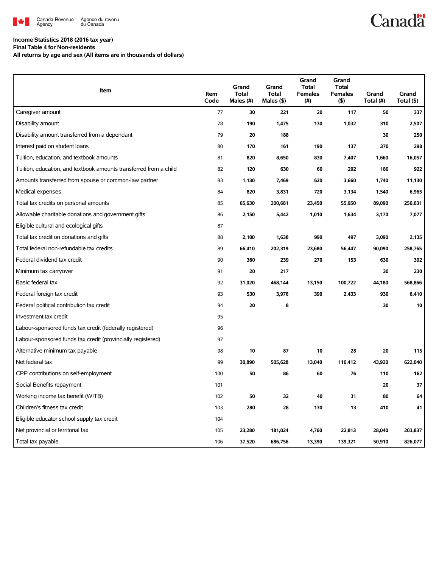

# **Canadä**

## **Income Statistics 2018 (2016 tax year)**

**Final Table 4 for Non-residents**

**All returns by age and sex (All items are in thousands of dollars)**

| Item                                                              | Item<br>Code | Grand<br><b>Total</b><br>Males (#) | Grand<br><b>Total</b><br>Males (\$) | Grand<br><b>Total</b><br><b>Females</b><br>(# ) | Grand<br><b>Total</b><br><b>Females</b><br>$($ \$) | Grand<br>Total (#) | Grand<br>Total (\$) |
|-------------------------------------------------------------------|--------------|------------------------------------|-------------------------------------|-------------------------------------------------|----------------------------------------------------|--------------------|---------------------|
| Caregiver amount                                                  | 77           | 30                                 | 221                                 | 20                                              | 117                                                | 50                 | 337                 |
| Disability amount                                                 | 78           | 190                                | 1,475                               | 130                                             | 1,032                                              | 310                | 2,507               |
| Disability amount transferred from a dependant                    | 79           | 20                                 | 188                                 |                                                 |                                                    | 30                 | 250                 |
| Interest paid on student loans                                    | 80           | 170                                | 161                                 | 190                                             | 137                                                | 370                | 298                 |
| Tuition, education, and textbook amounts                          | 81           | 820                                | 8,650                               | 830                                             | 7,407                                              | 1,660              | 16,057              |
| Tuition, education, and textbook amounts transferred from a child | 82           | 120                                | 630                                 | 60                                              | 292                                                | 180                | 922                 |
| Amounts transferred from spouse or common-law partner             | 83           | 1,130                              | 7,469                               | 620                                             | 3,660                                              | 1,740              | 11,130              |
| Medical expenses                                                  | 84           | 820                                | 3,831                               | 720                                             | 3,134                                              | 1,540              | 6,965               |
| Total tax credits on personal amounts                             | 85           | 65,630                             | 200,681                             | 23,450                                          | 55,950                                             | 89,090             | 256,631             |
| Allowable charitable donations and government gifts               | 86           | 2,150                              | 5,442                               | 1,010                                           | 1,634                                              | 3,170              | 7,077               |
| Eligible cultural and ecological gifts                            | 87           |                                    |                                     |                                                 |                                                    |                    |                     |
| Total tax credit on donations and gifts                           | 88           | 2,100                              | 1,638                               | 990                                             | 497                                                | 3,090              | 2,135               |
| Total federal non-refundable tax credits                          | 89           | 66,410                             | 202,319                             | 23,680                                          | 56,447                                             | 90,090             | 258,765             |
| Federal dividend tax credit                                       | 90           | 360                                | 239                                 | 270                                             | 153                                                | 630                | 392                 |
| Minimum tax carryover                                             | 91           | 20                                 | 217                                 |                                                 |                                                    | 30                 | 230                 |
| Basic federal tax                                                 | 92           | 31,020                             | 468,144                             | 13,150                                          | 100,722                                            | 44,180             | 568,866             |
| Federal foreign tax credit                                        | 93           | 530                                | 3,976                               | 390                                             | 2,433                                              | 930                | 6,410               |
| Federal political contribution tax credit                         | 94           | 20                                 | 8                                   |                                                 |                                                    | 30                 | 10                  |
| Investment tax credit                                             | 95           |                                    |                                     |                                                 |                                                    |                    |                     |
| Labour-sponsored funds tax credit (federally registered)          | 96           |                                    |                                     |                                                 |                                                    |                    |                     |
| Labour-sponsored funds tax credit (provincially registered)       | 97           |                                    |                                     |                                                 |                                                    |                    |                     |
| Alternative minimum tax payable                                   | 98           | 10                                 | 87                                  | 10                                              | 28                                                 | 20                 | 115                 |
| Net federal tax                                                   | 99           | 30,890                             | 505,628                             | 13,040                                          | 116,412                                            | 43,920             | 622,040             |
| CPP contributions on self-employment                              | 100          | 50                                 | 86                                  | 60                                              | 76                                                 | 110                | 162                 |
| Social Benefits repayment                                         | 101          |                                    |                                     |                                                 |                                                    | 20                 | 37                  |
| Working income tax benefit (WITB)                                 | 102          | 50                                 | 32                                  | 40                                              | 31                                                 | 80                 | 64                  |
| Children's fitness tax credit                                     | 103          | 280                                | 28                                  | 130                                             | 13                                                 | 410                | 41                  |
| Eligible educator school supply tax credit                        | 104          |                                    |                                     |                                                 |                                                    |                    |                     |
| Net provincial or territorial tax                                 | 105          | 23,280                             | 181,024                             | 4,760                                           | 22,813                                             | 28,040             | 203,837             |
| Total tax payable                                                 | 106          | 37,520                             | 686,756                             | 13,390                                          | 139,321                                            | 50,910             | 826,077             |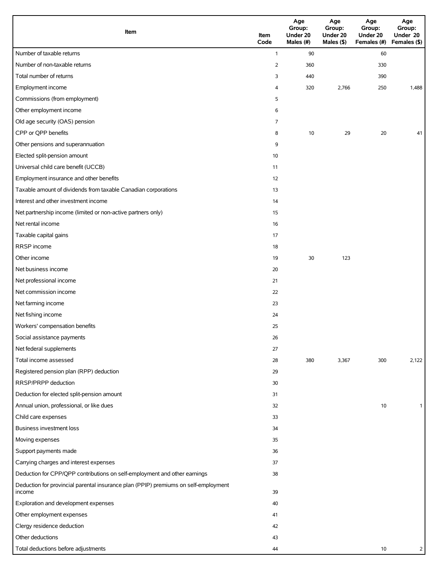| Item                                                                                          | Item<br>Code   | Age<br>Group:<br>Under 20<br>Males (#) | Age<br>Group:<br>Under 20<br>Males (\$) | Age<br>Group:<br>Under 20<br>Females (#) | Age<br>Group:<br>Under 20<br>Females (\$) |
|-----------------------------------------------------------------------------------------------|----------------|----------------------------------------|-----------------------------------------|------------------------------------------|-------------------------------------------|
| Number of taxable returns                                                                     | $\mathbf{1}$   | 90                                     |                                         | 60                                       |                                           |
| Number of non-taxable returns                                                                 | $\overline{2}$ | 360                                    |                                         | 330                                      |                                           |
| Total number of returns                                                                       | 3              | 440                                    |                                         | 390                                      |                                           |
| Employment income                                                                             | 4              | 320                                    | 2,766                                   | 250                                      | 1,488                                     |
| Commissions (from employment)                                                                 | 5              |                                        |                                         |                                          |                                           |
| Other employment income                                                                       | 6              |                                        |                                         |                                          |                                           |
| Old age security (OAS) pension                                                                | 7              |                                        |                                         |                                          |                                           |
| CPP or QPP benefits                                                                           | 8              | 10                                     | 29                                      | 20                                       | 41                                        |
| Other pensions and superannuation                                                             | 9              |                                        |                                         |                                          |                                           |
| Elected split-pension amount                                                                  | 10             |                                        |                                         |                                          |                                           |
| Universal child care benefit (UCCB)                                                           | 11             |                                        |                                         |                                          |                                           |
| Employment insurance and other benefits                                                       | 12             |                                        |                                         |                                          |                                           |
| Taxable amount of dividends from taxable Canadian corporations                                | 13             |                                        |                                         |                                          |                                           |
| Interest and other investment income                                                          | 14             |                                        |                                         |                                          |                                           |
| Net partnership income (limited or non-active partners only)                                  | 15             |                                        |                                         |                                          |                                           |
| Net rental income                                                                             | 16             |                                        |                                         |                                          |                                           |
| Taxable capital gains                                                                         | 17             |                                        |                                         |                                          |                                           |
| RRSP income                                                                                   | 18             |                                        |                                         |                                          |                                           |
| Other income                                                                                  | 19             | 30                                     | 123                                     |                                          |                                           |
| Net business income                                                                           | 20             |                                        |                                         |                                          |                                           |
| Net professional income                                                                       | 21             |                                        |                                         |                                          |                                           |
| Net commission income                                                                         | 22             |                                        |                                         |                                          |                                           |
| Net farming income                                                                            | 23             |                                        |                                         |                                          |                                           |
| Net fishing income                                                                            | 24             |                                        |                                         |                                          |                                           |
| Workers' compensation benefits                                                                | 25             |                                        |                                         |                                          |                                           |
| Social assistance payments                                                                    | 26             |                                        |                                         |                                          |                                           |
| Net federal supplements                                                                       | 27             |                                        |                                         |                                          |                                           |
| Total income assessed                                                                         | 28             | 380                                    | 3,367                                   | 300                                      | 2,122                                     |
| Registered pension plan (RPP) deduction                                                       | 29             |                                        |                                         |                                          |                                           |
| RRSP/PRPP deduction                                                                           | 30             |                                        |                                         |                                          |                                           |
| Deduction for elected split-pension amount                                                    | 31             |                                        |                                         |                                          |                                           |
| Annual union, professional, or like dues                                                      | 32             |                                        |                                         | 10                                       | $\mathbf{1}$                              |
| Child care expenses                                                                           | 33             |                                        |                                         |                                          |                                           |
| Business investment loss                                                                      | 34             |                                        |                                         |                                          |                                           |
| Moving expenses                                                                               | 35             |                                        |                                         |                                          |                                           |
| Support payments made                                                                         | 36             |                                        |                                         |                                          |                                           |
| Carrying charges and interest expenses                                                        | 37             |                                        |                                         |                                          |                                           |
| Deduction for CPP/QPP contributions on self-employment and other earnings                     | 38             |                                        |                                         |                                          |                                           |
| Deduction for provincial parental insurance plan (PPIP) premiums on self-employment<br>income | 39             |                                        |                                         |                                          |                                           |
| Exploration and development expenses                                                          | 40             |                                        |                                         |                                          |                                           |
| Other employment expenses                                                                     | 41             |                                        |                                         |                                          |                                           |
| Clergy residence deduction                                                                    | 42             |                                        |                                         |                                          |                                           |
| Other deductions                                                                              | 43             |                                        |                                         |                                          |                                           |
| Total deductions before adjustments                                                           | 44             |                                        |                                         | 10                                       | $\overline{2}$                            |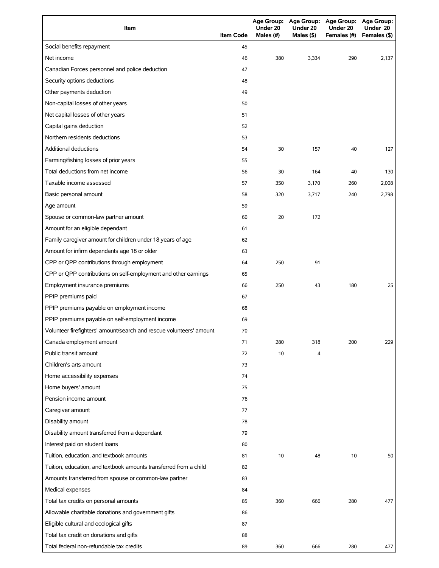| Item                                                                | <b>Item Code</b> | Under 20<br>Males (#) | Under 20<br>Males (\$) | Age Group: Age Group: Age Group: Age Group:<br>Under 20<br>Females (#) | Under 20<br>Females (\$) |
|---------------------------------------------------------------------|------------------|-----------------------|------------------------|------------------------------------------------------------------------|--------------------------|
| Social benefits repayment                                           | 45               |                       |                        |                                                                        |                          |
| Net income                                                          | 46               | 380                   | 3,334                  | 290                                                                    | 2,137                    |
| Canadian Forces personnel and police deduction                      | 47               |                       |                        |                                                                        |                          |
| Security options deductions                                         | 48               |                       |                        |                                                                        |                          |
| Other payments deduction                                            | 49               |                       |                        |                                                                        |                          |
| Non-capital losses of other years                                   | 50               |                       |                        |                                                                        |                          |
| Net capital losses of other years                                   | 51               |                       |                        |                                                                        |                          |
| Capital gains deduction                                             | 52               |                       |                        |                                                                        |                          |
| Northern residents deductions                                       | 53               |                       |                        |                                                                        |                          |
| Additional deductions                                               | 54               | 30                    | 157                    | 40                                                                     | 127                      |
| Farming/fishing losses of prior years                               | 55               |                       |                        |                                                                        |                          |
| Total deductions from net income                                    | 56               | 30                    | 164                    | 40                                                                     | 130                      |
| Taxable income assessed                                             | 57               | 350                   | 3,170                  | 260                                                                    | 2,008                    |
| Basic personal amount                                               | 58               | 320                   | 3,717                  | 240                                                                    | 2,798                    |
| Age amount                                                          | 59               |                       |                        |                                                                        |                          |
| Spouse or common-law partner amount                                 | 60               | 20                    | 172                    |                                                                        |                          |
| Amount for an eligible dependant                                    | 61               |                       |                        |                                                                        |                          |
| Family caregiver amount for children under 18 years of age          | 62               |                       |                        |                                                                        |                          |
| Amount for infirm dependants age 18 or older                        | 63               |                       |                        |                                                                        |                          |
| CPP or QPP contributions through employment                         | 64               | 250                   | 91                     |                                                                        |                          |
| CPP or QPP contributions on self-employment and other earnings      | 65               |                       |                        |                                                                        |                          |
| Employment insurance premiums                                       | 66               | 250                   | 43                     | 180                                                                    | 25                       |
| PPIP premiums paid                                                  | 67               |                       |                        |                                                                        |                          |
| PPIP premiums payable on employment income                          | 68               |                       |                        |                                                                        |                          |
| PPIP premiums payable on self-employment income                     | 69               |                       |                        |                                                                        |                          |
| Volunteer firefighters' amount/search and rescue volunteers' amount | 70               |                       |                        |                                                                        |                          |
| Canada employment amount                                            | 71               | 280                   | 318                    | 200                                                                    | 229                      |
| Public transit amount                                               | 72               | 10                    | 4                      |                                                                        |                          |
| Children's arts amount                                              | 73               |                       |                        |                                                                        |                          |
| Home accessibility expenses                                         | 74               |                       |                        |                                                                        |                          |
| Home buyers' amount                                                 | 75               |                       |                        |                                                                        |                          |
| Pension income amount                                               | 76               |                       |                        |                                                                        |                          |
| Caregiver amount                                                    | 77               |                       |                        |                                                                        |                          |
| Disability amount                                                   | 78               |                       |                        |                                                                        |                          |
| Disability amount transferred from a dependant                      | 79               |                       |                        |                                                                        |                          |
| Interest paid on student loans                                      | 80               |                       |                        |                                                                        |                          |
| Tuition, education, and textbook amounts                            | 81               | 10                    | 48                     | 10                                                                     | 50                       |
| Tuition, education, and textbook amounts transferred from a child   | 82               |                       |                        |                                                                        |                          |
| Amounts transferred from spouse or common-law partner               | 83               |                       |                        |                                                                        |                          |
| Medical expenses                                                    | 84               |                       |                        |                                                                        |                          |
| Total tax credits on personal amounts                               | 85               | 360                   | 666                    | 280                                                                    | 477                      |
| Allowable charitable donations and government gifts                 | 86               |                       |                        |                                                                        |                          |
| Eligible cultural and ecological gifts                              | 87               |                       |                        |                                                                        |                          |
| Total tax credit on donations and gifts                             | 88               |                       |                        |                                                                        |                          |
| Total federal non-refundable tax credits                            | 89               | 360                   | 666                    | 280                                                                    | 477                      |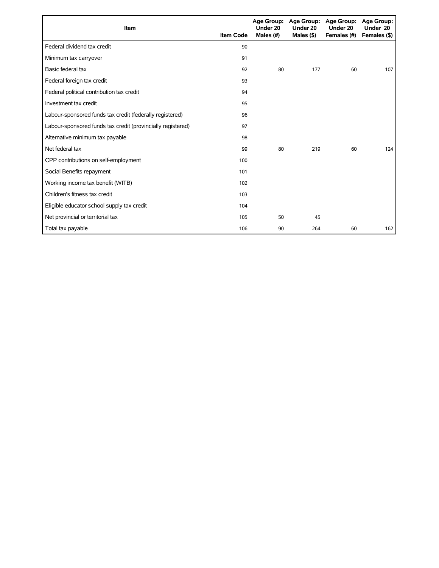| Item                                                        | <b>Item Code</b> | Under 20<br>Males $(\#)$ | Age Group: Age Group:<br>Under 20<br>Males $($ \$ $)$ | <b>Age Group:</b><br>Under 20<br>Females (#) | Age Group:<br>Under 20<br>Females (\$) |
|-------------------------------------------------------------|------------------|--------------------------|-------------------------------------------------------|----------------------------------------------|----------------------------------------|
| Federal dividend tax credit                                 | 90               |                          |                                                       |                                              |                                        |
| Minimum tax carryover                                       | 91               |                          |                                                       |                                              |                                        |
| Basic federal tax                                           | 92               | 80                       | 177                                                   | 60                                           | 107                                    |
| Federal foreign tax credit                                  | 93               |                          |                                                       |                                              |                                        |
| Federal political contribution tax credit                   | 94               |                          |                                                       |                                              |                                        |
| Investment tax credit                                       | 95               |                          |                                                       |                                              |                                        |
| Labour-sponsored funds tax credit (federally registered)    | 96               |                          |                                                       |                                              |                                        |
| Labour-sponsored funds tax credit (provincially registered) | 97               |                          |                                                       |                                              |                                        |
| Alternative minimum tax payable                             | 98               |                          |                                                       |                                              |                                        |
| Net federal tax                                             | 99               | 80                       | 219                                                   | 60                                           | 124                                    |
| CPP contributions on self-employment                        | 100              |                          |                                                       |                                              |                                        |
| Social Benefits repayment                                   | 101              |                          |                                                       |                                              |                                        |
| Working income tax benefit (WITB)                           | 102              |                          |                                                       |                                              |                                        |
| Children's fitness tax credit                               | 103              |                          |                                                       |                                              |                                        |
| Eligible educator school supply tax credit                  | 104              |                          |                                                       |                                              |                                        |
| Net provincial or territorial tax                           | 105              | 50                       | 45                                                    |                                              |                                        |
| Total tax payable                                           | 106              | 90                       | 264                                                   | 60                                           | 162                                    |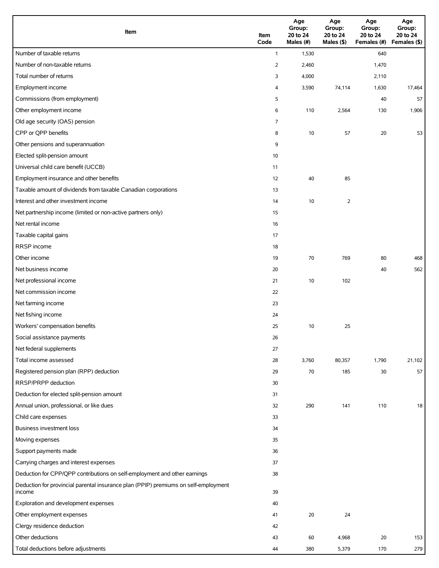| Item                                                                                          | Item<br>Code | Age<br>Group:<br>20 to 24<br>Males (#) | Age<br>Group:<br>20 to 24<br>Males $($ \$) | Age<br>Group:<br>20 to 24<br>Females (#) Females (\$) | Age<br>Group:<br>20 to 24 |
|-----------------------------------------------------------------------------------------------|--------------|----------------------------------------|--------------------------------------------|-------------------------------------------------------|---------------------------|
| Number of taxable returns                                                                     | $\mathbf{1}$ | 1,530                                  |                                            | 640                                                   |                           |
| Number of non-taxable returns                                                                 | 2            | 2,460                                  |                                            | 1,470                                                 |                           |
| Total number of returns                                                                       | 3            | 4,000                                  |                                            | 2,110                                                 |                           |
| Employment income                                                                             | 4            | 3,590                                  | 74,114                                     | 1,630                                                 | 17,464                    |
| Commissions (from employment)                                                                 | 5            |                                        |                                            | 40                                                    | 57                        |
| Other employment income                                                                       | 6            | 110                                    | 2,564                                      | 130                                                   | 1,906                     |
| Old age security (OAS) pension                                                                | 7            |                                        |                                            |                                                       |                           |
| CPP or QPP benefits                                                                           | 8            | 10                                     | 57                                         | 20                                                    | 53                        |
| Other pensions and superannuation                                                             | 9            |                                        |                                            |                                                       |                           |
| Elected split-pension amount                                                                  | 10           |                                        |                                            |                                                       |                           |
| Universal child care benefit (UCCB)                                                           | 11           |                                        |                                            |                                                       |                           |
| Employment insurance and other benefits                                                       | 12           | 40                                     | 85                                         |                                                       |                           |
| Taxable amount of dividends from taxable Canadian corporations                                | 13           |                                        |                                            |                                                       |                           |
| Interest and other investment income                                                          | 14           | 10                                     | $\overline{2}$                             |                                                       |                           |
| Net partnership income (limited or non-active partners only)                                  | 15           |                                        |                                            |                                                       |                           |
| Net rental income                                                                             | 16           |                                        |                                            |                                                       |                           |
| Taxable capital gains                                                                         | 17           |                                        |                                            |                                                       |                           |
| <b>RRSP</b> income                                                                            | 18           |                                        |                                            |                                                       |                           |
| Other income                                                                                  | 19           | 70                                     | 769                                        | 80                                                    | 468                       |
| Net business income                                                                           | 20           |                                        |                                            | 40                                                    | 562                       |
| Net professional income                                                                       | 21           | 10                                     | 102                                        |                                                       |                           |
| Net commission income                                                                         | 22           |                                        |                                            |                                                       |                           |
| Net farming income                                                                            | 23           |                                        |                                            |                                                       |                           |
| Net fishing income                                                                            | 24           |                                        |                                            |                                                       |                           |
| Workers' compensation benefits                                                                | 25           | 10                                     | 25                                         |                                                       |                           |
| Social assistance payments                                                                    | 26           |                                        |                                            |                                                       |                           |
| Net federal supplements                                                                       | 27           |                                        |                                            |                                                       |                           |
| Total income assessed                                                                         | 28           | 3,760                                  | 80,357                                     | 1,790                                                 | 21,102                    |
| Registered pension plan (RPP) deduction                                                       | 29           | 70                                     | 185                                        | 30                                                    | 57                        |
| RRSP/PRPP deduction                                                                           | 30           |                                        |                                            |                                                       |                           |
| Deduction for elected split-pension amount                                                    | 31           |                                        |                                            |                                                       |                           |
| Annual union, professional, or like dues                                                      | 32           | 290                                    | 141                                        | 110                                                   | 18                        |
| Child care expenses                                                                           | 33           |                                        |                                            |                                                       |                           |
| Business investment loss                                                                      | 34           |                                        |                                            |                                                       |                           |
| Moving expenses                                                                               | 35           |                                        |                                            |                                                       |                           |
| Support payments made                                                                         | 36           |                                        |                                            |                                                       |                           |
| Carrying charges and interest expenses                                                        | 37           |                                        |                                            |                                                       |                           |
| Deduction for CPP/QPP contributions on self-employment and other earnings                     | 38           |                                        |                                            |                                                       |                           |
| Deduction for provincial parental insurance plan (PPIP) premiums on self-employment<br>income | 39           |                                        |                                            |                                                       |                           |
| Exploration and development expenses                                                          | 40           |                                        |                                            |                                                       |                           |
| Other employment expenses                                                                     | 41           | 20                                     | 24                                         |                                                       |                           |
| Clergy residence deduction                                                                    | 42           |                                        |                                            |                                                       |                           |
| Other deductions                                                                              | 43           | 60                                     | 4,968                                      | $20\,$                                                | 153                       |
| Total deductions before adjustments                                                           | 44           | 380                                    | 5,379                                      | 170                                                   | 279                       |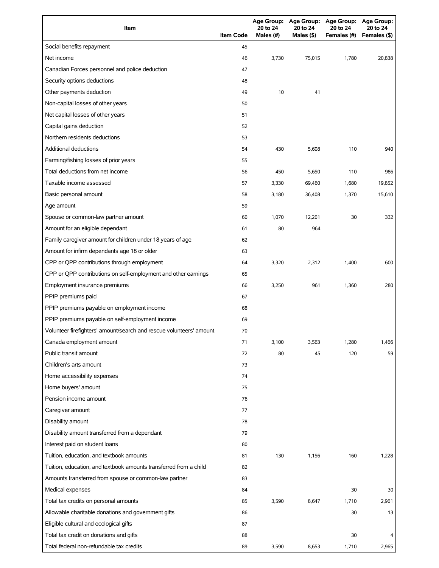| Item                                                                | <b>Item Code</b> | <b>Age Group:</b><br>20 to 24<br>Males (#) | <b>Age Group:</b><br>20 to 24<br>Males $(§)$ | <b>Age Group:</b><br>20 to 24<br>Females (#) | Age Group:<br>20 to 24<br>Females (\$) |
|---------------------------------------------------------------------|------------------|--------------------------------------------|----------------------------------------------|----------------------------------------------|----------------------------------------|
| Social benefits repayment                                           | 45               |                                            |                                              |                                              |                                        |
| Net income                                                          | 46               | 3,730                                      | 75.015                                       | 1,780                                        | 20.838                                 |
| Canadian Forces personnel and police deduction                      | 47               |                                            |                                              |                                              |                                        |
| Security options deductions                                         | 48               |                                            |                                              |                                              |                                        |
| Other payments deduction                                            | 49               | 10                                         | 41                                           |                                              |                                        |
| Non-capital losses of other years                                   | 50               |                                            |                                              |                                              |                                        |
| Net capital losses of other years                                   | 51               |                                            |                                              |                                              |                                        |
| Capital gains deduction                                             | 52               |                                            |                                              |                                              |                                        |
| Northern residents deductions                                       | 53               |                                            |                                              |                                              |                                        |
| <b>Additional deductions</b>                                        | 54               | 430                                        | 5,608                                        | 110                                          | 940                                    |
| Farming/fishing losses of prior years                               | 55               |                                            |                                              |                                              |                                        |
| Total deductions from net income                                    | 56               | 450                                        | 5,650                                        | 110                                          | 986                                    |
| Taxable income assessed                                             | 57               | 3,330                                      | 69,460                                       | 1,680                                        | 19,852                                 |
| Basic personal amount                                               | 58               | 3,180                                      | 36,408                                       | 1,370                                        | 15,610                                 |
| Age amount                                                          | 59               |                                            |                                              |                                              |                                        |
| Spouse or common-law partner amount                                 | 60               | 1,070                                      | 12,201                                       | 30                                           | 332                                    |
| Amount for an eligible dependant                                    | 61               | 80                                         | 964                                          |                                              |                                        |
| Family caregiver amount for children under 18 years of age          | 62               |                                            |                                              |                                              |                                        |
| Amount for infirm dependants age 18 or older                        | 63               |                                            |                                              |                                              |                                        |
| CPP or QPP contributions through employment                         | 64               | 3,320                                      | 2,312                                        | 1,400                                        | 600                                    |
| CPP or QPP contributions on self-employment and other earnings      | 65               |                                            |                                              |                                              |                                        |
| Employment insurance premiums                                       | 66               | 3,250                                      | 961                                          | 1,360                                        | 280                                    |
| PPIP premiums paid                                                  | 67               |                                            |                                              |                                              |                                        |
| PPIP premiums payable on employment income                          | 68               |                                            |                                              |                                              |                                        |
| PPIP premiums payable on self-employment income                     | 69               |                                            |                                              |                                              |                                        |
| Volunteer firefighters' amount/search and rescue volunteers' amount | 70               |                                            |                                              |                                              |                                        |
| Canada employment amount                                            | 71               | 3,100                                      | 3,563                                        | 1,280                                        | 1,466                                  |
| Public transit amount                                               | 72               | 80                                         | 45                                           | 120                                          | 59                                     |
| Children's arts amount                                              | 73               |                                            |                                              |                                              |                                        |
| Home accessibility expenses                                         | 74               |                                            |                                              |                                              |                                        |
| Home buyers' amount                                                 | 75               |                                            |                                              |                                              |                                        |
| Pension income amount                                               | 76               |                                            |                                              |                                              |                                        |
| Caregiver amount                                                    | 77               |                                            |                                              |                                              |                                        |
| Disability amount                                                   | 78               |                                            |                                              |                                              |                                        |
| Disability amount transferred from a dependant                      | 79               |                                            |                                              |                                              |                                        |
| Interest paid on student loans                                      | 80               |                                            |                                              |                                              |                                        |
| Tuition, education, and textbook amounts                            | 81               | 130                                        | 1,156                                        | 160                                          | 1,228                                  |
| Tuition, education, and textbook amounts transferred from a child   | 82               |                                            |                                              |                                              |                                        |
| Amounts transferred from spouse or common-law partner               | 83               |                                            |                                              |                                              |                                        |
| Medical expenses                                                    | 84               |                                            |                                              | 30                                           | 30                                     |
| Total tax credits on personal amounts                               | 85               | 3,590                                      | 8,647                                        | 1,710                                        | 2,961                                  |
| Allowable charitable donations and government gifts                 | 86               |                                            |                                              | 30                                           | 13                                     |
| Eligible cultural and ecological gifts                              | 87               |                                            |                                              |                                              |                                        |
| Total tax credit on donations and gifts                             | 88               |                                            |                                              | 30                                           | 4                                      |
| Total federal non-refundable tax credits                            | 89               | 3,590                                      | 8,653                                        | 1,710                                        | 2,965                                  |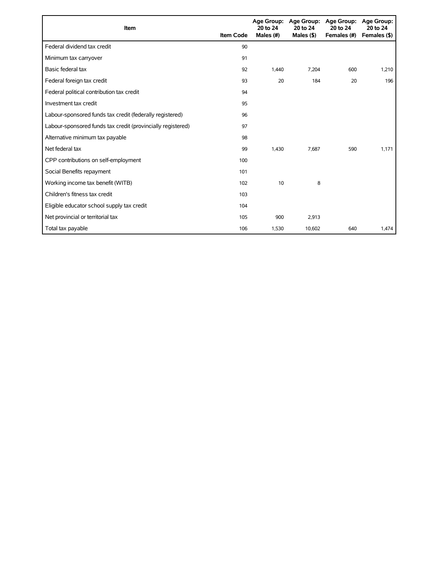| Item                                                        | <b>Item Code</b> | 20 to 24<br>Males (#) | Age Group: Age Group:<br>20 to 24<br>Males $($ \$ $)$ | <b>Age Group:</b><br>20 to 24<br>Females (#) | <b>Age Group:</b><br>20 to 24<br>Females (\$) |
|-------------------------------------------------------------|------------------|-----------------------|-------------------------------------------------------|----------------------------------------------|-----------------------------------------------|
| Federal dividend tax credit                                 | 90               |                       |                                                       |                                              |                                               |
| Minimum tax carryover                                       | 91               |                       |                                                       |                                              |                                               |
| Basic federal tax                                           | 92               | 1,440                 | 7,204                                                 | 600                                          | 1,210                                         |
| Federal foreign tax credit                                  | 93               | 20                    | 184                                                   | 20                                           | 196                                           |
| Federal political contribution tax credit                   | 94               |                       |                                                       |                                              |                                               |
| Investment tax credit                                       | 95               |                       |                                                       |                                              |                                               |
| Labour-sponsored funds tax credit (federally registered)    | 96               |                       |                                                       |                                              |                                               |
| Labour-sponsored funds tax credit (provincially registered) | 97               |                       |                                                       |                                              |                                               |
| Alternative minimum tax payable                             | 98               |                       |                                                       |                                              |                                               |
| Net federal tax                                             | 99               | 1.430                 | 7.687                                                 | 590                                          | 1,171                                         |
| CPP contributions on self-employment                        | 100              |                       |                                                       |                                              |                                               |
| Social Benefits repayment                                   | 101              |                       |                                                       |                                              |                                               |
| Working income tax benefit (WITB)                           | 102              | 10                    | 8                                                     |                                              |                                               |
| Children's fitness tax credit                               | 103              |                       |                                                       |                                              |                                               |
| Eligible educator school supply tax credit                  | 104              |                       |                                                       |                                              |                                               |
| Net provincial or territorial tax                           | 105              | 900                   | 2,913                                                 |                                              |                                               |
| Total tax payable                                           | 106              | 1,530                 | 10,602                                                | 640                                          | 1,474                                         |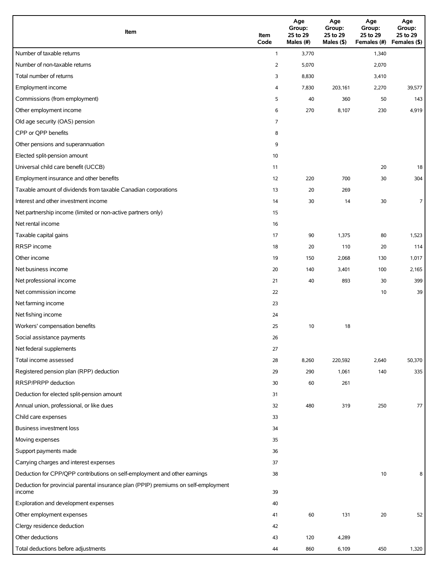| Item                                                                                          | Item<br>Code   | Age<br>Group:<br>25 to 29<br>Males (#) | Age<br>Group:<br>25 to 29<br>Males (\$) | Age<br>Group:<br>25 to 29<br>Females (#) | Age<br>Group:<br>25 to 29<br>Females (\$) |
|-----------------------------------------------------------------------------------------------|----------------|----------------------------------------|-----------------------------------------|------------------------------------------|-------------------------------------------|
| Number of taxable returns                                                                     | $\mathbf{1}$   | 3,770                                  |                                         | 1,340                                    |                                           |
| Number of non-taxable returns                                                                 | $\overline{2}$ | 5,070                                  |                                         | 2,070                                    |                                           |
| Total number of returns                                                                       | 3              | 8,830                                  |                                         | 3,410                                    |                                           |
| Employment income                                                                             | 4              | 7,830                                  | 203,161                                 | 2,270                                    | 39,577                                    |
| Commissions (from employment)                                                                 | 5              | 40                                     | 360                                     | 50                                       | 143                                       |
| Other employment income                                                                       | 6              | 270                                    | 8,107                                   | 230                                      | 4,919                                     |
| Old age security (OAS) pension                                                                | $\overline{7}$ |                                        |                                         |                                          |                                           |
| CPP or QPP benefits                                                                           | 8              |                                        |                                         |                                          |                                           |
| Other pensions and superannuation                                                             | 9              |                                        |                                         |                                          |                                           |
| Elected split-pension amount                                                                  | 10             |                                        |                                         |                                          |                                           |
| Universal child care benefit (UCCB)                                                           | 11             |                                        |                                         | 20                                       | 18                                        |
| Employment insurance and other benefits                                                       | 12             | 220                                    | 700                                     | 30                                       | 304                                       |
| Taxable amount of dividends from taxable Canadian corporations                                | 13             | 20                                     | 269                                     |                                          |                                           |
| Interest and other investment income                                                          | 14             | 30                                     | 14                                      | 30                                       | $\overline{7}$                            |
| Net partnership income (limited or non-active partners only)                                  | 15             |                                        |                                         |                                          |                                           |
| Net rental income                                                                             | 16             |                                        |                                         |                                          |                                           |
| Taxable capital gains                                                                         | 17             | 90                                     | 1,375                                   | 80                                       | 1,523                                     |
| RRSP income                                                                                   | 18             | 20                                     | 110                                     | 20                                       | 114                                       |
| Other income                                                                                  | 19             | 150                                    | 2,068                                   | 130                                      | 1,017                                     |
| Net business income                                                                           | 20             | 140                                    | 3,401                                   | 100                                      | 2,165                                     |
| Net professional income                                                                       | 21             | 40                                     | 893                                     | 30                                       | 399                                       |
| Net commission income                                                                         | 22             |                                        |                                         | 10                                       | 39                                        |
| Net farming income                                                                            | 23             |                                        |                                         |                                          |                                           |
| Net fishing income                                                                            | 24             |                                        |                                         |                                          |                                           |
| Workers' compensation benefits                                                                | 25             | 10                                     | 18                                      |                                          |                                           |
| Social assistance payments                                                                    | 26             |                                        |                                         |                                          |                                           |
| Net federal supplements                                                                       | 27             |                                        |                                         |                                          |                                           |
| Total income assessed                                                                         | 28             | 8,260                                  | 220,592                                 | 2,640                                    | 50,370                                    |
| Registered pension plan (RPP) deduction                                                       | 29             | 290                                    | 1,061                                   | 140                                      | 335                                       |
| RRSP/PRPP deduction                                                                           | 30             | 60                                     | 261                                     |                                          |                                           |
| Deduction for elected split-pension amount                                                    | 31             |                                        |                                         |                                          |                                           |
| Annual union, professional, or like dues                                                      | 32             | 480                                    | 319                                     | 250                                      | 77                                        |
| Child care expenses                                                                           | 33             |                                        |                                         |                                          |                                           |
| Business investment loss                                                                      | 34             |                                        |                                         |                                          |                                           |
| Moving expenses                                                                               | 35             |                                        |                                         |                                          |                                           |
| Support payments made                                                                         | 36             |                                        |                                         |                                          |                                           |
| Carrying charges and interest expenses                                                        | 37             |                                        |                                         |                                          |                                           |
| Deduction for CPP/QPP contributions on self-employment and other earnings                     | 38             |                                        |                                         | 10                                       | 8                                         |
| Deduction for provincial parental insurance plan (PPIP) premiums on self-employment<br>income | 39             |                                        |                                         |                                          |                                           |
| Exploration and development expenses                                                          | 40             |                                        |                                         |                                          |                                           |
| Other employment expenses                                                                     | 41             | 60                                     | 131                                     | 20                                       | 52                                        |
| Clergy residence deduction                                                                    | 42             |                                        |                                         |                                          |                                           |
| Other deductions                                                                              | 43             | 120                                    | 4,289                                   |                                          |                                           |
| Total deductions before adjustments                                                           | 44             | 860                                    | 6,109                                   | 450                                      | 1,320                                     |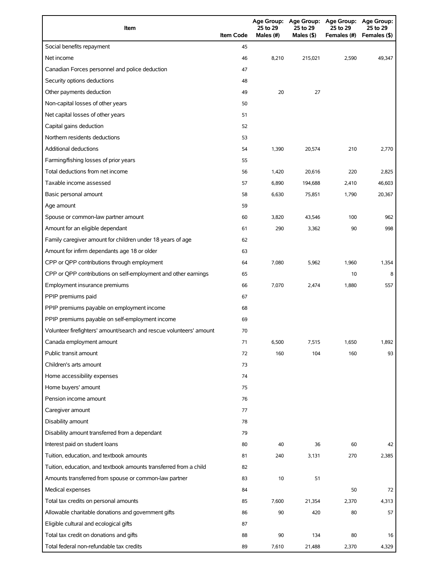| Item                                                                | <b>Item Code</b> | <b>Age Group:</b><br>25 to 29<br>Males (#) | Age Group:<br>25 to 29<br>Males $(§)$ | <b>Age Group:</b><br>25 to 29<br>Females (#) | <b>Age Group:</b><br>25 to 29<br>Females (\$) |
|---------------------------------------------------------------------|------------------|--------------------------------------------|---------------------------------------|----------------------------------------------|-----------------------------------------------|
| Social benefits repayment                                           | 45               |                                            |                                       |                                              |                                               |
| Net income                                                          | 46               | 8,210                                      | 215,021                               | 2,590                                        | 49,347                                        |
| Canadian Forces personnel and police deduction                      | 47               |                                            |                                       |                                              |                                               |
| Security options deductions                                         | 48               |                                            |                                       |                                              |                                               |
| Other payments deduction                                            | 49               | 20                                         | 27                                    |                                              |                                               |
| Non-capital losses of other years                                   | 50               |                                            |                                       |                                              |                                               |
| Net capital losses of other years                                   | 51               |                                            |                                       |                                              |                                               |
| Capital gains deduction                                             | 52               |                                            |                                       |                                              |                                               |
| Northern residents deductions                                       | 53               |                                            |                                       |                                              |                                               |
| <b>Additional deductions</b>                                        | 54               | 1,390                                      | 20,574                                | 210                                          | 2,770                                         |
| Farming/fishing losses of prior years                               | 55               |                                            |                                       |                                              |                                               |
| Total deductions from net income                                    | 56               | 1,420                                      | 20,616                                | 220                                          | 2,825                                         |
| Taxable income assessed                                             | 57               | 6,890                                      | 194,688                               | 2,410                                        | 46,603                                        |
| Basic personal amount                                               | 58               | 6,630                                      | 75,851                                | 1,790                                        | 20,367                                        |
| Age amount                                                          | 59               |                                            |                                       |                                              |                                               |
| Spouse or common-law partner amount                                 | 60               | 3,820                                      | 43,546                                | 100                                          | 962                                           |
| Amount for an eligible dependant                                    | 61               | 290                                        | 3,362                                 | 90                                           | 998                                           |
| Family caregiver amount for children under 18 years of age          | 62               |                                            |                                       |                                              |                                               |
| Amount for infirm dependants age 18 or older                        | 63               |                                            |                                       |                                              |                                               |
| CPP or QPP contributions through employment                         | 64               | 7,080                                      | 5,962                                 | 1,960                                        | 1,354                                         |
| CPP or QPP contributions on self-employment and other earnings      | 65               |                                            |                                       | 10                                           | 8                                             |
| Employment insurance premiums                                       | 66               | 7,070                                      | 2,474                                 | 1,880                                        | 557                                           |
| PPIP premiums paid                                                  | 67               |                                            |                                       |                                              |                                               |
| PPIP premiums payable on employment income                          | 68               |                                            |                                       |                                              |                                               |
| PPIP premiums payable on self-employment income                     | 69               |                                            |                                       |                                              |                                               |
| Volunteer firefighters' amount/search and rescue volunteers' amount | 70               |                                            |                                       |                                              |                                               |
| Canada employment amount                                            | 71               | 6,500                                      | 7,515                                 | 1,650                                        | 1,892                                         |
| Public transit amount                                               | 72               | 160                                        | 104                                   | 160                                          | 93                                            |
| Children's arts amount                                              | 73               |                                            |                                       |                                              |                                               |
| Home accessibility expenses                                         | 74               |                                            |                                       |                                              |                                               |
| Home buyers' amount                                                 | 75               |                                            |                                       |                                              |                                               |
| Pension income amount                                               | 76               |                                            |                                       |                                              |                                               |
| Caregiver amount                                                    | 77               |                                            |                                       |                                              |                                               |
| Disability amount                                                   | 78               |                                            |                                       |                                              |                                               |
| Disability amount transferred from a dependant                      | 79               |                                            |                                       |                                              |                                               |
| Interest paid on student loans                                      | 80               | 40                                         | 36                                    | 60                                           | 42                                            |
| Tuition, education, and textbook amounts                            | 81               | 240                                        | 3,131                                 | 270                                          | 2,385                                         |
| Tuition, education, and textbook amounts transferred from a child   | 82               |                                            |                                       |                                              |                                               |
| Amounts transferred from spouse or common-law partner               | 83               | 10                                         | 51                                    |                                              |                                               |
| Medical expenses                                                    | 84               |                                            |                                       | 50                                           | 72                                            |
| Total tax credits on personal amounts                               | 85               | 7,600                                      | 21,354                                | 2,370                                        | 4,313                                         |
| Allowable charitable donations and government gifts                 | 86               | 90                                         | 420                                   | 80                                           | 57                                            |
| Eligible cultural and ecological gifts                              | 87               |                                            |                                       |                                              |                                               |
| Total tax credit on donations and gifts                             | 88               | 90                                         | 134                                   | 80                                           | 16                                            |
| Total federal non-refundable tax credits                            | 89               | 7,610                                      | 21,488                                | 2,370                                        | 4,329                                         |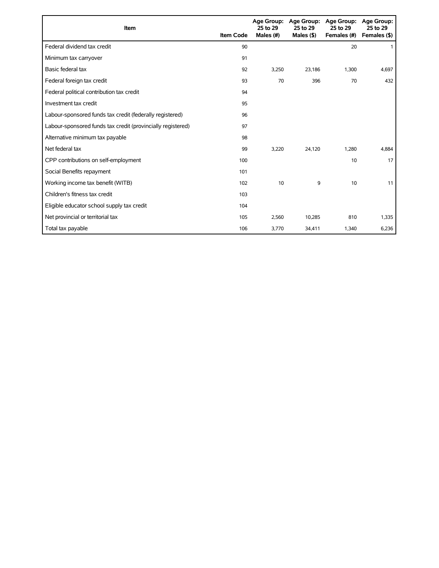| Item                                                        | <b>Item Code</b> | 25 to 29<br>Males (#) | Age Group: Age Group:<br>25 to 29<br>Males $($ \$) | Age Group:<br>25 to 29<br>Females (#) | Age Group:<br>25 to 29<br>Females (\$) |
|-------------------------------------------------------------|------------------|-----------------------|----------------------------------------------------|---------------------------------------|----------------------------------------|
| Federal dividend tax credit                                 | 90               |                       |                                                    | 20                                    | -1                                     |
| Minimum tax carryover                                       | 91               |                       |                                                    |                                       |                                        |
| Basic federal tax                                           | 92               | 3,250                 | 23,186                                             | 1,300                                 | 4,697                                  |
| Federal foreign tax credit                                  | 93               | 70                    | 396                                                | 70                                    | 432                                    |
| Federal political contribution tax credit                   | 94               |                       |                                                    |                                       |                                        |
| Investment tax credit                                       | 95               |                       |                                                    |                                       |                                        |
| Labour-sponsored funds tax credit (federally registered)    | 96               |                       |                                                    |                                       |                                        |
| Labour-sponsored funds tax credit (provincially registered) | 97               |                       |                                                    |                                       |                                        |
| Alternative minimum tax payable                             | 98               |                       |                                                    |                                       |                                        |
| Net federal tax                                             | 99               | 3,220                 | 24,120                                             | 1,280                                 | 4,884                                  |
| CPP contributions on self-employment                        | 100              |                       |                                                    | 10                                    | 17                                     |
| Social Benefits repayment                                   | 101              |                       |                                                    |                                       |                                        |
| Working income tax benefit (WITB)                           | 102              | 10                    | 9                                                  | 10                                    | 11                                     |
| Children's fitness tax credit                               | 103              |                       |                                                    |                                       |                                        |
| Eligible educator school supply tax credit                  | 104              |                       |                                                    |                                       |                                        |
| Net provincial or territorial tax                           | 105              | 2,560                 | 10,285                                             | 810                                   | 1,335                                  |
| Total tax payable                                           | 106              | 3,770                 | 34,411                                             | 1,340                                 | 6,236                                  |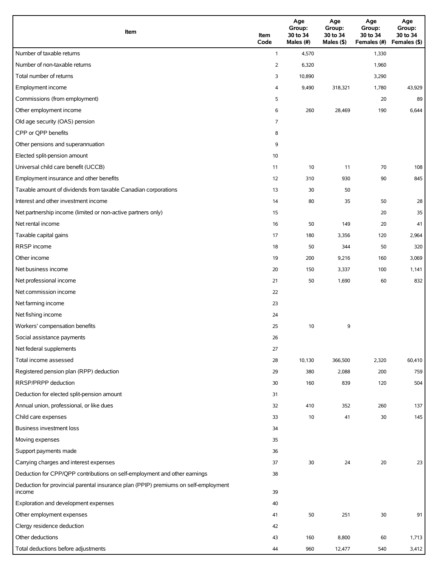| Item                                                                                          | Item<br>Code   | Age<br>Group:<br>30 to 34<br>Males (#) | Age<br>Group:<br>30 to 34<br>Males (\$) | Age<br>Group:<br>30 to 34<br>Females (#) | Age<br>Group:<br>30 to 34<br>Females (\$) |
|-----------------------------------------------------------------------------------------------|----------------|----------------------------------------|-----------------------------------------|------------------------------------------|-------------------------------------------|
| Number of taxable returns                                                                     | $\mathbf{1}$   | 4,570                                  |                                         | 1,330                                    |                                           |
| Number of non-taxable returns                                                                 | 2              | 6,320                                  |                                         | 1,960                                    |                                           |
| Total number of returns                                                                       | 3              | 10,890                                 |                                         | 3,290                                    |                                           |
| Employment income                                                                             | 4              | 9,490                                  | 318,321                                 | 1,780                                    | 43,929                                    |
| Commissions (from employment)                                                                 | 5              |                                        |                                         | 20                                       | 89                                        |
| Other employment income                                                                       | 6              | 260                                    | 28,469                                  | 190                                      | 6,644                                     |
| Old age security (OAS) pension                                                                | $\overline{7}$ |                                        |                                         |                                          |                                           |
| CPP or QPP benefits                                                                           | 8              |                                        |                                         |                                          |                                           |
| Other pensions and superannuation                                                             | 9              |                                        |                                         |                                          |                                           |
| Elected split-pension amount                                                                  | 10             |                                        |                                         |                                          |                                           |
| Universal child care benefit (UCCB)                                                           | 11             | 10                                     | 11                                      | 70                                       | 108                                       |
| Employment insurance and other benefits                                                       | 12             | 310                                    | 930                                     | 90                                       | 845                                       |
| Taxable amount of dividends from taxable Canadian corporations                                | 13             | 30                                     | 50                                      |                                          |                                           |
| Interest and other investment income                                                          | 14             | 80                                     | 35                                      | 50                                       | 28                                        |
| Net partnership income (limited or non-active partners only)                                  | 15             |                                        |                                         | 20                                       | 35                                        |
| Net rental income                                                                             | 16             | 50                                     | 149                                     | 20                                       | 41                                        |
| Taxable capital gains                                                                         | 17             | 180                                    | 3,356                                   | 120                                      | 2,964                                     |
| RRSP income                                                                                   | 18             | 50                                     | 344                                     | 50                                       | 320                                       |
| Other income                                                                                  | 19             | 200                                    | 9,216                                   | 160                                      | 3,069                                     |
| Net business income                                                                           | 20             | 150                                    | 3,337                                   | 100                                      | 1,141                                     |
| Net professional income                                                                       | 21             | 50                                     | 1,690                                   | 60                                       | 832                                       |
| Net commission income                                                                         | 22             |                                        |                                         |                                          |                                           |
| Net farming income                                                                            | 23             |                                        |                                         |                                          |                                           |
| Net fishing income                                                                            | 24             |                                        |                                         |                                          |                                           |
| Workers' compensation benefits                                                                | 25             | 10                                     | 9                                       |                                          |                                           |
| Social assistance payments                                                                    | 26             |                                        |                                         |                                          |                                           |
| Net federal supplements                                                                       | 27             |                                        |                                         |                                          |                                           |
| Total income assessed                                                                         | 28             | 10,130                                 | 366,500                                 | 2,320                                    | 60,410                                    |
| Registered pension plan (RPP) deduction                                                       | 29             | 380                                    | 2,088                                   | 200                                      | 759                                       |
| RRSP/PRPP deduction                                                                           | 30             | 160                                    | 839                                     | 120                                      | 504                                       |
| Deduction for elected split-pension amount                                                    | 31             |                                        |                                         |                                          |                                           |
| Annual union, professional, or like dues                                                      | 32             | 410                                    | 352                                     | 260                                      | 137                                       |
| Child care expenses                                                                           | 33             | 10                                     | 41                                      | 30                                       | 145                                       |
| Business investment loss                                                                      | 34             |                                        |                                         |                                          |                                           |
| Moving expenses                                                                               | 35             |                                        |                                         |                                          |                                           |
| Support payments made                                                                         | 36             |                                        |                                         |                                          |                                           |
| Carrying charges and interest expenses                                                        | 37             | 30                                     | 24                                      | 20                                       | 23                                        |
| Deduction for CPP/QPP contributions on self-employment and other earnings                     | 38             |                                        |                                         |                                          |                                           |
| Deduction for provincial parental insurance plan (PPIP) premiums on self-employment<br>income | 39             |                                        |                                         |                                          |                                           |
| Exploration and development expenses                                                          | 40             |                                        |                                         |                                          |                                           |
| Other employment expenses                                                                     | 41             | 50                                     | 251                                     | 30                                       | 91                                        |
| Clergy residence deduction                                                                    | 42             |                                        |                                         |                                          |                                           |
| Other deductions                                                                              | 43             | 160                                    | 8,800                                   | 60                                       | 1,713                                     |
| Total deductions before adjustments                                                           | 44             | 960                                    | 12,477                                  | 540                                      | 3,412                                     |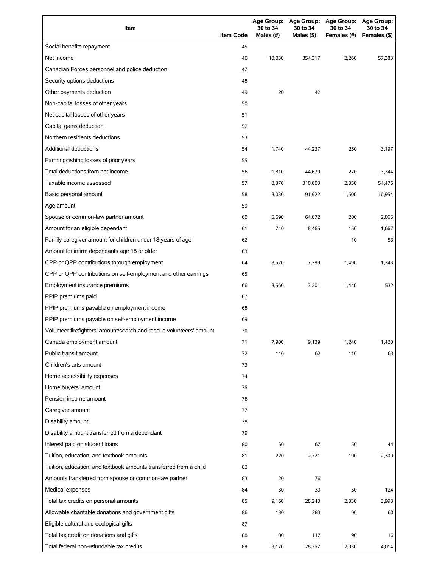| Item                                                                | <b>Item Code</b> | 30 to 34<br>Males (#) | 30 to 34<br>Males (\$) | Age Group: Age Group: Age Group: Age Group:<br>30 to 34<br>Females (#) | 30 to 34<br>Females (\$) |
|---------------------------------------------------------------------|------------------|-----------------------|------------------------|------------------------------------------------------------------------|--------------------------|
| Social benefits repayment                                           | 45               |                       |                        |                                                                        |                          |
| Net income                                                          | 46               | 10.030                | 354,317                | 2,260                                                                  | 57,383                   |
| Canadian Forces personnel and police deduction                      | 47               |                       |                        |                                                                        |                          |
| Security options deductions                                         | 48               |                       |                        |                                                                        |                          |
| Other payments deduction                                            | 49               | 20                    | 42                     |                                                                        |                          |
| Non-capital losses of other years                                   | 50               |                       |                        |                                                                        |                          |
| Net capital losses of other years                                   | 51               |                       |                        |                                                                        |                          |
| Capital gains deduction                                             | 52               |                       |                        |                                                                        |                          |
| Northern residents deductions                                       | 53               |                       |                        |                                                                        |                          |
| Additional deductions                                               | 54               | 1,740                 | 44,237                 | 250                                                                    | 3,197                    |
| Farming/fishing losses of prior years                               | 55               |                       |                        |                                                                        |                          |
| Total deductions from net income                                    | 56               | 1,810                 | 44,670                 | 270                                                                    | 3,344                    |
| Taxable income assessed                                             | 57               | 8,370                 | 310,603                | 2,050                                                                  | 54,476                   |
| Basic personal amount                                               | 58               | 8,030                 | 91,922                 | 1,500                                                                  | 16,954                   |
| Age amount                                                          | 59               |                       |                        |                                                                        |                          |
| Spouse or common-law partner amount                                 | 60               | 5,690                 | 64.672                 | 200                                                                    | 2,065                    |
| Amount for an eligible dependant                                    | 61               | 740                   | 8,465                  | 150                                                                    | 1,667                    |
| Family caregiver amount for children under 18 years of age          | 62               |                       |                        | 10                                                                     | 53                       |
| Amount for infirm dependants age 18 or older                        | 63               |                       |                        |                                                                        |                          |
| CPP or QPP contributions through employment                         | 64               | 8,520                 | 7,799                  | 1,490                                                                  | 1,343                    |
| CPP or QPP contributions on self-employment and other earnings      | 65               |                       |                        |                                                                        |                          |
| Employment insurance premiums                                       | 66               | 8,560                 | 3,201                  | 1,440                                                                  | 532                      |
| PPIP premiums paid                                                  | 67               |                       |                        |                                                                        |                          |
| PPIP premiums payable on employment income                          | 68               |                       |                        |                                                                        |                          |
| PPIP premiums payable on self-employment income                     | 69               |                       |                        |                                                                        |                          |
| Volunteer firefighters' amount/search and rescue volunteers' amount | 70               |                       |                        |                                                                        |                          |
| Canada employment amount                                            | 71               | 7,900                 | 9,139                  | 1,240                                                                  | 1,420                    |
| Public transit amount                                               | 72               | 110                   | 62                     | 110                                                                    | 63                       |
| Children's arts amount                                              | 73               |                       |                        |                                                                        |                          |
| Home accessibility expenses                                         | 74               |                       |                        |                                                                        |                          |
| Home buyers' amount                                                 | 75               |                       |                        |                                                                        |                          |
| Pension income amount                                               | 76               |                       |                        |                                                                        |                          |
| Caregiver amount                                                    | 77               |                       |                        |                                                                        |                          |
| Disability amount                                                   | 78               |                       |                        |                                                                        |                          |
| Disability amount transferred from a dependant                      | 79               |                       |                        |                                                                        |                          |
| Interest paid on student loans                                      | 80               | 60                    | 67                     | 50                                                                     | 44                       |
| Tuition, education, and textbook amounts                            | 81               | 220                   | 2,721                  | 190                                                                    | 2,309                    |
| Tuition, education, and textbook amounts transferred from a child   | 82               |                       |                        |                                                                        |                          |
| Amounts transferred from spouse or common-law partner               | 83               | 20                    | 76                     |                                                                        |                          |
| Medical expenses                                                    | 84               | 30                    | 39                     | 50                                                                     | 124                      |
| Total tax credits on personal amounts                               | 85               | 9,160                 | 28,240                 | 2,030                                                                  | 3,998                    |
| Allowable charitable donations and government gifts                 | 86               | 180                   | 383                    | 90                                                                     | 60                       |
| Eligible cultural and ecological gifts                              | 87               |                       |                        |                                                                        |                          |
| Total tax credit on donations and gifts                             | 88               | 180                   | 117                    | 90                                                                     | 16                       |
| Total federal non-refundable tax credits                            | 89               | 9,170                 | 28,357                 | 2,030                                                                  | 4,014                    |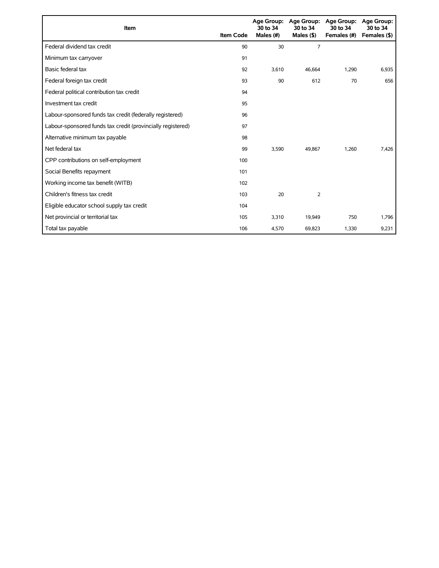| Item                                                        | <b>Item Code</b> | 30 to 34<br>Males (#) | Age Group: Age Group:<br>30 to 34<br>Males $($ \$ $)$ | <b>Age Group:</b><br>30 to 34<br>Females (#) | <b>Age Group:</b><br>30 to 34<br>Females (\$) |
|-------------------------------------------------------------|------------------|-----------------------|-------------------------------------------------------|----------------------------------------------|-----------------------------------------------|
| Federal dividend tax credit                                 | 90               | 30                    | $\overline{7}$                                        |                                              |                                               |
| Minimum tax carryover                                       | 91               |                       |                                                       |                                              |                                               |
| Basic federal tax                                           | 92               | 3,610                 | 46,664                                                | 1,290                                        | 6,935                                         |
| Federal foreign tax credit                                  | 93               | 90                    | 612                                                   | 70                                           | 656                                           |
| Federal political contribution tax credit                   | 94               |                       |                                                       |                                              |                                               |
| Investment tax credit                                       | 95               |                       |                                                       |                                              |                                               |
| Labour-sponsored funds tax credit (federally registered)    | 96               |                       |                                                       |                                              |                                               |
| Labour-sponsored funds tax credit (provincially registered) | 97               |                       |                                                       |                                              |                                               |
| Alternative minimum tax payable                             | 98               |                       |                                                       |                                              |                                               |
| Net federal tax                                             | 99               | 3,590                 | 49.867                                                | 1,260                                        | 7,426                                         |
| CPP contributions on self-employment                        | 100              |                       |                                                       |                                              |                                               |
| Social Benefits repayment                                   | 101              |                       |                                                       |                                              |                                               |
| Working income tax benefit (WITB)                           | 102              |                       |                                                       |                                              |                                               |
| Children's fitness tax credit                               | 103              | 20                    | 2                                                     |                                              |                                               |
| Eligible educator school supply tax credit                  | 104              |                       |                                                       |                                              |                                               |
| Net provincial or territorial tax                           | 105              | 3,310                 | 19,949                                                | 750                                          | 1,796                                         |
| Total tax payable                                           | 106              | 4,570                 | 69,823                                                | 1,330                                        | 9,231                                         |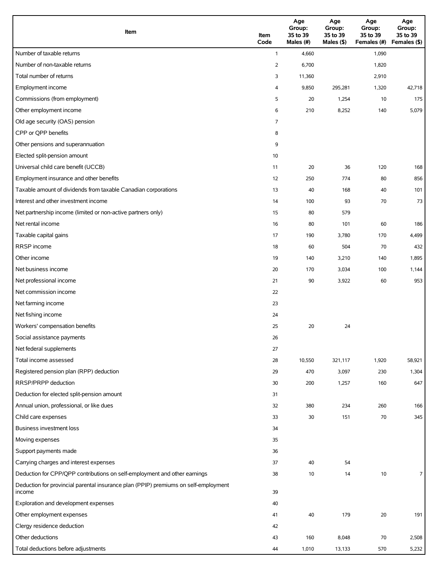| Item                                                                                          | Item<br>Code   | Age<br>Group:<br>35 to 39<br>Males (#) | Age<br>Group:<br>35 to 39<br>Males (\$) | Age<br>Group:<br>35 to 39<br>Females (#) | Age<br>Group:<br>35 to 39<br>Females (\$) |
|-----------------------------------------------------------------------------------------------|----------------|----------------------------------------|-----------------------------------------|------------------------------------------|-------------------------------------------|
| Number of taxable returns                                                                     | $\mathbf{1}$   | 4,660                                  |                                         | 1,090                                    |                                           |
| Number of non-taxable returns                                                                 | $\overline{2}$ | 6,700                                  |                                         | 1,820                                    |                                           |
| Total number of returns                                                                       | 3              | 11,360                                 |                                         | 2,910                                    |                                           |
| Employment income                                                                             | 4              | 9,850                                  | 295,281                                 | 1,320                                    | 42,718                                    |
| Commissions (from employment)                                                                 | 5              | 20                                     | 1,254                                   | 10                                       | 175                                       |
| Other employment income                                                                       | 6              | 210                                    | 8,252                                   | 140                                      | 5,079                                     |
| Old age security (OAS) pension                                                                | 7              |                                        |                                         |                                          |                                           |
| CPP or QPP benefits                                                                           | 8              |                                        |                                         |                                          |                                           |
| Other pensions and superannuation                                                             | 9              |                                        |                                         |                                          |                                           |
| Elected split-pension amount                                                                  | 10             |                                        |                                         |                                          |                                           |
| Universal child care benefit (UCCB)                                                           | 11             | 20                                     | 36                                      | 120                                      | 168                                       |
| Employment insurance and other benefits                                                       | 12             | 250                                    | 774                                     | 80                                       | 856                                       |
| Taxable amount of dividends from taxable Canadian corporations                                | 13             | 40                                     | 168                                     | 40                                       | 101                                       |
| Interest and other investment income                                                          | 14             | 100                                    | 93                                      | 70                                       | 73                                        |
| Net partnership income (limited or non-active partners only)                                  | 15             | 80                                     | 579                                     |                                          |                                           |
| Net rental income                                                                             | 16             | 80                                     | 101                                     | 60                                       | 186                                       |
| Taxable capital gains                                                                         | 17             | 190                                    | 3,780                                   | 170                                      | 4,499                                     |
| <b>RRSP</b> income                                                                            | 18             | 60                                     | 504                                     | 70                                       | 432                                       |
| Other income                                                                                  | 19             | 140                                    | 3,210                                   | 140                                      | 1,895                                     |
| Net business income                                                                           | 20             | 170                                    | 3,034                                   | 100                                      | 1,144                                     |
| Net professional income                                                                       | 21             | 90                                     | 3,922                                   | 60                                       | 953                                       |
| Net commission income                                                                         | 22             |                                        |                                         |                                          |                                           |
| Net farming income                                                                            | 23             |                                        |                                         |                                          |                                           |
| Net fishing income                                                                            | 24             |                                        |                                         |                                          |                                           |
| Workers' compensation benefits                                                                | 25             | 20                                     | 24                                      |                                          |                                           |
| Social assistance payments                                                                    | 26             |                                        |                                         |                                          |                                           |
| Net federal supplements                                                                       | 27             |                                        |                                         |                                          |                                           |
| Total income assessed                                                                         | 28             | 10,550                                 | 321,117                                 | 1,920                                    | 58,921                                    |
| Registered pension plan (RPP) deduction                                                       | 29             | 470                                    | 3,097                                   | 230                                      | 1,304                                     |
| RRSP/PRPP deduction                                                                           | 30             | 200                                    | 1,257                                   | 160                                      | 647                                       |
| Deduction for elected split-pension amount                                                    | 31             |                                        |                                         |                                          |                                           |
| Annual union, professional, or like dues                                                      | 32             | 380                                    | 234                                     | 260                                      | 166                                       |
| Child care expenses                                                                           | 33             | 30                                     | 151                                     | 70                                       | 345                                       |
| <b>Business investment loss</b>                                                               | 34             |                                        |                                         |                                          |                                           |
| Moving expenses                                                                               | 35             |                                        |                                         |                                          |                                           |
| Support payments made                                                                         | 36             |                                        |                                         |                                          |                                           |
| Carrying charges and interest expenses                                                        | 37             | 40                                     | 54                                      |                                          |                                           |
| Deduction for CPP/QPP contributions on self-employment and other earnings                     | 38             | 10                                     | 14                                      | 10                                       | $\overline{7}$                            |
| Deduction for provincial parental insurance plan (PPIP) premiums on self-employment<br>income | 39             |                                        |                                         |                                          |                                           |
| Exploration and development expenses                                                          | 40             |                                        |                                         |                                          |                                           |
| Other employment expenses                                                                     | 41             | 40                                     | 179                                     | 20                                       | 191                                       |
| Clergy residence deduction                                                                    | 42             |                                        |                                         |                                          |                                           |
| Other deductions                                                                              | 43             | 160                                    | 8,048                                   | 70                                       | 2,508                                     |
| Total deductions before adjustments                                                           | 44             | 1,010                                  | 13,133                                  | 570                                      | 5,232                                     |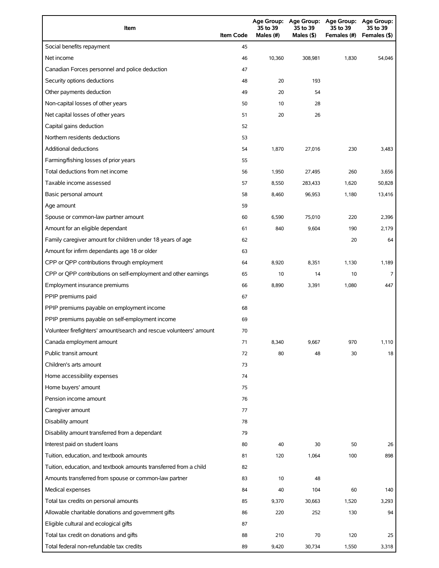| Item                                                                | <b>Item Code</b> | <b>Age Group:</b><br>35 to 39<br>Males (#) | <b>Age Group:</b><br>35 to 39<br>Males (\$) | <b>Age Group:</b><br>35 to 39<br>Females (#) | <b>Age Group:</b><br>35 to 39<br>Females (\$) |
|---------------------------------------------------------------------|------------------|--------------------------------------------|---------------------------------------------|----------------------------------------------|-----------------------------------------------|
| Social benefits repayment                                           | 45               |                                            |                                             |                                              |                                               |
| Net income                                                          | 46               | 10,360                                     | 308,981                                     | 1,830                                        | 54,046                                        |
| Canadian Forces personnel and police deduction                      | 47               |                                            |                                             |                                              |                                               |
| Security options deductions                                         | 48               | 20                                         | 193                                         |                                              |                                               |
| Other payments deduction                                            | 49               | 20                                         | 54                                          |                                              |                                               |
| Non-capital losses of other years                                   | 50               | 10                                         | 28                                          |                                              |                                               |
| Net capital losses of other years                                   | 51               | 20                                         | 26                                          |                                              |                                               |
| Capital gains deduction                                             | 52               |                                            |                                             |                                              |                                               |
| Northern residents deductions                                       | 53               |                                            |                                             |                                              |                                               |
| <b>Additional deductions</b>                                        | 54               | 1,870                                      | 27,016                                      | 230                                          | 3,483                                         |
| Farming/fishing losses of prior years                               | 55               |                                            |                                             |                                              |                                               |
| Total deductions from net income                                    | 56               | 1,950                                      | 27,495                                      | 260                                          | 3,656                                         |
| Taxable income assessed                                             | 57               | 8,550                                      | 283,433                                     | 1,620                                        | 50,828                                        |
| Basic personal amount                                               | 58               | 8,460                                      | 96,953                                      | 1,180                                        | 13,416                                        |
| Age amount                                                          | 59               |                                            |                                             |                                              |                                               |
| Spouse or common-law partner amount                                 | 60               | 6,590                                      | 75,010                                      | 220                                          | 2,396                                         |
| Amount for an eligible dependant                                    | 61               | 840                                        | 9,604                                       | 190                                          | 2,179                                         |
| Family caregiver amount for children under 18 years of age          | 62               |                                            |                                             | 20                                           | 64                                            |
| Amount for infirm dependants age 18 or older                        | 63               |                                            |                                             |                                              |                                               |
| CPP or QPP contributions through employment                         | 64               | 8,920                                      | 8,351                                       | 1,130                                        | 1,189                                         |
| CPP or QPP contributions on self-employment and other earnings      | 65               | 10                                         | 14                                          | 10                                           | 7                                             |
| Employment insurance premiums                                       | 66               | 8,890                                      | 3,391                                       | 1,080                                        | 447                                           |
| PPIP premiums paid                                                  | 67               |                                            |                                             |                                              |                                               |
| PPIP premiums payable on employment income                          | 68               |                                            |                                             |                                              |                                               |
| PPIP premiums payable on self-employment income                     | 69               |                                            |                                             |                                              |                                               |
| Volunteer firefighters' amount/search and rescue volunteers' amount | 70               |                                            |                                             |                                              |                                               |
| Canada employment amount                                            | 71               | 8,340                                      | 9,667                                       | 970                                          | 1,110                                         |
| Public transit amount                                               | 72               | 80                                         | 48                                          | 30                                           | 18                                            |
| Children's arts amount                                              | 73               |                                            |                                             |                                              |                                               |
| Home accessibility expenses                                         | 74               |                                            |                                             |                                              |                                               |
| Home buyers' amount                                                 | 75               |                                            |                                             |                                              |                                               |
| Pension income amount                                               | 76               |                                            |                                             |                                              |                                               |
| Caregiver amount                                                    | 77               |                                            |                                             |                                              |                                               |
| Disability amount                                                   | 78               |                                            |                                             |                                              |                                               |
| Disability amount transferred from a dependant                      | 79               |                                            |                                             |                                              |                                               |
| Interest paid on student loans                                      | 80               | 40                                         | 30                                          | 50                                           | 26                                            |
| Tuition, education, and textbook amounts                            | 81               | 120                                        | 1,064                                       | 100                                          | 898                                           |
| Tuition, education, and textbook amounts transferred from a child   | 82               |                                            |                                             |                                              |                                               |
| Amounts transferred from spouse or common-law partner               | 83               | 10                                         | 48                                          |                                              |                                               |
| Medical expenses                                                    | 84               | 40                                         | 104                                         | 60                                           | 140                                           |
| Total tax credits on personal amounts                               | 85               | 9,370                                      | 30,663                                      | 1,520                                        | 3,293                                         |
| Allowable charitable donations and government gifts                 | 86               | 220                                        | 252                                         | 130                                          | 94                                            |
| Eligible cultural and ecological gifts                              | 87               |                                            |                                             |                                              |                                               |
| Total tax credit on donations and gifts                             | 88               | 210                                        | 70                                          | 120                                          | 25                                            |
| Total federal non-refundable tax credits                            | 89               | 9,420                                      | 30,734                                      | 1,550                                        | 3,318                                         |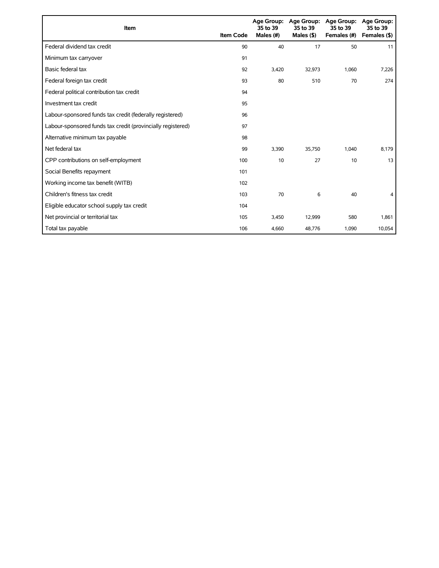| Item                                                        | <b>Item Code</b> | 35 to 39<br>Males (#) | Age Group: Age Group:<br>35 to 39<br>Males $($ \$ $)$ | <b>Age Group:</b><br>35 to 39<br>Females (#) | Age Group:<br>35 to 39<br>Females (\$) |
|-------------------------------------------------------------|------------------|-----------------------|-------------------------------------------------------|----------------------------------------------|----------------------------------------|
| Federal dividend tax credit                                 | 90               | 40                    | 17                                                    | 50                                           | 11                                     |
| Minimum tax carryover                                       | 91               |                       |                                                       |                                              |                                        |
| Basic federal tax                                           | 92               | 3,420                 | 32,973                                                | 1,060                                        | 7,226                                  |
| Federal foreign tax credit                                  | 93               | 80                    | 510                                                   | 70                                           | 274                                    |
| Federal political contribution tax credit                   | 94               |                       |                                                       |                                              |                                        |
| Investment tax credit                                       | 95               |                       |                                                       |                                              |                                        |
| Labour-sponsored funds tax credit (federally registered)    | 96               |                       |                                                       |                                              |                                        |
| Labour-sponsored funds tax credit (provincially registered) | 97               |                       |                                                       |                                              |                                        |
| Alternative minimum tax payable                             | 98               |                       |                                                       |                                              |                                        |
| Net federal tax                                             | 99               | 3,390                 | 35,750                                                | 1,040                                        | 8,179                                  |
| CPP contributions on self-employment                        | 100              | 10                    | 27                                                    | 10                                           | 13                                     |
| Social Benefits repayment                                   | 101              |                       |                                                       |                                              |                                        |
| Working income tax benefit (WITB)                           | 102              |                       |                                                       |                                              |                                        |
| Children's fitness tax credit                               | 103              | 70                    | 6                                                     | 40                                           | 4                                      |
| Eligible educator school supply tax credit                  | 104              |                       |                                                       |                                              |                                        |
| Net provincial or territorial tax                           | 105              | 3,450                 | 12,999                                                | 580                                          | 1,861                                  |
| Total tax payable                                           | 106              | 4,660                 | 48,776                                                | 1,090                                        | 10,054                                 |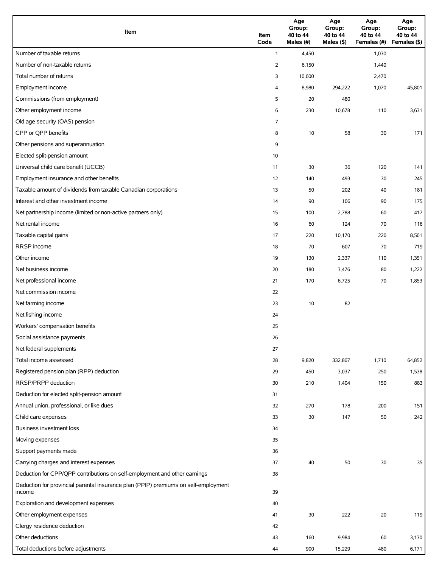| Item                                                                                          | Item<br>Code | Age<br>Group:<br>40 to 44<br>Males (#) | Age<br>Group:<br>40 to 44<br>Males (\$) | Age<br>Group:<br>40 to 44<br>Females (#) | Age<br>Group:<br>40 to 44<br>Females (\$) |
|-----------------------------------------------------------------------------------------------|--------------|----------------------------------------|-----------------------------------------|------------------------------------------|-------------------------------------------|
| Number of taxable returns                                                                     | $\mathbf{1}$ | 4,450                                  |                                         | 1,030                                    |                                           |
| Number of non-taxable returns                                                                 | 2            | 6,150                                  |                                         | 1,440                                    |                                           |
| Total number of returns                                                                       | 3            | 10,600                                 |                                         | 2,470                                    |                                           |
| Employment income                                                                             | 4            | 8,980                                  | 294,222                                 | 1,070                                    | 45,801                                    |
| Commissions (from employment)                                                                 | 5            | 20                                     | 480                                     |                                          |                                           |
| Other employment income                                                                       | 6            | 230                                    | 10,678                                  | 110                                      | 3,631                                     |
| Old age security (OAS) pension                                                                | 7            |                                        |                                         |                                          |                                           |
| CPP or QPP benefits                                                                           | 8            | 10                                     | 58                                      | 30                                       | 171                                       |
| Other pensions and superannuation                                                             | 9            |                                        |                                         |                                          |                                           |
| Elected split-pension amount                                                                  | 10           |                                        |                                         |                                          |                                           |
| Universal child care benefit (UCCB)                                                           | 11           | 30                                     | 36                                      | 120                                      | 141                                       |
| Employment insurance and other benefits                                                       | 12           | 140                                    | 493                                     | 30                                       | 245                                       |
| Taxable amount of dividends from taxable Canadian corporations                                | 13           | 50                                     | 202                                     | 40                                       | 181                                       |
| Interest and other investment income                                                          | 14           | 90                                     | 106                                     | 90                                       | 175                                       |
| Net partnership income (limited or non-active partners only)                                  | 15           | 100                                    | 2,788                                   | 60                                       | 417                                       |
| Net rental income                                                                             | 16           | 60                                     | 124                                     | 70                                       | 116                                       |
| Taxable capital gains                                                                         | 17           | 220                                    | 10,170                                  | 220                                      | 8,501                                     |
| RRSP income                                                                                   | 18           | 70                                     | 607                                     | 70                                       | 719                                       |
| Other income                                                                                  | 19           | 130                                    | 2,337                                   | 110                                      | 1,351                                     |
| Net business income                                                                           | 20           | 180                                    | 3,476                                   | 80                                       | 1,222                                     |
| Net professional income                                                                       | 21           | 170                                    | 6,725                                   | 70                                       | 1,853                                     |
| Net commission income                                                                         | 22           |                                        |                                         |                                          |                                           |
| Net farming income                                                                            | 23           | 10                                     | 82                                      |                                          |                                           |
| Net fishing income                                                                            | 24           |                                        |                                         |                                          |                                           |
| Workers' compensation benefits                                                                | 25           |                                        |                                         |                                          |                                           |
| Social assistance payments                                                                    | 26           |                                        |                                         |                                          |                                           |
| Net federal supplements                                                                       | 27           |                                        |                                         |                                          |                                           |
| Total income assessed                                                                         | 28           | 9,820                                  | 332,867                                 | 1,710                                    | 64,852                                    |
| Registered pension plan (RPP) deduction                                                       | 29           | 450                                    | 3,037                                   | 250                                      | 1,538                                     |
| RRSP/PRPP deduction                                                                           | 30           | 210                                    | 1,404                                   | 150                                      | 883                                       |
| Deduction for elected split-pension amount                                                    | 31           |                                        |                                         |                                          |                                           |
| Annual union, professional, or like dues                                                      | 32           | 270                                    | 178                                     | 200                                      | 151                                       |
| Child care expenses                                                                           | 33           | 30                                     | 147                                     | 50                                       | 242                                       |
| <b>Business investment loss</b>                                                               | 34           |                                        |                                         |                                          |                                           |
| Moving expenses                                                                               | 35           |                                        |                                         |                                          |                                           |
| Support payments made                                                                         | 36           |                                        |                                         |                                          |                                           |
| Carrying charges and interest expenses                                                        | 37           | 40                                     | 50                                      | 30                                       | 35                                        |
| Deduction for CPP/QPP contributions on self-employment and other earnings                     | 38           |                                        |                                         |                                          |                                           |
| Deduction for provincial parental insurance plan (PPIP) premiums on self-employment<br>income | 39           |                                        |                                         |                                          |                                           |
| Exploration and development expenses                                                          | 40           |                                        |                                         |                                          |                                           |
| Other employment expenses                                                                     | 41           | 30                                     | 222                                     | 20                                       | 119                                       |
| Clergy residence deduction                                                                    | 42           |                                        |                                         |                                          |                                           |
| Other deductions                                                                              | 43           | 160                                    | 9,984                                   | 60                                       | 3,130                                     |
| Total deductions before adjustments                                                           | 44           | 900                                    | 15,229                                  | 480                                      | 6,171                                     |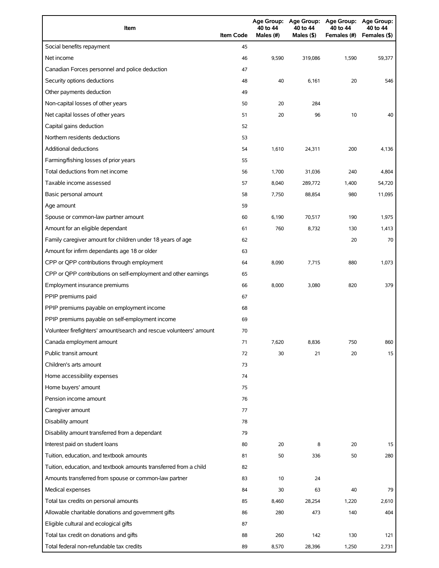| Item                                                                | <b>Item Code</b> | 40 to 44<br>Males (#) | 40 to 44<br>Males (\$) | Age Group: Age Group: Age Group: Age Group:<br>40 to 44<br>Females (#) | 40 to 44<br>Females (\$) |
|---------------------------------------------------------------------|------------------|-----------------------|------------------------|------------------------------------------------------------------------|--------------------------|
| Social benefits repayment                                           | 45               |                       |                        |                                                                        |                          |
| Net income                                                          | 46               | 9,590                 | 319,086                | 1,590                                                                  | 59,377                   |
| Canadian Forces personnel and police deduction                      | 47               |                       |                        |                                                                        |                          |
| Security options deductions                                         | 48               | 40                    | 6,161                  | 20                                                                     | 546                      |
| Other payments deduction                                            | 49               |                       |                        |                                                                        |                          |
| Non-capital losses of other years                                   | 50               | 20                    | 284                    |                                                                        |                          |
| Net capital losses of other years                                   | 51               | 20                    | 96                     | 10                                                                     | 40                       |
| Capital gains deduction                                             | 52               |                       |                        |                                                                        |                          |
| Northern residents deductions                                       | 53               |                       |                        |                                                                        |                          |
| Additional deductions                                               | 54               | 1,610                 | 24,311                 | 200                                                                    | 4,136                    |
| Farming/fishing losses of prior years                               | 55               |                       |                        |                                                                        |                          |
| Total deductions from net income                                    | 56               | 1,700                 | 31,036                 | 240                                                                    | 4,804                    |
| Taxable income assessed                                             | 57               | 8,040                 | 289,772                | 1,400                                                                  | 54,720                   |
| Basic personal amount                                               | 58               | 7,750                 | 88,854                 | 980                                                                    | 11,095                   |
| Age amount                                                          | 59               |                       |                        |                                                                        |                          |
| Spouse or common-law partner amount                                 | 60               | 6,190                 | 70,517                 | 190                                                                    | 1,975                    |
| Amount for an eligible dependant                                    | 61               | 760                   | 8,732                  | 130                                                                    | 1,413                    |
| Family caregiver amount for children under 18 years of age          | 62               |                       |                        | 20                                                                     | 70                       |
| Amount for infirm dependants age 18 or older                        | 63               |                       |                        |                                                                        |                          |
| CPP or QPP contributions through employment                         | 64               | 8,090                 | 7,715                  | 880                                                                    | 1,073                    |
| CPP or QPP contributions on self-employment and other earnings      | 65               |                       |                        |                                                                        |                          |
| Employment insurance premiums                                       | 66               | 8,000                 | 3,080                  | 820                                                                    | 379                      |
| PPIP premiums paid                                                  | 67               |                       |                        |                                                                        |                          |
| PPIP premiums payable on employment income                          | 68               |                       |                        |                                                                        |                          |
| PPIP premiums payable on self-employment income                     | 69               |                       |                        |                                                                        |                          |
| Volunteer firefighters' amount/search and rescue volunteers' amount | 70               |                       |                        |                                                                        |                          |
| Canada employment amount                                            | 71               | 7,620                 | 8,836                  | 750                                                                    | 860                      |
| Public transit amount                                               | 72               | 30                    | 21                     | 20                                                                     | 15                       |
| Children's arts amount                                              | 73               |                       |                        |                                                                        |                          |
| Home accessibility expenses                                         | 74               |                       |                        |                                                                        |                          |
| Home buyers' amount                                                 | 75               |                       |                        |                                                                        |                          |
| Pension income amount                                               | 76               |                       |                        |                                                                        |                          |
| Caregiver amount                                                    | 77               |                       |                        |                                                                        |                          |
| Disability amount                                                   | 78               |                       |                        |                                                                        |                          |
| Disability amount transferred from a dependant                      | 79               |                       |                        |                                                                        |                          |
| Interest paid on student loans                                      | 80               | 20                    | 8                      | 20                                                                     | 15                       |
| Tuition, education, and textbook amounts                            | 81               | 50                    | 336                    | 50                                                                     | 280                      |
| Tuition, education, and textbook amounts transferred from a child   | 82               |                       |                        |                                                                        |                          |
| Amounts transferred from spouse or common-law partner               | 83               | 10                    | 24                     |                                                                        |                          |
| Medical expenses                                                    | 84               | 30                    | 63                     | 40                                                                     | 79                       |
| Total tax credits on personal amounts                               | 85               | 8,460                 | 28,254                 | 1,220                                                                  | 2,610                    |
| Allowable charitable donations and government gifts                 | 86               | 280                   | 473                    | 140                                                                    | 404                      |
| Eligible cultural and ecological gifts                              | 87               |                       |                        |                                                                        |                          |
| Total tax credit on donations and gifts                             | 88               | 260                   | 142                    | 130                                                                    | 121                      |
| Total federal non-refundable tax credits                            | 89               | 8,570                 | 28,396                 | 1,250                                                                  | 2,731                    |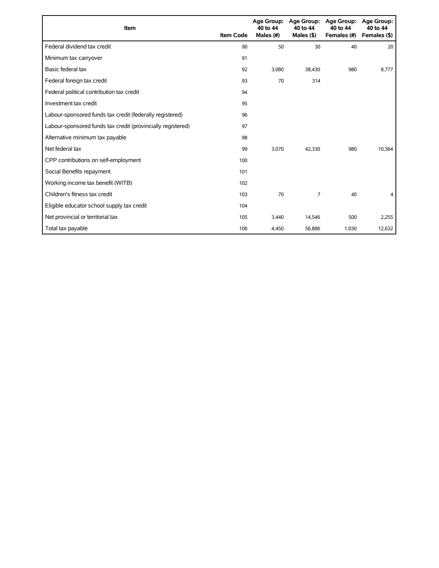| Item                                                        | <b>Item Code</b> | 40 to 44<br>Males (#) | Age Group: Age Group:<br>40 to 44<br>Males $($ \$ $)$ | <b>Age Group:</b><br>40 to 44<br>Females (#) | <b>Age Group:</b><br>40 to 44<br>Females (\$) |
|-------------------------------------------------------------|------------------|-----------------------|-------------------------------------------------------|----------------------------------------------|-----------------------------------------------|
| Federal dividend tax credit                                 | 90               | 50                    | 30                                                    | 40                                           | 20                                            |
| Minimum tax carryover                                       | 91               |                       |                                                       |                                              |                                               |
| Basic federal tax                                           | 92               | 3,080                 | 38,430                                                | 980                                          | 8,777                                         |
| Federal foreign tax credit                                  | 93               | 70                    | 314                                                   |                                              |                                               |
| Federal political contribution tax credit                   | 94               |                       |                                                       |                                              |                                               |
| Investment tax credit                                       | 95               |                       |                                                       |                                              |                                               |
| Labour-sponsored funds tax credit (federally registered)    | 96               |                       |                                                       |                                              |                                               |
| Labour-sponsored funds tax credit (provincially registered) | 97               |                       |                                                       |                                              |                                               |
| Alternative minimum tax payable                             | 98               |                       |                                                       |                                              |                                               |
| Net federal tax                                             | 99               | 3,070                 | 42,330                                                | 980                                          | 10,364                                        |
| CPP contributions on self-employment                        | 100              |                       |                                                       |                                              |                                               |
| Social Benefits repayment                                   | 101              |                       |                                                       |                                              |                                               |
| Working income tax benefit (WITB)                           | 102              |                       |                                                       |                                              |                                               |
| Children's fitness tax credit                               | 103              | 70                    | 7                                                     | 40                                           | 4                                             |
| Eligible educator school supply tax credit                  | 104              |                       |                                                       |                                              |                                               |
| Net provincial or territorial tax                           | 105              | 3,440                 | 14,546                                                | 500                                          | 2,255                                         |
| Total tax payable                                           | 106              | 4,450                 | 56,886                                                | 1,030                                        | 12,632                                        |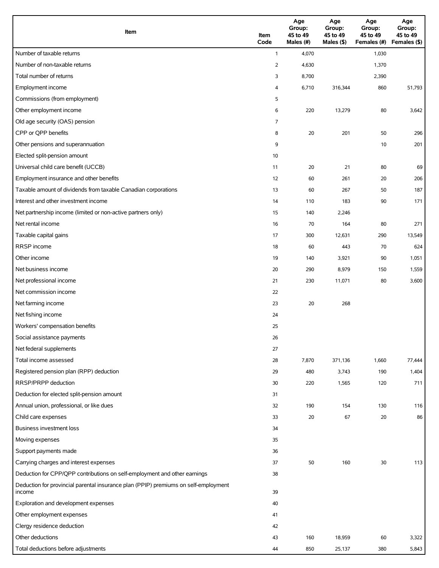| Item                                                                                          | Item<br>Code   | Age<br>Group:<br>45 to 49<br>Males (#) | Age<br>Group:<br>45 to 49<br>Males (\$) | Age<br>Group:<br>45 to 49<br>Females (#) | Age<br>Group:<br>45 to 49<br>Females (\$) |
|-----------------------------------------------------------------------------------------------|----------------|----------------------------------------|-----------------------------------------|------------------------------------------|-------------------------------------------|
| Number of taxable returns                                                                     | $\mathbf{1}$   | 4,070                                  |                                         | 1,030                                    |                                           |
| Number of non-taxable returns                                                                 | $\overline{2}$ | 4,630                                  |                                         | 1,370                                    |                                           |
| Total number of returns                                                                       | 3              | 8,700                                  |                                         | 2,390                                    |                                           |
| Employment income                                                                             | 4              | 6,710                                  | 316,344                                 | 860                                      | 51,793                                    |
| Commissions (from employment)                                                                 | 5              |                                        |                                         |                                          |                                           |
| Other employment income                                                                       | 6              | 220                                    | 13,279                                  | 80                                       | 3,642                                     |
| Old age security (OAS) pension                                                                | 7              |                                        |                                         |                                          |                                           |
| CPP or QPP benefits                                                                           | 8              | 20                                     | 201                                     | 50                                       | 296                                       |
| Other pensions and superannuation                                                             | 9              |                                        |                                         | 10                                       | 201                                       |
| Elected split-pension amount                                                                  | 10             |                                        |                                         |                                          |                                           |
| Universal child care benefit (UCCB)                                                           | 11             | 20                                     | 21                                      | 80                                       | 69                                        |
| Employment insurance and other benefits                                                       | 12             | 60                                     | 261                                     | 20                                       | 206                                       |
| Taxable amount of dividends from taxable Canadian corporations                                | 13             | 60                                     | 267                                     | 50                                       | 187                                       |
| Interest and other investment income                                                          | 14             | 110                                    | 183                                     | 90                                       | 171                                       |
| Net partnership income (limited or non-active partners only)                                  | 15             | 140                                    | 2,246                                   |                                          |                                           |
| Net rental income                                                                             | 16             | 70                                     | 164                                     | 80                                       | 271                                       |
| Taxable capital gains                                                                         | 17             | 300                                    | 12,631                                  | 290                                      | 13,549                                    |
| <b>RRSP</b> income                                                                            | 18             | 60                                     | 443                                     | 70                                       | 624                                       |
| Other income                                                                                  | 19             | 140                                    | 3,921                                   | 90                                       | 1,051                                     |
| Net business income                                                                           | 20             | 290                                    | 8,979                                   | 150                                      | 1,559                                     |
| Net professional income                                                                       | 21             | 230                                    | 11,071                                  | 80                                       | 3,600                                     |
| Net commission income                                                                         | 22             |                                        |                                         |                                          |                                           |
| Net farming income                                                                            | 23             | 20                                     | 268                                     |                                          |                                           |
| Net fishing income                                                                            | 24             |                                        |                                         |                                          |                                           |
| Workers' compensation benefits                                                                | 25             |                                        |                                         |                                          |                                           |
| Social assistance payments                                                                    | 26             |                                        |                                         |                                          |                                           |
| Net federal supplements                                                                       | 27             |                                        |                                         |                                          |                                           |
| Total income assessed                                                                         | 28             | 7,870                                  | 371,136                                 | 1,660                                    | 77,444                                    |
| Registered pension plan (RPP) deduction                                                       | 29             | 480                                    | 3,743                                   | 190                                      | 1,404                                     |
| RRSP/PRPP deduction                                                                           | 30             | 220                                    | 1,565                                   | 120                                      | 711                                       |
| Deduction for elected split-pension amount                                                    | 31             |                                        |                                         |                                          |                                           |
| Annual union, professional, or like dues                                                      | 32             | 190                                    | 154                                     | 130                                      | 116                                       |
| Child care expenses                                                                           | 33             | 20                                     | 67                                      | 20                                       | 86                                        |
| <b>Business investment loss</b>                                                               | 34             |                                        |                                         |                                          |                                           |
| Moving expenses                                                                               | 35             |                                        |                                         |                                          |                                           |
| Support payments made                                                                         | 36             |                                        |                                         |                                          |                                           |
| Carrying charges and interest expenses                                                        | 37             | 50                                     | 160                                     | 30                                       | 113                                       |
| Deduction for CPP/QPP contributions on self-employment and other earnings                     | 38             |                                        |                                         |                                          |                                           |
| Deduction for provincial parental insurance plan (PPIP) premiums on self-employment<br>income | 39             |                                        |                                         |                                          |                                           |
| Exploration and development expenses                                                          | 40             |                                        |                                         |                                          |                                           |
| Other employment expenses                                                                     | 41             |                                        |                                         |                                          |                                           |
| Clergy residence deduction                                                                    | 42             |                                        |                                         |                                          |                                           |
| Other deductions                                                                              | 43             | 160                                    | 18,959                                  | 60                                       | 3,322                                     |
| Total deductions before adjustments                                                           | 44             | 850                                    | 25,137                                  | 380                                      | 5,843                                     |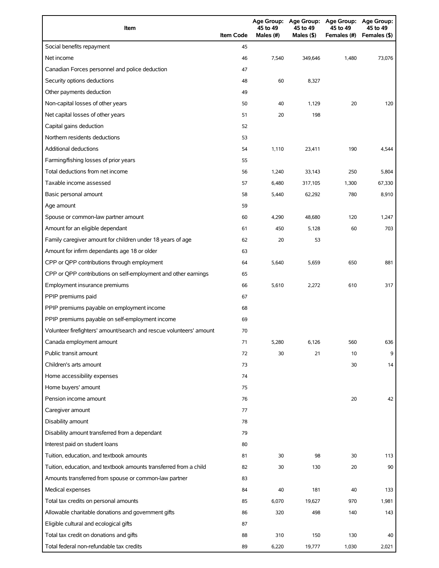| Item                                                                | <b>Item Code</b> | 45 to 49<br>Males (#) | 45 to 49<br>Males (\$) | Age Group: Age Group: Age Group: Age Group:<br>45 to 49<br>Females (#) | 45 to 49<br>Females (\$) |
|---------------------------------------------------------------------|------------------|-----------------------|------------------------|------------------------------------------------------------------------|--------------------------|
| Social benefits repayment                                           | 45               |                       |                        |                                                                        |                          |
| Net income                                                          | 46               | 7,540                 | 349,646                | 1,480                                                                  | 73,076                   |
| Canadian Forces personnel and police deduction                      | 47               |                       |                        |                                                                        |                          |
| Security options deductions                                         | 48               | 60                    | 8,327                  |                                                                        |                          |
| Other payments deduction                                            | 49               |                       |                        |                                                                        |                          |
| Non-capital losses of other years                                   | 50               | 40                    | 1,129                  | 20                                                                     | 120                      |
| Net capital losses of other years                                   | 51               | 20                    | 198                    |                                                                        |                          |
| Capital gains deduction                                             | 52               |                       |                        |                                                                        |                          |
| Northern residents deductions                                       | 53               |                       |                        |                                                                        |                          |
| <b>Additional deductions</b>                                        | 54               | 1,110                 | 23,411                 | 190                                                                    | 4,544                    |
| Farming/fishing losses of prior years                               | 55               |                       |                        |                                                                        |                          |
| Total deductions from net income                                    | 56               | 1,240                 | 33,143                 | 250                                                                    | 5,804                    |
| Taxable income assessed                                             | 57               | 6,480                 | 317,105                | 1,300                                                                  | 67,330                   |
| Basic personal amount                                               | 58               | 5,440                 | 62,292                 | 780                                                                    | 8,910                    |
| Age amount                                                          | 59               |                       |                        |                                                                        |                          |
| Spouse or common-law partner amount                                 | 60               | 4,290                 | 48,680                 | 120                                                                    | 1,247                    |
| Amount for an eligible dependant                                    | 61               | 450                   | 5,128                  | 60                                                                     | 703                      |
| Family caregiver amount for children under 18 years of age          | 62               | 20                    | 53                     |                                                                        |                          |
| Amount for infirm dependants age 18 or older                        | 63               |                       |                        |                                                                        |                          |
| CPP or QPP contributions through employment                         | 64               | 5,640                 | 5,659                  | 650                                                                    | 881                      |
| CPP or QPP contributions on self-employment and other earnings      | 65               |                       |                        |                                                                        |                          |
| Employment insurance premiums                                       | 66               | 5,610                 | 2,272                  | 610                                                                    | 317                      |
| PPIP premiums paid                                                  | 67               |                       |                        |                                                                        |                          |
| PPIP premiums payable on employment income                          | 68               |                       |                        |                                                                        |                          |
| PPIP premiums payable on self-employment income                     | 69               |                       |                        |                                                                        |                          |
| Volunteer firefighters' amount/search and rescue volunteers' amount | 70               |                       |                        |                                                                        |                          |
| Canada employment amount                                            | 71               | 5,280                 | 6,126                  | 560                                                                    | 636                      |
| Public transit amount                                               | 72               | 30                    | 21                     | 10                                                                     | 9                        |
| Children's arts amount                                              | 73               |                       |                        | 30                                                                     | 14                       |
| Home accessibility expenses                                         | 74               |                       |                        |                                                                        |                          |
| Home buyers' amount                                                 | 75               |                       |                        |                                                                        |                          |
| Pension income amount                                               | 76               |                       |                        | 20                                                                     | 42                       |
| Caregiver amount                                                    | 77               |                       |                        |                                                                        |                          |
| Disability amount                                                   | 78               |                       |                        |                                                                        |                          |
| Disability amount transferred from a dependant                      | 79               |                       |                        |                                                                        |                          |
| Interest paid on student loans                                      | 80               |                       |                        |                                                                        |                          |
| Tuition, education, and textbook amounts                            | 81               | 30                    | 98                     | 30                                                                     | 113                      |
| Tuition, education, and textbook amounts transferred from a child   | 82               | 30                    | 130                    | 20                                                                     | 90                       |
| Amounts transferred from spouse or common-law partner               | 83               |                       |                        |                                                                        |                          |
| Medical expenses                                                    | 84               | 40                    | 181                    | 40                                                                     | 133                      |
| Total tax credits on personal amounts                               | 85               | 6,070                 | 19,627                 | 970                                                                    | 1,981                    |
| Allowable charitable donations and government gifts                 | 86               | 320                   | 498                    | 140                                                                    | 143                      |
| Eligible cultural and ecological gifts                              | 87               |                       |                        |                                                                        |                          |
| Total tax credit on donations and gifts                             | 88               | 310                   | 150                    | 130                                                                    | 40                       |
| Total federal non-refundable tax credits                            | 89               | 6,220                 | 19,777                 | 1,030                                                                  | 2,021                    |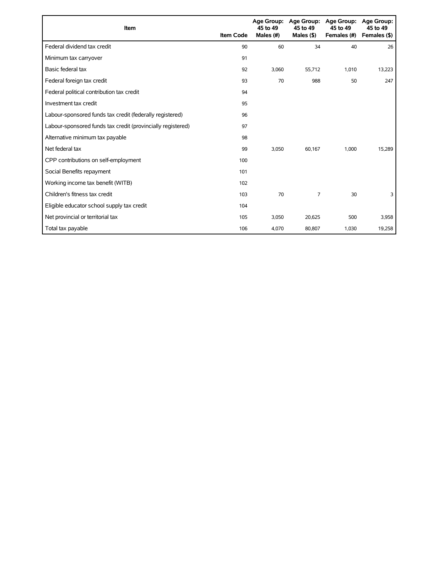| Item                                                        | <b>Item Code</b> | 45 to 49<br>Males (#) | Age Group: Age Group:<br>45 to 49<br>Males $($ \$ $)$ | <b>Age Group:</b><br>45 to 49<br>Females (#) | Age Group:<br>45 to 49<br>Females (\$) |
|-------------------------------------------------------------|------------------|-----------------------|-------------------------------------------------------|----------------------------------------------|----------------------------------------|
| Federal dividend tax credit                                 | 90               | 60                    | 34                                                    | 40                                           | 26                                     |
| Minimum tax carryover                                       | 91               |                       |                                                       |                                              |                                        |
| Basic federal tax                                           | 92               | 3,060                 | 55,712                                                | 1,010                                        | 13,223                                 |
| Federal foreign tax credit                                  | 93               | 70                    | 988                                                   | 50                                           | 247                                    |
| Federal political contribution tax credit                   | 94               |                       |                                                       |                                              |                                        |
| Investment tax credit                                       | 95               |                       |                                                       |                                              |                                        |
| Labour-sponsored funds tax credit (federally registered)    | 96               |                       |                                                       |                                              |                                        |
| Labour-sponsored funds tax credit (provincially registered) | 97               |                       |                                                       |                                              |                                        |
| Alternative minimum tax payable                             | 98               |                       |                                                       |                                              |                                        |
| Net federal tax                                             | 99               | 3,050                 | 60,167                                                | 1,000                                        | 15,289                                 |
| CPP contributions on self-employment                        | 100              |                       |                                                       |                                              |                                        |
| Social Benefits repayment                                   | 101              |                       |                                                       |                                              |                                        |
| Working income tax benefit (WITB)                           | 102              |                       |                                                       |                                              |                                        |
| Children's fitness tax credit                               | 103              | 70                    | 7                                                     | 30                                           | 3                                      |
| Eligible educator school supply tax credit                  | 104              |                       |                                                       |                                              |                                        |
| Net provincial or territorial tax                           | 105              | 3,050                 | 20,625                                                | 500                                          | 3,958                                  |
| Total tax payable                                           | 106              | 4,070                 | 80,807                                                | 1,030                                        | 19,258                                 |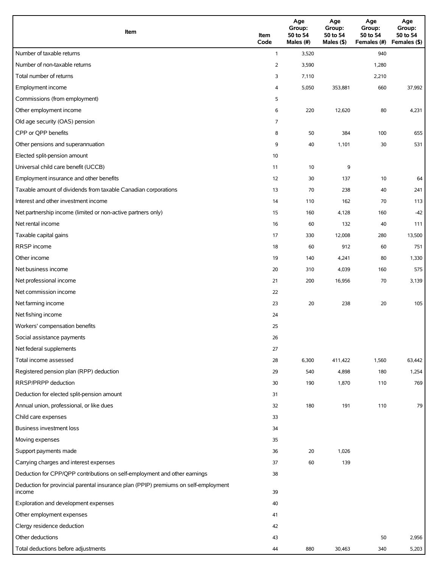| Item                                                                                          | Item<br>Code   | Age<br>Group:<br>50 to 54<br>Males (#) | Age<br>Group:<br>50 to 54<br>Males (\$) | Age<br>Group:<br>50 to 54<br>Females (#) | Age<br>Group:<br>50 to 54<br>Females (\$) |
|-----------------------------------------------------------------------------------------------|----------------|----------------------------------------|-----------------------------------------|------------------------------------------|-------------------------------------------|
| Number of taxable returns                                                                     | $\mathbf{1}$   | 3,520                                  |                                         | 940                                      |                                           |
| Number of non-taxable returns                                                                 | $\overline{2}$ | 3,590                                  |                                         | 1,280                                    |                                           |
| Total number of returns                                                                       | 3              | 7,110                                  |                                         | 2,210                                    |                                           |
| Employment income                                                                             | 4              | 5,050                                  | 353,881                                 | 660                                      | 37,992                                    |
| Commissions (from employment)                                                                 | 5              |                                        |                                         |                                          |                                           |
| Other employment income                                                                       | 6              | 220                                    | 12,620                                  | 80                                       | 4,231                                     |
| Old age security (OAS) pension                                                                | 7              |                                        |                                         |                                          |                                           |
| CPP or QPP benefits                                                                           | 8              | 50                                     | 384                                     | 100                                      | 655                                       |
| Other pensions and superannuation                                                             | 9              | 40                                     | 1,101                                   | 30                                       | 531                                       |
| Elected split-pension amount                                                                  | 10             |                                        |                                         |                                          |                                           |
| Universal child care benefit (UCCB)                                                           | 11             | 10                                     | 9                                       |                                          |                                           |
| Employment insurance and other benefits                                                       | 12             | 30                                     | 137                                     | 10                                       | 64                                        |
| Taxable amount of dividends from taxable Canadian corporations                                | 13             | 70                                     | 238                                     | 40                                       | 241                                       |
| Interest and other investment income                                                          | 14             | 110                                    | 162                                     | 70                                       | 113                                       |
| Net partnership income (limited or non-active partners only)                                  | 15             | 160                                    | 4,128                                   | 160                                      | $-42$                                     |
| Net rental income                                                                             | 16             | 60                                     | 132                                     | 40                                       | 111                                       |
| Taxable capital gains                                                                         | 17             | 330                                    | 12,008                                  | 280                                      | 13,500                                    |
| <b>RRSP</b> income                                                                            | 18             | 60                                     | 912                                     | 60                                       | 751                                       |
| Other income                                                                                  | 19             | 140                                    | 4,241                                   | 80                                       | 1,330                                     |
| Net business income                                                                           | 20             | 310                                    | 4,039                                   | 160                                      | 575                                       |
| Net professional income                                                                       | 21             | 200                                    | 16,956                                  | 70                                       | 3,139                                     |
| Net commission income                                                                         | 22             |                                        |                                         |                                          |                                           |
| Net farming income                                                                            | 23             | 20                                     | 238                                     | 20                                       | 105                                       |
| Net fishing income                                                                            | 24             |                                        |                                         |                                          |                                           |
| Workers' compensation benefits                                                                | 25             |                                        |                                         |                                          |                                           |
| Social assistance payments                                                                    | 26             |                                        |                                         |                                          |                                           |
| Net federal supplements                                                                       | 27             |                                        |                                         |                                          |                                           |
| Total income assessed                                                                         | 28             | 6,300                                  | 411,422                                 | 1,560                                    | 63,442                                    |
| Registered pension plan (RPP) deduction                                                       | 29             | 540                                    | 4,898                                   | 180                                      | 1,254                                     |
| RRSP/PRPP deduction                                                                           | 30             | 190                                    | 1,870                                   | 110                                      | 769                                       |
| Deduction for elected split-pension amount                                                    | 31             |                                        |                                         |                                          |                                           |
| Annual union, professional, or like dues                                                      | 32             | 180                                    | 191                                     | 110                                      | 79                                        |
| Child care expenses                                                                           | 33             |                                        |                                         |                                          |                                           |
| Business investment loss                                                                      | 34             |                                        |                                         |                                          |                                           |
| Moving expenses                                                                               | 35             |                                        |                                         |                                          |                                           |
| Support payments made                                                                         | 36             | 20                                     | 1,026                                   |                                          |                                           |
| Carrying charges and interest expenses                                                        | 37             | 60                                     | 139                                     |                                          |                                           |
| Deduction for CPP/QPP contributions on self-employment and other earnings                     | 38             |                                        |                                         |                                          |                                           |
| Deduction for provincial parental insurance plan (PPIP) premiums on self-employment<br>income | 39             |                                        |                                         |                                          |                                           |
| Exploration and development expenses                                                          | 40             |                                        |                                         |                                          |                                           |
| Other employment expenses                                                                     | 41             |                                        |                                         |                                          |                                           |
| Clergy residence deduction                                                                    | 42             |                                        |                                         |                                          |                                           |
| Other deductions                                                                              | 43             |                                        |                                         | 50                                       | 2,956                                     |
| Total deductions before adjustments                                                           | 44             | 880                                    | 30,463                                  | 340                                      | 5,203                                     |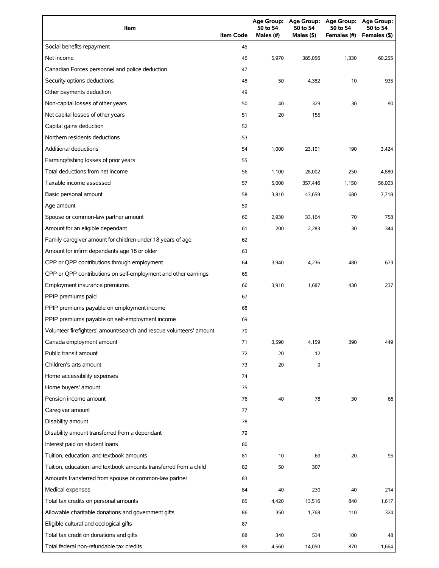| Item                                                                | <b>Item Code</b> | <b>Age Group:</b><br>50 to 54<br>Males (#) | Age Group:<br>50 to 54<br>Males $(§)$ | <b>Age Group:</b><br>50 to 54<br>Females (#) | Age Group:<br>50 to 54<br>Females (\$) |
|---------------------------------------------------------------------|------------------|--------------------------------------------|---------------------------------------|----------------------------------------------|----------------------------------------|
| Social benefits repayment                                           | 45               |                                            |                                       |                                              |                                        |
| Net income                                                          | 46               | 5,970                                      | 385,056                               | 1,330                                        | 60,255                                 |
| Canadian Forces personnel and police deduction                      | 47               |                                            |                                       |                                              |                                        |
| Security options deductions                                         | 48               | 50                                         | 4,382                                 | 10                                           | 935                                    |
| Other payments deduction                                            | 49               |                                            |                                       |                                              |                                        |
| Non-capital losses of other years                                   | 50               | 40                                         | 329                                   | 30                                           | 90                                     |
| Net capital losses of other years                                   | 51               | 20                                         | 155                                   |                                              |                                        |
| Capital gains deduction                                             | 52               |                                            |                                       |                                              |                                        |
| Northern residents deductions                                       | 53               |                                            |                                       |                                              |                                        |
| <b>Additional deductions</b>                                        | 54               | 1,000                                      | 23,101                                | 190                                          | 3,424                                  |
| Farming/fishing losses of prior years                               | 55               |                                            |                                       |                                              |                                        |
| Total deductions from net income                                    | 56               | 1,100                                      | 28,002                                | 250                                          | 4,880                                  |
| Taxable income assessed                                             | 57               | 5,000                                      | 357,446                               | 1,150                                        | 56,003                                 |
| Basic personal amount                                               | 58               | 3,810                                      | 43,659                                | 680                                          | 7,718                                  |
| Age amount                                                          | 59               |                                            |                                       |                                              |                                        |
| Spouse or common-law partner amount                                 | 60               | 2,930                                      | 33,164                                | 70                                           | 758                                    |
| Amount for an eligible dependant                                    | 61               | 200                                        | 2,283                                 | 30                                           | 344                                    |
| Family caregiver amount for children under 18 years of age          | 62               |                                            |                                       |                                              |                                        |
| Amount for infirm dependants age 18 or older                        | 63               |                                            |                                       |                                              |                                        |
| CPP or QPP contributions through employment                         | 64               | 3,940                                      | 4,236                                 | 480                                          | 673                                    |
| CPP or QPP contributions on self-employment and other earnings      | 65               |                                            |                                       |                                              |                                        |
| Employment insurance premiums                                       | 66               | 3,910                                      | 1,687                                 | 430                                          | 237                                    |
| PPIP premiums paid                                                  | 67               |                                            |                                       |                                              |                                        |
| PPIP premiums payable on employment income                          | 68               |                                            |                                       |                                              |                                        |
| PPIP premiums payable on self-employment income                     | 69               |                                            |                                       |                                              |                                        |
| Volunteer firefighters' amount/search and rescue volunteers' amount | 70               |                                            |                                       |                                              |                                        |
| Canada employment amount                                            | 71               | 3,590                                      | 4,159                                 | 390                                          | 449                                    |
| Public transit amount                                               | 72               | 20                                         | 12                                    |                                              |                                        |
| Children's arts amount                                              | 73               | 20                                         | 9                                     |                                              |                                        |
| Home accessibility expenses                                         | 74               |                                            |                                       |                                              |                                        |
| Home buyers' amount                                                 | 75               |                                            |                                       |                                              |                                        |
| Pension income amount                                               | 76               | 40                                         | 78                                    | 30                                           | 66                                     |
| Caregiver amount                                                    | 77               |                                            |                                       |                                              |                                        |
| Disability amount                                                   | 78               |                                            |                                       |                                              |                                        |
| Disability amount transferred from a dependant                      | 79               |                                            |                                       |                                              |                                        |
| Interest paid on student loans                                      | 80               |                                            |                                       |                                              |                                        |
| Tuition, education, and textbook amounts                            | 81               | 10                                         | 69                                    | 20                                           | 95                                     |
| Tuition, education, and textbook amounts transferred from a child   | 82               | 50                                         | 307                                   |                                              |                                        |
| Amounts transferred from spouse or common-law partner               | 83               |                                            |                                       |                                              |                                        |
| Medical expenses                                                    | 84               | 40                                         | 230                                   | 40                                           | 214                                    |
| Total tax credits on personal amounts                               | 85               | 4,420                                      | 13,516                                | 840                                          | 1,617                                  |
| Allowable charitable donations and government gifts                 | 86               | 350                                        | 1,768                                 | 110                                          | 324                                    |
| Eligible cultural and ecological gifts                              | 87               |                                            |                                       |                                              |                                        |
| Total tax credit on donations and gifts                             | 88               | 340                                        | 534                                   | 100                                          | 48                                     |
| Total federal non-refundable tax credits                            | 89               | 4,560                                      | 14,050                                | 870                                          | 1,664                                  |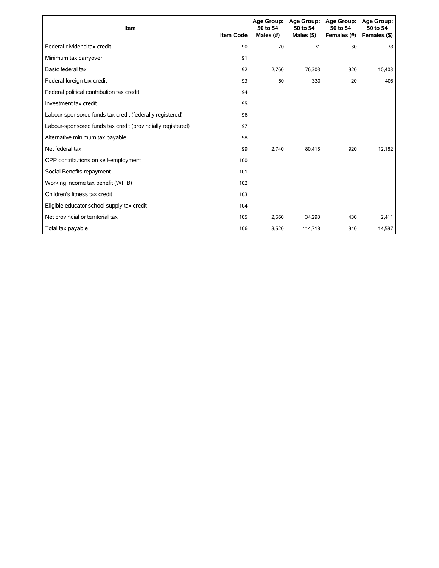| Item                                                        | <b>Item Code</b> | 50 to 54<br>Males (#) | Age Group: Age Group:<br>50 to 54<br>Males (\$) | Age Group:<br>50 to 54<br>Females (#) | Age Group:<br>50 to 54<br>Females (\$) |
|-------------------------------------------------------------|------------------|-----------------------|-------------------------------------------------|---------------------------------------|----------------------------------------|
| Federal dividend tax credit                                 | 90               | 70                    | 31                                              | 30                                    | 33                                     |
| Minimum tax carryover                                       | 91               |                       |                                                 |                                       |                                        |
| Basic federal tax                                           | 92               | 2,760                 | 76,303                                          | 920                                   | 10,403                                 |
| Federal foreign tax credit                                  | 93               | 60                    | 330                                             | 20                                    | 408                                    |
| Federal political contribution tax credit                   | 94               |                       |                                                 |                                       |                                        |
| Investment tax credit                                       | 95               |                       |                                                 |                                       |                                        |
| Labour-sponsored funds tax credit (federally registered)    | 96               |                       |                                                 |                                       |                                        |
| Labour-sponsored funds tax credit (provincially registered) | 97               |                       |                                                 |                                       |                                        |
| Alternative minimum tax payable                             | 98               |                       |                                                 |                                       |                                        |
| Net federal tax                                             | 99               | 2,740                 | 80,415                                          | 920                                   | 12,182                                 |
| CPP contributions on self-employment                        | 100              |                       |                                                 |                                       |                                        |
| Social Benefits repayment                                   | 101              |                       |                                                 |                                       |                                        |
| Working income tax benefit (WITB)                           | 102              |                       |                                                 |                                       |                                        |
| Children's fitness tax credit                               | 103              |                       |                                                 |                                       |                                        |
| Eligible educator school supply tax credit                  | 104              |                       |                                                 |                                       |                                        |
| Net provincial or territorial tax                           | 105              | 2,560                 | 34,293                                          | 430                                   | 2,411                                  |
| Total tax payable                                           | 106              | 3,520                 | 114,718                                         | 940                                   | 14,597                                 |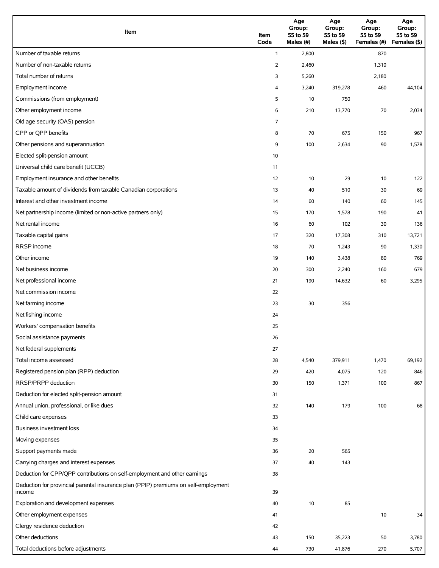| Item                                                                                          | Item<br>Code   | Age<br>Group:<br>55 to 59<br>Males (#) | Age<br>Group:<br>55 to 59<br>Males (\$) | Age<br>Group:<br>55 to 59<br>Females (#) | Age<br>Group:<br>55 to 59<br>Females (\$) |
|-----------------------------------------------------------------------------------------------|----------------|----------------------------------------|-----------------------------------------|------------------------------------------|-------------------------------------------|
| Number of taxable returns                                                                     | $\mathbf{1}$   | 2,800                                  |                                         | 870                                      |                                           |
| Number of non-taxable returns                                                                 | $\overline{2}$ | 2,460                                  |                                         | 1,310                                    |                                           |
| Total number of returns                                                                       | 3              | 5,260                                  |                                         | 2,180                                    |                                           |
| Employment income                                                                             | 4              | 3,240                                  | 319,278                                 | 460                                      | 44,104                                    |
| Commissions (from employment)                                                                 | 5              | 10                                     | 750                                     |                                          |                                           |
| Other employment income                                                                       | 6              | 210                                    | 13,770                                  | 70                                       | 2,034                                     |
| Old age security (OAS) pension                                                                | 7              |                                        |                                         |                                          |                                           |
| CPP or QPP benefits                                                                           | 8              | 70                                     | 675                                     | 150                                      | 967                                       |
| Other pensions and superannuation                                                             | 9              | 100                                    | 2,634                                   | 90                                       | 1,578                                     |
| Elected split-pension amount                                                                  | 10             |                                        |                                         |                                          |                                           |
| Universal child care benefit (UCCB)                                                           | 11             |                                        |                                         |                                          |                                           |
| Employment insurance and other benefits                                                       | 12             | 10                                     | 29                                      | 10                                       | 122                                       |
| Taxable amount of dividends from taxable Canadian corporations                                | 13             | 40                                     | 510                                     | 30                                       | 69                                        |
| Interest and other investment income                                                          | 14             | 60                                     | 140                                     | 60                                       | 145                                       |
| Net partnership income (limited or non-active partners only)                                  | 15             | 170                                    | 1,578                                   | 190                                      | 41                                        |
| Net rental income                                                                             | 16             | 60                                     | 102                                     | 30                                       | 136                                       |
| Taxable capital gains                                                                         | 17             | 320                                    | 17,308                                  | 310                                      | 13,721                                    |
| <b>RRSP</b> income                                                                            | 18             | 70                                     | 1,243                                   | 90                                       | 1,330                                     |
| Other income                                                                                  | 19             | 140                                    | 3,438                                   | 80                                       | 769                                       |
| Net business income                                                                           | 20             | 300                                    | 2,240                                   | 160                                      | 679                                       |
| Net professional income                                                                       | 21             | 190                                    | 14,632                                  | 60                                       | 3,295                                     |
| Net commission income                                                                         | 22             |                                        |                                         |                                          |                                           |
| Net farming income                                                                            | 23             | 30                                     | 356                                     |                                          |                                           |
| Net fishing income                                                                            | 24             |                                        |                                         |                                          |                                           |
| Workers' compensation benefits                                                                | 25             |                                        |                                         |                                          |                                           |
| Social assistance payments                                                                    | 26             |                                        |                                         |                                          |                                           |
| Net federal supplements                                                                       | 27             |                                        |                                         |                                          |                                           |
| Total income assessed                                                                         | 28             | 4,540                                  | 379,911                                 | 1,470                                    | 69,192                                    |
| Registered pension plan (RPP) deduction                                                       | 29             | 420                                    | 4,075                                   | 120                                      | 846                                       |
| RRSP/PRPP deduction                                                                           | 30             | 150                                    | 1,371                                   | 100                                      | 867                                       |
| Deduction for elected split-pension amount                                                    | 31             |                                        |                                         |                                          |                                           |
| Annual union, professional, or like dues                                                      | 32             | 140                                    | 179                                     | 100                                      | 68                                        |
| Child care expenses                                                                           | 33             |                                        |                                         |                                          |                                           |
| Business investment loss                                                                      | 34             |                                        |                                         |                                          |                                           |
| Moving expenses                                                                               | 35             |                                        |                                         |                                          |                                           |
| Support payments made                                                                         | 36             | 20                                     | 565                                     |                                          |                                           |
| Carrying charges and interest expenses                                                        | 37             | 40                                     | 143                                     |                                          |                                           |
| Deduction for CPP/QPP contributions on self-employment and other earnings                     | 38             |                                        |                                         |                                          |                                           |
| Deduction for provincial parental insurance plan (PPIP) premiums on self-employment<br>income | 39             |                                        |                                         |                                          |                                           |
| Exploration and development expenses                                                          | 40             | 10                                     | 85                                      |                                          |                                           |
| Other employment expenses                                                                     | 41             |                                        |                                         | 10                                       | 34                                        |
| Clergy residence deduction                                                                    | 42             |                                        |                                         |                                          |                                           |
| Other deductions                                                                              | 43             | 150                                    | 35,223                                  | 50                                       | 3,780                                     |
| Total deductions before adjustments                                                           | 44             | 730                                    | 41,876                                  | 270                                      | 5,707                                     |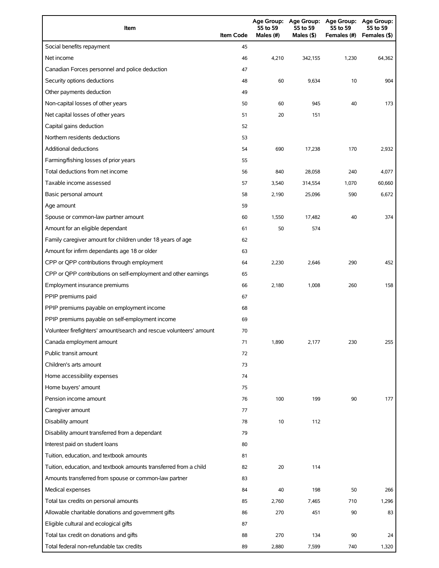| Item                                                                | <b>Item Code</b> | <b>Age Group:</b><br>55 to 59<br>Males (#) | <b>Age Group:</b><br>55 to 59<br>Males (\$) | <b>Age Group:</b><br>55 to 59<br>Females (#) | Age Group:<br>55 to 59<br>Females (\$) |
|---------------------------------------------------------------------|------------------|--------------------------------------------|---------------------------------------------|----------------------------------------------|----------------------------------------|
| Social benefits repayment                                           | 45               |                                            |                                             |                                              |                                        |
| Net income                                                          | 46               | 4,210                                      | 342,155                                     | 1,230                                        | 64,362                                 |
| Canadian Forces personnel and police deduction                      | 47               |                                            |                                             |                                              |                                        |
| Security options deductions                                         | 48               | 60                                         | 9,634                                       | 10                                           | 904                                    |
| Other payments deduction                                            | 49               |                                            |                                             |                                              |                                        |
| Non-capital losses of other years                                   | 50               | 60                                         | 945                                         | 40                                           | 173                                    |
| Net capital losses of other years                                   | 51               | 20                                         | 151                                         |                                              |                                        |
| Capital gains deduction                                             | 52               |                                            |                                             |                                              |                                        |
| Northern residents deductions                                       | 53               |                                            |                                             |                                              |                                        |
| <b>Additional deductions</b>                                        | 54               | 690                                        | 17,238                                      | 170                                          | 2,932                                  |
| Farming/fishing losses of prior years                               | 55               |                                            |                                             |                                              |                                        |
| Total deductions from net income                                    | 56               | 840                                        | 28,058                                      | 240                                          | 4,077                                  |
| Taxable income assessed                                             | 57               | 3,540                                      | 314,554                                     | 1,070                                        | 60,660                                 |
| Basic personal amount                                               | 58               | 2,190                                      | 25,096                                      | 590                                          | 6,672                                  |
| Age amount                                                          | 59               |                                            |                                             |                                              |                                        |
| Spouse or common-law partner amount                                 | 60               | 1,550                                      | 17,482                                      | 40                                           | 374                                    |
| Amount for an eligible dependant                                    | 61               | 50                                         | 574                                         |                                              |                                        |
| Family caregiver amount for children under 18 years of age          | 62               |                                            |                                             |                                              |                                        |
| Amount for infirm dependants age 18 or older                        | 63               |                                            |                                             |                                              |                                        |
| CPP or QPP contributions through employment                         | 64               | 2,230                                      | 2,646                                       | 290                                          | 452                                    |
| CPP or QPP contributions on self-employment and other earnings      | 65               |                                            |                                             |                                              |                                        |
| Employment insurance premiums                                       | 66               | 2,180                                      | 1,008                                       | 260                                          | 158                                    |
| PPIP premiums paid                                                  | 67               |                                            |                                             |                                              |                                        |
| PPIP premiums payable on employment income                          | 68               |                                            |                                             |                                              |                                        |
| PPIP premiums payable on self-employment income                     | 69               |                                            |                                             |                                              |                                        |
| Volunteer firefighters' amount/search and rescue volunteers' amount | 70               |                                            |                                             |                                              |                                        |
| Canada employment amount                                            | 71               | 1,890                                      | 2,177                                       | 230                                          | 255                                    |
| Public transit amount                                               | 72               |                                            |                                             |                                              |                                        |
| Children's arts amount                                              | 73               |                                            |                                             |                                              |                                        |
| Home accessibility expenses                                         | 74               |                                            |                                             |                                              |                                        |
| Home buyers' amount                                                 | 75               |                                            |                                             |                                              |                                        |
| Pension income amount                                               | 76               | 100                                        | 199                                         | 90                                           | 177                                    |
| Caregiver amount                                                    | 77               |                                            |                                             |                                              |                                        |
| Disability amount                                                   | 78               | 10                                         | 112                                         |                                              |                                        |
| Disability amount transferred from a dependant                      | 79               |                                            |                                             |                                              |                                        |
| Interest paid on student loans                                      | 80               |                                            |                                             |                                              |                                        |
| Tuition, education, and textbook amounts                            | 81               |                                            |                                             |                                              |                                        |
| Tuition, education, and textbook amounts transferred from a child   | 82               | 20                                         | 114                                         |                                              |                                        |
| Amounts transferred from spouse or common-law partner               | 83               |                                            |                                             |                                              |                                        |
| Medical expenses                                                    | 84               | 40                                         | 198                                         | 50                                           | 266                                    |
| Total tax credits on personal amounts                               | 85               | 2,760                                      | 7,465                                       | 710                                          | 1,296                                  |
| Allowable charitable donations and government gifts                 | 86               | 270                                        | 451                                         | 90                                           | 83                                     |
| Eligible cultural and ecological gifts                              | 87               |                                            |                                             |                                              |                                        |
| Total tax credit on donations and gifts                             | 88               | 270                                        | 134                                         | 90                                           | 24                                     |
| Total federal non-refundable tax credits                            | 89               | 2,880                                      | 7,599                                       | 740                                          | 1,320                                  |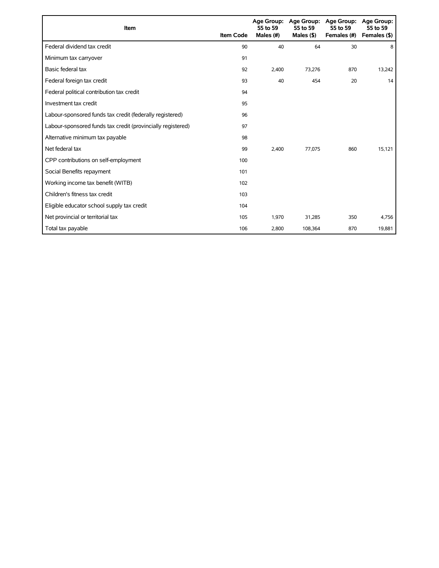| Item                                                        | <b>Item Code</b> | 55 to 59<br>Males (#) | Age Group: Age Group:<br>55 to 59<br>Males $($ \$ $)$ | <b>Age Group:</b><br>55 to 59<br>Females (#) | Age Group:<br>55 to 59<br>Females (\$) |
|-------------------------------------------------------------|------------------|-----------------------|-------------------------------------------------------|----------------------------------------------|----------------------------------------|
| Federal dividend tax credit                                 | 90               | 40                    | 64                                                    | 30                                           | 8                                      |
| Minimum tax carryover                                       | 91               |                       |                                                       |                                              |                                        |
| Basic federal tax                                           | 92               | 2,400                 | 73,276                                                | 870                                          | 13,242                                 |
| Federal foreign tax credit                                  | 93               | 40                    | 454                                                   | 20                                           | 14                                     |
| Federal political contribution tax credit                   | 94               |                       |                                                       |                                              |                                        |
| Investment tax credit                                       | 95               |                       |                                                       |                                              |                                        |
| Labour-sponsored funds tax credit (federally registered)    | 96               |                       |                                                       |                                              |                                        |
| Labour-sponsored funds tax credit (provincially registered) | 97               |                       |                                                       |                                              |                                        |
| Alternative minimum tax payable                             | 98               |                       |                                                       |                                              |                                        |
| Net federal tax                                             | 99               | 2,400                 | 77.075                                                | 860                                          | 15,121                                 |
| CPP contributions on self-employment                        | 100              |                       |                                                       |                                              |                                        |
| Social Benefits repayment                                   | 101              |                       |                                                       |                                              |                                        |
| Working income tax benefit (WITB)                           | 102              |                       |                                                       |                                              |                                        |
| Children's fitness tax credit                               | 103              |                       |                                                       |                                              |                                        |
| Eligible educator school supply tax credit                  | 104              |                       |                                                       |                                              |                                        |
| Net provincial or territorial tax                           | 105              | 1,970                 | 31,285                                                | 350                                          | 4,756                                  |
| Total tax payable                                           | 106              | 2,800                 | 108,364                                               | 870                                          | 19,881                                 |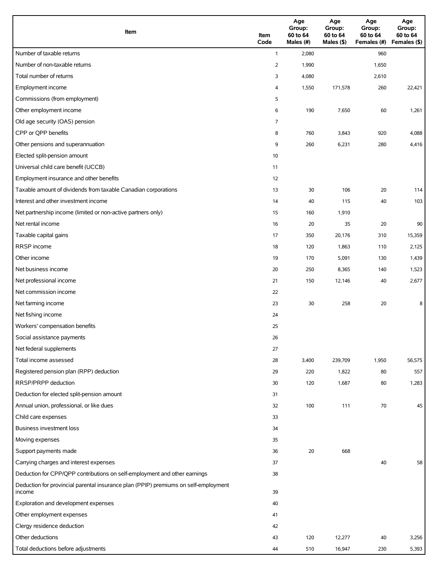| Item                                                                                          | Item<br>Code   | Age<br>Group:<br>60 to 64<br>Males (#) | Age<br>Group:<br>60 to 64<br>Males (\$) | Age<br>Group:<br>60 to 64<br>Females (#) | Age<br>Group:<br>60 to 64<br>Females (\$) |
|-----------------------------------------------------------------------------------------------|----------------|----------------------------------------|-----------------------------------------|------------------------------------------|-------------------------------------------|
| Number of taxable returns                                                                     | $\mathbf{1}$   | 2,080                                  |                                         | 960                                      |                                           |
| Number of non-taxable returns                                                                 | $\overline{2}$ | 1,990                                  |                                         | 1,650                                    |                                           |
| Total number of returns                                                                       | 3              | 4,080                                  |                                         | 2,610                                    |                                           |
| Employment income                                                                             | 4              | 1,550                                  | 171,578                                 | 260                                      | 22,421                                    |
| Commissions (from employment)                                                                 | 5              |                                        |                                         |                                          |                                           |
| Other employment income                                                                       | 6              | 190                                    | 7,650                                   | 60                                       | 1,261                                     |
| Old age security (OAS) pension                                                                | 7              |                                        |                                         |                                          |                                           |
| CPP or QPP benefits                                                                           | 8              | 760                                    | 3,843                                   | 920                                      | 4,088                                     |
| Other pensions and superannuation                                                             | 9              | 260                                    | 6,231                                   | 280                                      | 4,416                                     |
| Elected split-pension amount                                                                  | 10             |                                        |                                         |                                          |                                           |
| Universal child care benefit (UCCB)                                                           | 11             |                                        |                                         |                                          |                                           |
| Employment insurance and other benefits                                                       | 12             |                                        |                                         |                                          |                                           |
| Taxable amount of dividends from taxable Canadian corporations                                | 13             | 30                                     | 106                                     | 20                                       | 114                                       |
| Interest and other investment income                                                          | 14             | 40                                     | 115                                     | 40                                       | 103                                       |
| Net partnership income (limited or non-active partners only)                                  | 15             | 160                                    | 1,910                                   |                                          |                                           |
| Net rental income                                                                             | 16             | 20                                     | 35                                      | 20                                       | 90                                        |
| Taxable capital gains                                                                         | 17             | 350                                    | 20,176                                  | 310                                      | 15,359                                    |
| <b>RRSP</b> income                                                                            | 18             | 120                                    | 1,863                                   | 110                                      | 2,125                                     |
| Other income                                                                                  | 19             | 170                                    | 5,091                                   | 130                                      | 1,439                                     |
| Net business income                                                                           | 20             | 250                                    | 8,365                                   | 140                                      | 1,523                                     |
| Net professional income                                                                       | 21             | 150                                    | 12,146                                  | 40                                       | 2,677                                     |
| Net commission income                                                                         | 22             |                                        |                                         |                                          |                                           |
| Net farming income                                                                            | 23             | 30                                     | 258                                     | 20                                       | 8                                         |
| Net fishing income                                                                            | 24             |                                        |                                         |                                          |                                           |
| Workers' compensation benefits                                                                | 25             |                                        |                                         |                                          |                                           |
| Social assistance payments                                                                    | 26             |                                        |                                         |                                          |                                           |
| Net federal supplements                                                                       | 27             |                                        |                                         |                                          |                                           |
| Total income assessed                                                                         | 28             | 3,400                                  | 239,709                                 | 1,950                                    | 56,575                                    |
| Registered pension plan (RPP) deduction                                                       | 29             | 220                                    | 1,822                                   | 80                                       | 557                                       |
| RRSP/PRPP deduction                                                                           | 30             | 120                                    | 1,687                                   | 80                                       | 1,283                                     |
| Deduction for elected split-pension amount                                                    | 31             |                                        |                                         |                                          |                                           |
| Annual union, professional, or like dues                                                      | 32             | 100                                    | 111                                     | 70                                       | 45                                        |
| Child care expenses                                                                           | 33             |                                        |                                         |                                          |                                           |
| Business investment loss                                                                      | 34             |                                        |                                         |                                          |                                           |
| Moving expenses                                                                               | 35             |                                        |                                         |                                          |                                           |
| Support payments made                                                                         | 36             | 20                                     | 668                                     |                                          |                                           |
| Carrying charges and interest expenses                                                        | 37             |                                        |                                         | 40                                       | 58                                        |
| Deduction for CPP/QPP contributions on self-employment and other earnings                     | 38             |                                        |                                         |                                          |                                           |
| Deduction for provincial parental insurance plan (PPIP) premiums on self-employment<br>income | 39             |                                        |                                         |                                          |                                           |
| Exploration and development expenses                                                          | 40             |                                        |                                         |                                          |                                           |
| Other employment expenses                                                                     | 41             |                                        |                                         |                                          |                                           |
| Clergy residence deduction                                                                    | 42             |                                        |                                         |                                          |                                           |
| Other deductions                                                                              | 43             | 120                                    | 12,277                                  | 40                                       | 3,256                                     |
| Total deductions before adjustments                                                           | 44             | 510                                    | 16,947                                  | 230                                      | 5,393                                     |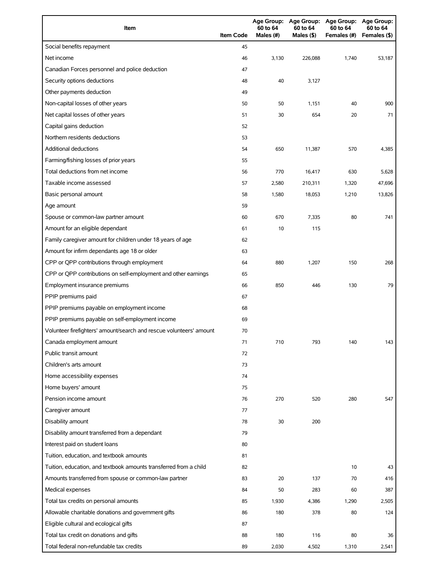| Item                                                                | <b>Item Code</b> | 60 to 64<br>Males (#) | 60 to 64<br>Males (\$) | Age Group: Age Group: Age Group: Age Group:<br>60 to 64<br>Females (#) | 60 to 64<br>Females (\$) |
|---------------------------------------------------------------------|------------------|-----------------------|------------------------|------------------------------------------------------------------------|--------------------------|
| Social benefits repayment                                           | 45               |                       |                        |                                                                        |                          |
| Net income                                                          | 46               | 3,130                 | 226,088                | 1,740                                                                  | 53,187                   |
| Canadian Forces personnel and police deduction                      | 47               |                       |                        |                                                                        |                          |
| Security options deductions                                         | 48               | 40                    | 3,127                  |                                                                        |                          |
| Other payments deduction                                            | 49               |                       |                        |                                                                        |                          |
| Non-capital losses of other years                                   | 50               | 50                    | 1,151                  | 40                                                                     | 900                      |
| Net capital losses of other years                                   | 51               | 30                    | 654                    | 20                                                                     | 71                       |
| Capital gains deduction                                             | 52               |                       |                        |                                                                        |                          |
| Northern residents deductions                                       | 53               |                       |                        |                                                                        |                          |
| <b>Additional deductions</b>                                        | 54               | 650                   | 11,387                 | 570                                                                    | 4,385                    |
| Farming/fishing losses of prior years                               | 55               |                       |                        |                                                                        |                          |
| Total deductions from net income                                    | 56               | 770                   | 16,417                 | 630                                                                    | 5,628                    |
| Taxable income assessed                                             | 57               | 2,580                 | 210,311                | 1,320                                                                  | 47,696                   |
| Basic personal amount                                               | 58               | 1,580                 | 18,053                 | 1,210                                                                  | 13,826                   |
| Age amount                                                          | 59               |                       |                        |                                                                        |                          |
| Spouse or common-law partner amount                                 | 60               | 670                   | 7,335                  | 80                                                                     | 741                      |
| Amount for an eligible dependant                                    | 61               | 10                    | 115                    |                                                                        |                          |
| Family caregiver amount for children under 18 years of age          | 62               |                       |                        |                                                                        |                          |
| Amount for infirm dependants age 18 or older                        | 63               |                       |                        |                                                                        |                          |
| CPP or QPP contributions through employment                         | 64               | 880                   | 1,207                  | 150                                                                    | 268                      |
| CPP or QPP contributions on self-employment and other earnings      | 65               |                       |                        |                                                                        |                          |
| Employment insurance premiums                                       | 66               | 850                   | 446                    | 130                                                                    | 79                       |
| PPIP premiums paid                                                  | 67               |                       |                        |                                                                        |                          |
| PPIP premiums payable on employment income                          | 68               |                       |                        |                                                                        |                          |
| PPIP premiums payable on self-employment income                     | 69               |                       |                        |                                                                        |                          |
| Volunteer firefighters' amount/search and rescue volunteers' amount | 70               |                       |                        |                                                                        |                          |
| Canada employment amount                                            | 71               | 710                   | 793                    | 140                                                                    | 143                      |
| Public transit amount                                               | 72               |                       |                        |                                                                        |                          |
| Children's arts amount                                              | 73               |                       |                        |                                                                        |                          |
| Home accessibility expenses                                         | 74               |                       |                        |                                                                        |                          |
| Home buyers' amount                                                 | 75               |                       |                        |                                                                        |                          |
| Pension income amount                                               | 76               | 270                   | 520                    | 280                                                                    | 547                      |
| Caregiver amount                                                    | 77               |                       |                        |                                                                        |                          |
| Disability amount                                                   | 78               | 30                    | 200                    |                                                                        |                          |
| Disability amount transferred from a dependant                      | 79               |                       |                        |                                                                        |                          |
| Interest paid on student loans                                      | 80               |                       |                        |                                                                        |                          |
| Tuition, education, and textbook amounts                            | 81               |                       |                        |                                                                        |                          |
| Tuition, education, and textbook amounts transferred from a child   | 82               |                       |                        | 10                                                                     | 43                       |
| Amounts transferred from spouse or common-law partner               | 83               | 20                    | 137                    | 70                                                                     | 416                      |
| Medical expenses                                                    | 84               | 50                    | 283                    | 60                                                                     | 387                      |
| Total tax credits on personal amounts                               | 85               | 1,930                 | 4,386                  | 1,290                                                                  | 2,505                    |
| Allowable charitable donations and government gifts                 | 86               | 180                   | 378                    | 80                                                                     | 124                      |
| Eligible cultural and ecological gifts                              | 87               |                       |                        |                                                                        |                          |
| Total tax credit on donations and gifts                             | 88               | 180                   | 116                    | 80                                                                     | 36                       |
| Total federal non-refundable tax credits                            | 89               | 2,030                 | 4,502                  | 1,310                                                                  | 2,541                    |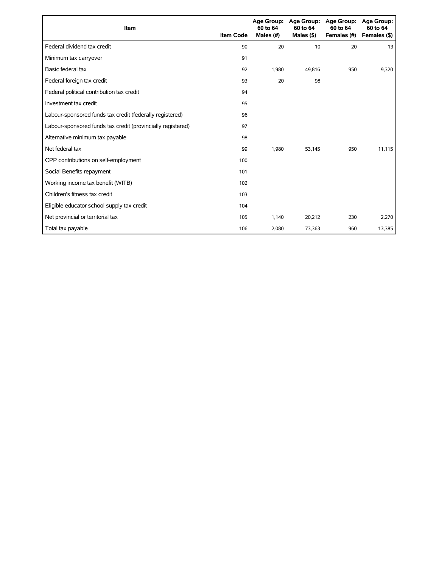| Item                                                        | <b>Item Code</b> | 60 to 64<br>Males (#) | Age Group: Age Group:<br>60 to 64<br>Males $($ \$) | <b>Age Group:</b><br>60 to 64<br>Females (#) | Age Group:<br>60 to 64<br>Females (\$) |
|-------------------------------------------------------------|------------------|-----------------------|----------------------------------------------------|----------------------------------------------|----------------------------------------|
| Federal dividend tax credit                                 | 90               | 20                    | 10                                                 | 20                                           | 13                                     |
| Minimum tax carryover                                       | 91               |                       |                                                    |                                              |                                        |
| Basic federal tax                                           | 92               | 1,980                 | 49,816                                             | 950                                          | 9,320                                  |
| Federal foreign tax credit                                  | 93               | 20                    | 98                                                 |                                              |                                        |
| Federal political contribution tax credit                   | 94               |                       |                                                    |                                              |                                        |
| Investment tax credit                                       | 95               |                       |                                                    |                                              |                                        |
| Labour-sponsored funds tax credit (federally registered)    | 96               |                       |                                                    |                                              |                                        |
| Labour-sponsored funds tax credit (provincially registered) | 97               |                       |                                                    |                                              |                                        |
| Alternative minimum tax payable                             | 98               |                       |                                                    |                                              |                                        |
| Net federal tax                                             | 99               | 1,980                 | 53,145                                             | 950                                          | 11,115                                 |
| CPP contributions on self-employment                        | 100              |                       |                                                    |                                              |                                        |
| Social Benefits repayment                                   | 101              |                       |                                                    |                                              |                                        |
| Working income tax benefit (WITB)                           | 102              |                       |                                                    |                                              |                                        |
| Children's fitness tax credit                               | 103              |                       |                                                    |                                              |                                        |
| Eligible educator school supply tax credit                  | 104              |                       |                                                    |                                              |                                        |
| Net provincial or territorial tax                           | 105              | 1,140                 | 20,212                                             | 230                                          | 2,270                                  |
| Total tax payable                                           | 106              | 2,080                 | 73,363                                             | 960                                          | 13,385                                 |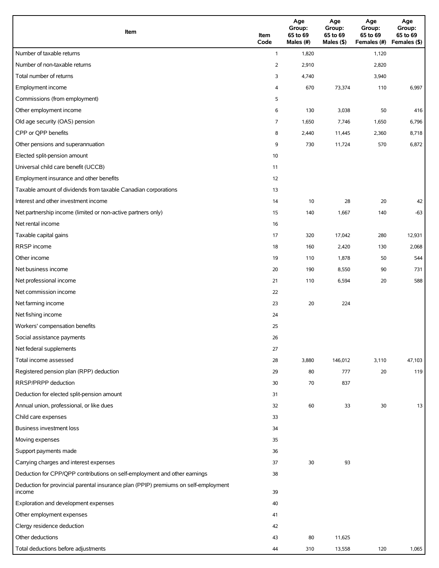| Item                                                                                          | Item<br>Code   | Age<br>Group:<br>65 to 69<br>Males (#) | Age<br>Group:<br>65 to 69<br>Males (\$) | Age<br>Group:<br>65 to 69<br>Females (#) | Age<br>Group:<br>65 to 69<br>Females (\$) |
|-----------------------------------------------------------------------------------------------|----------------|----------------------------------------|-----------------------------------------|------------------------------------------|-------------------------------------------|
| Number of taxable returns                                                                     | $\mathbf{1}$   | 1,820                                  |                                         | 1,120                                    |                                           |
| Number of non-taxable returns                                                                 | $\overline{2}$ | 2,910                                  |                                         | 2,820                                    |                                           |
| Total number of returns                                                                       | 3              | 4,740                                  |                                         | 3,940                                    |                                           |
| Employment income                                                                             | 4              | 670                                    | 73,374                                  | 110                                      | 6,997                                     |
| Commissions (from employment)                                                                 | 5              |                                        |                                         |                                          |                                           |
| Other employment income                                                                       | 6              | 130                                    | 3,038                                   | 50                                       | 416                                       |
| Old age security (OAS) pension                                                                | 7              | 1,650                                  | 7,746                                   | 1,650                                    | 6,796                                     |
| CPP or QPP benefits                                                                           | 8              | 2,440                                  | 11,445                                  | 2,360                                    | 8,718                                     |
| Other pensions and superannuation                                                             | 9              | 730                                    | 11,724                                  | 570                                      | 6,872                                     |
| Elected split-pension amount                                                                  | 10             |                                        |                                         |                                          |                                           |
| Universal child care benefit (UCCB)                                                           | 11             |                                        |                                         |                                          |                                           |
| Employment insurance and other benefits                                                       | 12             |                                        |                                         |                                          |                                           |
| Taxable amount of dividends from taxable Canadian corporations                                | 13             |                                        |                                         |                                          |                                           |
| Interest and other investment income                                                          | 14             | 10                                     | 28                                      | 20                                       | 42                                        |
| Net partnership income (limited or non-active partners only)                                  | 15             | 140                                    | 1,667                                   | 140                                      | $-63$                                     |
| Net rental income                                                                             | 16             |                                        |                                         |                                          |                                           |
| Taxable capital gains                                                                         | 17             | 320                                    | 17,042                                  | 280                                      | 12,931                                    |
| <b>RRSP</b> income                                                                            | 18             | 160                                    | 2,420                                   | 130                                      | 2,068                                     |
| Other income                                                                                  | 19             | 110                                    | 1,878                                   | 50                                       | 544                                       |
| Net business income                                                                           | 20             | 190                                    | 8,550                                   | 90                                       | 731                                       |
| Net professional income                                                                       | 21             | 110                                    | 6,594                                   | 20                                       | 588                                       |
| Net commission income                                                                         | 22             |                                        |                                         |                                          |                                           |
| Net farming income                                                                            | 23             | 20                                     | 224                                     |                                          |                                           |
| Net fishing income                                                                            | 24             |                                        |                                         |                                          |                                           |
| Workers' compensation benefits                                                                | 25             |                                        |                                         |                                          |                                           |
| Social assistance payments                                                                    | 26             |                                        |                                         |                                          |                                           |
| Net federal supplements                                                                       | 27             |                                        |                                         |                                          |                                           |
| Total income assessed                                                                         | 28             | 3,880                                  | 146,012                                 | 3,110                                    | 47,103                                    |
| Registered pension plan (RPP) deduction                                                       | 29             | 80                                     | 777                                     | 20                                       | 119                                       |
| RRSP/PRPP deduction                                                                           | 30             | 70                                     | 837                                     |                                          |                                           |
| Deduction for elected split-pension amount                                                    | 31             |                                        |                                         |                                          |                                           |
| Annual union, professional, or like dues                                                      | 32             | 60                                     | 33                                      | 30                                       | 13                                        |
| Child care expenses                                                                           | 33             |                                        |                                         |                                          |                                           |
| Business investment loss                                                                      | 34             |                                        |                                         |                                          |                                           |
| Moving expenses                                                                               | 35             |                                        |                                         |                                          |                                           |
| Support payments made                                                                         | 36             |                                        |                                         |                                          |                                           |
| Carrying charges and interest expenses                                                        | 37             | 30                                     | 93                                      |                                          |                                           |
| Deduction for CPP/QPP contributions on self-employment and other earnings                     | 38             |                                        |                                         |                                          |                                           |
| Deduction for provincial parental insurance plan (PPIP) premiums on self-employment<br>income | 39             |                                        |                                         |                                          |                                           |
| Exploration and development expenses                                                          | 40             |                                        |                                         |                                          |                                           |
| Other employment expenses                                                                     | 41             |                                        |                                         |                                          |                                           |
| Clergy residence deduction                                                                    | 42             |                                        |                                         |                                          |                                           |
| Other deductions                                                                              | 43             | 80                                     | 11,625                                  |                                          |                                           |
| Total deductions before adjustments                                                           | 44             | 310                                    | 13,558                                  | 120                                      | 1,065                                     |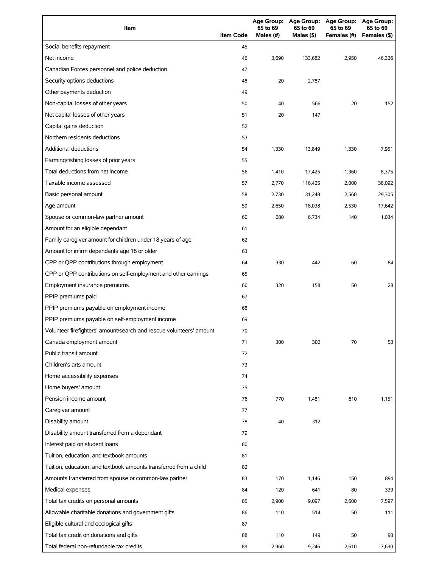| Item                                                                | <b>Item Code</b> | 65 to 69<br>Males (#) | 65 to 69<br>Males (\$) | Age Group: Age Group: Age Group: Age Group:<br>65 to 69<br>Females (#) | 65 to 69<br>Females (\$) |
|---------------------------------------------------------------------|------------------|-----------------------|------------------------|------------------------------------------------------------------------|--------------------------|
| Social benefits repayment                                           | 45               |                       |                        |                                                                        |                          |
| Net income                                                          | 46               | 3,690                 | 133,682                | 2,950                                                                  | 46,326                   |
| Canadian Forces personnel and police deduction                      | 47               |                       |                        |                                                                        |                          |
| Security options deductions                                         | 48               | 20                    | 2,787                  |                                                                        |                          |
| Other payments deduction                                            | 49               |                       |                        |                                                                        |                          |
| Non-capital losses of other years                                   | 50               | 40                    | 566                    | 20                                                                     | 152                      |
| Net capital losses of other years                                   | 51               | 20                    | 147                    |                                                                        |                          |
| Capital gains deduction                                             | 52               |                       |                        |                                                                        |                          |
| Northern residents deductions                                       | 53               |                       |                        |                                                                        |                          |
| Additional deductions                                               | 54               | 1,330                 | 13,849                 | 1,330                                                                  | 7,951                    |
| Farming/fishing losses of prior years                               | 55               |                       |                        |                                                                        |                          |
| Total deductions from net income                                    | 56               | 1,410                 | 17,425                 | 1,360                                                                  | 8,375                    |
| Taxable income assessed                                             | 57               | 2,770                 | 116,425                | 2,000                                                                  | 38,092                   |
| Basic personal amount                                               | 58               | 2,730                 | 31,248                 | 2,560                                                                  | 29,305                   |
| Age amount                                                          | 59               | 2,650                 | 18,038                 | 2,530                                                                  | 17,642                   |
| Spouse or common-law partner amount                                 | 60               | 680                   | 6,734                  | 140                                                                    | 1,034                    |
| Amount for an eligible dependant                                    | 61               |                       |                        |                                                                        |                          |
| Family caregiver amount for children under 18 years of age          | 62               |                       |                        |                                                                        |                          |
| Amount for infirm dependants age 18 or older                        | 63               |                       |                        |                                                                        |                          |
| CPP or QPP contributions through employment                         | 64               | 330                   | 442                    | 60                                                                     | 84                       |
| CPP or QPP contributions on self-employment and other earnings      | 65               |                       |                        |                                                                        |                          |
| Employment insurance premiums                                       | 66               | 320                   | 158                    | 50                                                                     | 28                       |
| PPIP premiums paid                                                  | 67               |                       |                        |                                                                        |                          |
| PPIP premiums payable on employment income                          | 68               |                       |                        |                                                                        |                          |
| PPIP premiums payable on self-employment income                     | 69               |                       |                        |                                                                        |                          |
| Volunteer firefighters' amount/search and rescue volunteers' amount | 70               |                       |                        |                                                                        |                          |
| Canada employment amount                                            | 71               | 300                   | 302                    | 70                                                                     | 53                       |
| Public transit amount                                               | 72               |                       |                        |                                                                        |                          |
| Children's arts amount                                              | 73               |                       |                        |                                                                        |                          |
| Home accessibility expenses                                         | 74               |                       |                        |                                                                        |                          |
| Home buyers' amount                                                 | 75               |                       |                        |                                                                        |                          |
| Pension income amount                                               | 76               | 770                   | 1,481                  | 610                                                                    | 1,151                    |
| Caregiver amount                                                    | 77               |                       |                        |                                                                        |                          |
| Disability amount                                                   | 78               | 40                    | 312                    |                                                                        |                          |
| Disability amount transferred from a dependant                      | 79               |                       |                        |                                                                        |                          |
| Interest paid on student loans                                      | 80               |                       |                        |                                                                        |                          |
| Tuition, education, and textbook amounts                            | 81               |                       |                        |                                                                        |                          |
| Tuition, education, and textbook amounts transferred from a child   | 82               |                       |                        |                                                                        |                          |
| Amounts transferred from spouse or common-law partner               | 83               | 170                   | 1,146                  | 150                                                                    | 894                      |
| Medical expenses                                                    | 84               | 120                   | 641                    | 80                                                                     | 339                      |
| Total tax credits on personal amounts                               | 85               | 2,900                 | 9,097                  | 2,600                                                                  | 7,597                    |
| Allowable charitable donations and government gifts                 | 86               | 110                   | 514                    | 50                                                                     | 111                      |
| Eligible cultural and ecological gifts                              | 87               |                       |                        |                                                                        |                          |
| Total tax credit on donations and gifts                             | 88               | 110                   | 149                    | 50                                                                     | 93                       |
| Total federal non-refundable tax credits                            | 89               | 2,960                 | 9,246                  | 2,610                                                                  | 7,690                    |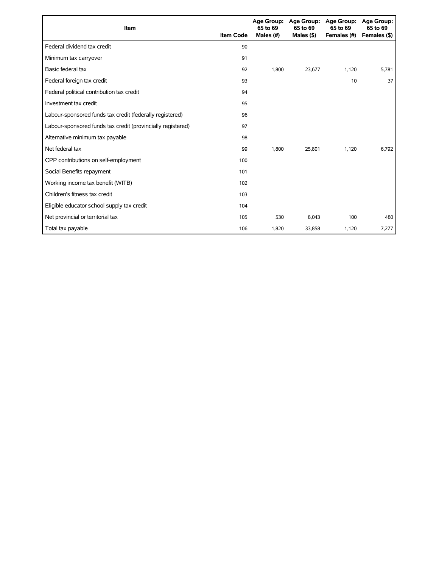| Item                                                        | <b>Item Code</b> | 65 to 69<br>Males (#) | Age Group: Age Group:<br>65 to 69<br>Males $($ \$ $)$ | <b>Age Group:</b><br>65 to 69<br>Females (#) | <b>Age Group:</b><br>65 to 69<br>Females (\$) |
|-------------------------------------------------------------|------------------|-----------------------|-------------------------------------------------------|----------------------------------------------|-----------------------------------------------|
| Federal dividend tax credit                                 | 90               |                       |                                                       |                                              |                                               |
| Minimum tax carryover                                       | 91               |                       |                                                       |                                              |                                               |
| Basic federal tax                                           | 92               | 1,800                 | 23,677                                                | 1,120                                        | 5,781                                         |
| Federal foreign tax credit                                  | 93               |                       |                                                       | 10                                           | 37                                            |
| Federal political contribution tax credit                   | 94               |                       |                                                       |                                              |                                               |
| Investment tax credit                                       | 95               |                       |                                                       |                                              |                                               |
| Labour-sponsored funds tax credit (federally registered)    | 96               |                       |                                                       |                                              |                                               |
| Labour-sponsored funds tax credit (provincially registered) | 97               |                       |                                                       |                                              |                                               |
| Alternative minimum tax payable                             | 98               |                       |                                                       |                                              |                                               |
| Net federal tax                                             | 99               | 1,800                 | 25.801                                                | 1,120                                        | 6,792                                         |
| CPP contributions on self-employment                        | 100              |                       |                                                       |                                              |                                               |
| Social Benefits repayment                                   | 101              |                       |                                                       |                                              |                                               |
| Working income tax benefit (WITB)                           | 102              |                       |                                                       |                                              |                                               |
| Children's fitness tax credit                               | 103              |                       |                                                       |                                              |                                               |
| Eligible educator school supply tax credit                  | 104              |                       |                                                       |                                              |                                               |
| Net provincial or territorial tax                           | 105              | 530                   | 8,043                                                 | 100                                          | 480                                           |
| Total tax payable                                           | 106              | 1,820                 | 33,858                                                | 1,120                                        | 7,277                                         |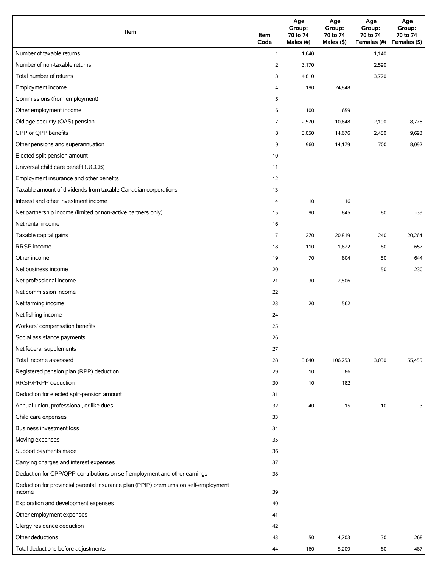| Item                                                                                          | Item<br>Code   | Age<br>Group:<br>70 to 74<br>Males (#) | Age<br>Group:<br>70 to 74<br>Males (\$) | Age<br>Group:<br>70 to 74<br>Females (#) | Age<br>Group:<br>70 to 74<br>Females (\$) |
|-----------------------------------------------------------------------------------------------|----------------|----------------------------------------|-----------------------------------------|------------------------------------------|-------------------------------------------|
| Number of taxable returns                                                                     | $\mathbf{1}$   | 1,640                                  |                                         | 1,140                                    |                                           |
| Number of non-taxable returns                                                                 | $\overline{2}$ | 3,170                                  |                                         | 2,590                                    |                                           |
| Total number of returns                                                                       | 3              | 4,810                                  |                                         | 3,720                                    |                                           |
| Employment income                                                                             | 4              | 190                                    | 24,848                                  |                                          |                                           |
| Commissions (from employment)                                                                 | 5              |                                        |                                         |                                          |                                           |
| Other employment income                                                                       | 6              | 100                                    | 659                                     |                                          |                                           |
| Old age security (OAS) pension                                                                | 7              | 2,570                                  | 10,648                                  | 2,190                                    | 8,776                                     |
| CPP or QPP benefits                                                                           | 8              | 3,050                                  | 14,676                                  | 2,450                                    | 9,693                                     |
| Other pensions and superannuation                                                             | 9              | 960                                    | 14,179                                  | 700                                      | 8,092                                     |
| Elected split-pension amount                                                                  | 10             |                                        |                                         |                                          |                                           |
| Universal child care benefit (UCCB)                                                           | 11             |                                        |                                         |                                          |                                           |
| Employment insurance and other benefits                                                       | 12             |                                        |                                         |                                          |                                           |
| Taxable amount of dividends from taxable Canadian corporations                                | 13             |                                        |                                         |                                          |                                           |
| Interest and other investment income                                                          | 14             | 10                                     | 16                                      |                                          |                                           |
| Net partnership income (limited or non-active partners only)                                  | 15             | 90                                     | 845                                     | 80                                       | $-39$                                     |
| Net rental income                                                                             | 16             |                                        |                                         |                                          |                                           |
| Taxable capital gains                                                                         | 17             | 270                                    | 20,819                                  | 240                                      | 20,264                                    |
| RRSP income                                                                                   | 18             | 110                                    | 1,622                                   | 80                                       | 657                                       |
| Other income                                                                                  | 19             | 70                                     | 804                                     | 50                                       | 644                                       |
| Net business income                                                                           | 20             |                                        |                                         | 50                                       | 230                                       |
| Net professional income                                                                       | 21             | 30                                     | 2,506                                   |                                          |                                           |
| Net commission income                                                                         | 22             |                                        |                                         |                                          |                                           |
| Net farming income                                                                            | 23             | 20                                     | 562                                     |                                          |                                           |
| Net fishing income                                                                            | 24             |                                        |                                         |                                          |                                           |
| Workers' compensation benefits                                                                | 25             |                                        |                                         |                                          |                                           |
| Social assistance payments                                                                    | 26             |                                        |                                         |                                          |                                           |
| Net federal supplements                                                                       | 27             |                                        |                                         |                                          |                                           |
| Total income assessed                                                                         | 28             | 3,840                                  | 106,253                                 | 3,030                                    | 55,455                                    |
| Registered pension plan (RPP) deduction                                                       | 29             | 10                                     | 86                                      |                                          |                                           |
| RRSP/PRPP deduction                                                                           | 30             | 10                                     | 182                                     |                                          |                                           |
| Deduction for elected split-pension amount                                                    | 31             |                                        |                                         |                                          |                                           |
| Annual union, professional, or like dues                                                      | 32             | 40                                     | 15                                      | 10                                       | 3                                         |
| Child care expenses                                                                           | 33             |                                        |                                         |                                          |                                           |
| <b>Business investment loss</b>                                                               | 34             |                                        |                                         |                                          |                                           |
| Moving expenses                                                                               | 35             |                                        |                                         |                                          |                                           |
| Support payments made                                                                         | 36             |                                        |                                         |                                          |                                           |
| Carrying charges and interest expenses                                                        | 37             |                                        |                                         |                                          |                                           |
| Deduction for CPP/QPP contributions on self-employment and other earnings                     | 38             |                                        |                                         |                                          |                                           |
| Deduction for provincial parental insurance plan (PPIP) premiums on self-employment<br>income | 39             |                                        |                                         |                                          |                                           |
| Exploration and development expenses                                                          | 40             |                                        |                                         |                                          |                                           |
| Other employment expenses                                                                     | 41             |                                        |                                         |                                          |                                           |
| Clergy residence deduction                                                                    | 42             |                                        |                                         |                                          |                                           |
| Other deductions                                                                              | 43             | 50                                     | 4,703                                   | 30                                       | 268                                       |
| Total deductions before adjustments                                                           | 44             | 160                                    | 5,209                                   | 80                                       | 487                                       |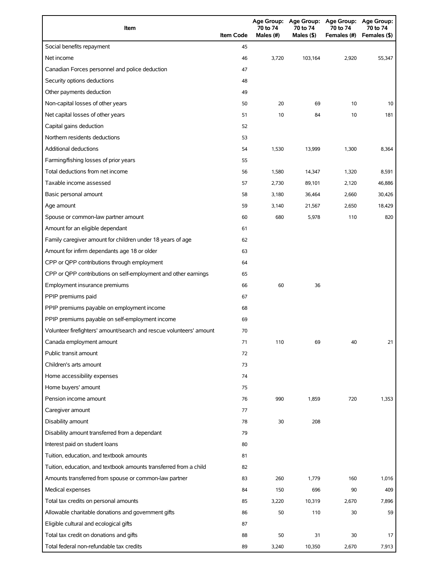| Item                                                                | <b>Item Code</b> | 70 to 74<br>Males (#) | 70 to 74<br>Males (\$) | Age Group: Age Group: Age Group: Age Group:<br>70 to 74<br>Females (#) | 70 to 74<br>Females (\$) |
|---------------------------------------------------------------------|------------------|-----------------------|------------------------|------------------------------------------------------------------------|--------------------------|
| Social benefits repayment                                           | 45               |                       |                        |                                                                        |                          |
| Net income                                                          | 46               | 3,720                 | 103,164                | 2,920                                                                  | 55,347                   |
| Canadian Forces personnel and police deduction                      | 47               |                       |                        |                                                                        |                          |
| Security options deductions                                         | 48               |                       |                        |                                                                        |                          |
| Other payments deduction                                            | 49               |                       |                        |                                                                        |                          |
| Non-capital losses of other years                                   | 50               | 20                    | 69                     | 10                                                                     | 10                       |
| Net capital losses of other years                                   | 51               | 10                    | 84                     | 10                                                                     | 181                      |
| Capital gains deduction                                             | 52               |                       |                        |                                                                        |                          |
| Northern residents deductions                                       | 53               |                       |                        |                                                                        |                          |
| Additional deductions                                               | 54               | 1,530                 | 13,999                 | 1,300                                                                  | 8,364                    |
| Farming/fishing losses of prior years                               | 55               |                       |                        |                                                                        |                          |
| Total deductions from net income                                    | 56               | 1,580                 | 14,347                 | 1,320                                                                  | 8,591                    |
| Taxable income assessed                                             | 57               | 2,730                 | 89,101                 | 2,120                                                                  | 46,886                   |
| Basic personal amount                                               | 58               | 3,180                 | 36,464                 | 2,660                                                                  | 30,426                   |
| Age amount                                                          | 59               | 3,140                 | 21,567                 | 2,650                                                                  | 18,429                   |
| Spouse or common-law partner amount                                 | 60               | 680                   | 5,978                  | 110                                                                    | 820                      |
| Amount for an eligible dependant                                    | 61               |                       |                        |                                                                        |                          |
| Family caregiver amount for children under 18 years of age          | 62               |                       |                        |                                                                        |                          |
| Amount for infirm dependants age 18 or older                        | 63               |                       |                        |                                                                        |                          |
| CPP or QPP contributions through employment                         | 64               |                       |                        |                                                                        |                          |
| CPP or QPP contributions on self-employment and other earnings      | 65               |                       |                        |                                                                        |                          |
| Employment insurance premiums                                       | 66               | 60                    | 36                     |                                                                        |                          |
| PPIP premiums paid                                                  | 67               |                       |                        |                                                                        |                          |
| PPIP premiums payable on employment income                          | 68               |                       |                        |                                                                        |                          |
| PPIP premiums payable on self-employment income                     | 69               |                       |                        |                                                                        |                          |
| Volunteer firefighters' amount/search and rescue volunteers' amount | 70               |                       |                        |                                                                        |                          |
| Canada employment amount                                            | 71               | 110                   | 69                     | 40                                                                     | 21                       |
| Public transit amount                                               | 72               |                       |                        |                                                                        |                          |
| Children's arts amount                                              | 73               |                       |                        |                                                                        |                          |
| Home accessibility expenses                                         | 74               |                       |                        |                                                                        |                          |
| Home buyers' amount                                                 | 75               |                       |                        |                                                                        |                          |
| Pension income amount                                               | 76               | 990                   | 1,859                  | 720                                                                    | 1,353                    |
| Caregiver amount                                                    | 77               |                       |                        |                                                                        |                          |
| Disability amount                                                   | 78               | 30                    | 208                    |                                                                        |                          |
| Disability amount transferred from a dependant                      | 79               |                       |                        |                                                                        |                          |
| Interest paid on student loans                                      | 80               |                       |                        |                                                                        |                          |
| Tuition, education, and textbook amounts                            | 81               |                       |                        |                                                                        |                          |
| Tuition, education, and textbook amounts transferred from a child   | 82               |                       |                        |                                                                        |                          |
| Amounts transferred from spouse or common-law partner               | 83               | 260                   | 1,779                  | 160                                                                    | 1,016                    |
| Medical expenses                                                    | 84               | 150                   | 696                    | 90                                                                     | 409                      |
| Total tax credits on personal amounts                               | 85               | 3,220                 | 10,319                 | 2,670                                                                  | 7,896                    |
| Allowable charitable donations and government gifts                 | 86               | 50                    | 110                    | 30                                                                     | 59                       |
| Eligible cultural and ecological gifts                              | 87               |                       |                        |                                                                        |                          |
| Total tax credit on donations and gifts                             | 88               | 50                    | 31                     | 30                                                                     | 17                       |
| Total federal non-refundable tax credits                            | 89               | 3,240                 | 10,350                 | 2,670                                                                  | 7,913                    |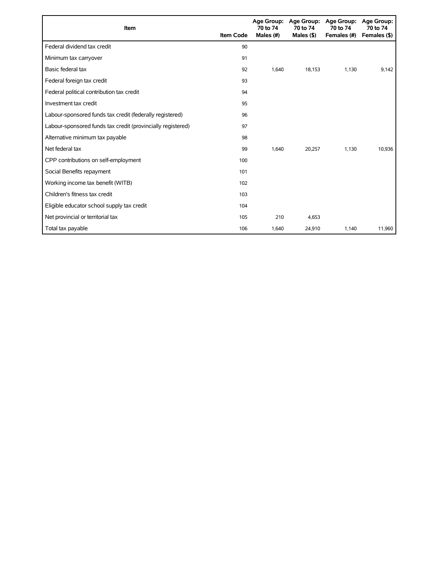| Item                                                        | <b>Item Code</b> | 70 to 74<br>Males (#) | Age Group: Age Group:<br>70 to 74<br>Males $($ \$ $)$ | <b>Age Group:</b><br>70 to 74<br>Females (#) | <b>Age Group:</b><br>70 to 74<br>Females (\$) |
|-------------------------------------------------------------|------------------|-----------------------|-------------------------------------------------------|----------------------------------------------|-----------------------------------------------|
| Federal dividend tax credit                                 | 90               |                       |                                                       |                                              |                                               |
| Minimum tax carryover                                       | 91               |                       |                                                       |                                              |                                               |
| Basic federal tax                                           | 92               | 1,640                 | 18,153                                                | 1,130                                        | 9,142                                         |
| Federal foreign tax credit                                  | 93               |                       |                                                       |                                              |                                               |
| Federal political contribution tax credit                   | 94               |                       |                                                       |                                              |                                               |
| Investment tax credit                                       | 95               |                       |                                                       |                                              |                                               |
| Labour-sponsored funds tax credit (federally registered)    | 96               |                       |                                                       |                                              |                                               |
| Labour-sponsored funds tax credit (provincially registered) | 97               |                       |                                                       |                                              |                                               |
| Alternative minimum tax payable                             | 98               |                       |                                                       |                                              |                                               |
| Net federal tax                                             | 99               | 1,640                 | 20,257                                                | 1,130                                        | 10,936                                        |
| CPP contributions on self-employment                        | 100              |                       |                                                       |                                              |                                               |
| Social Benefits repayment                                   | 101              |                       |                                                       |                                              |                                               |
| Working income tax benefit (WITB)                           | 102              |                       |                                                       |                                              |                                               |
| Children's fitness tax credit                               | 103              |                       |                                                       |                                              |                                               |
| Eligible educator school supply tax credit                  | 104              |                       |                                                       |                                              |                                               |
| Net provincial or territorial tax                           | 105              | 210                   | 4,653                                                 |                                              |                                               |
| Total tax payable                                           | 106              | 1,640                 | 24,910                                                | 1,140                                        | 11,960                                        |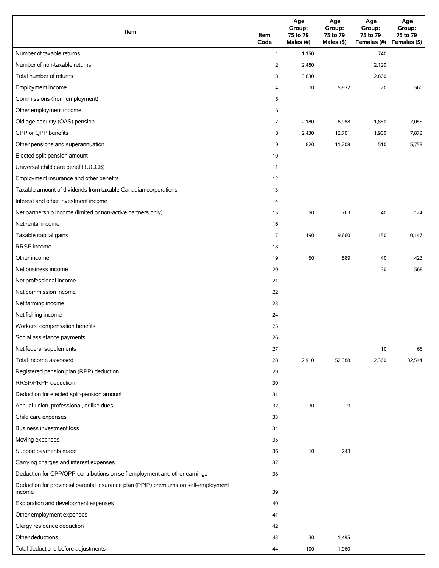| Item                                                                                          | Item<br>Code   | Age<br>Group:<br>75 to 79<br>Males (#) | Age<br>Group:<br>75 to 79<br>Males (\$) | Age<br>Group:<br>75 to 79<br>Females (#) Females (\$) | Age<br>Group:<br>75 to 79 |
|-----------------------------------------------------------------------------------------------|----------------|----------------------------------------|-----------------------------------------|-------------------------------------------------------|---------------------------|
| Number of taxable returns                                                                     | $\mathbf{1}$   | 1,150                                  |                                         | 740                                                   |                           |
| Number of non-taxable returns                                                                 | $\overline{2}$ | 2,480                                  |                                         | 2,120                                                 |                           |
| Total number of returns                                                                       | 3              | 3,630                                  |                                         | 2,860                                                 |                           |
| Employment income                                                                             | 4              | 70                                     | 5,932                                   | 20                                                    | 560                       |
| Commissions (from employment)                                                                 | 5              |                                        |                                         |                                                       |                           |
| Other employment income                                                                       | 6              |                                        |                                         |                                                       |                           |
| Old age security (OAS) pension                                                                | 7              | 2,180                                  | 8,988                                   | 1,850                                                 | 7,085                     |
| CPP or QPP benefits                                                                           | 8              | 2,430                                  | 12,701                                  | 1,900                                                 | 7,872                     |
| Other pensions and superannuation                                                             | 9              | 820                                    | 11,208                                  | 510                                                   | 5,758                     |
| Elected split-pension amount                                                                  | 10             |                                        |                                         |                                                       |                           |
| Universal child care benefit (UCCB)                                                           | 11             |                                        |                                         |                                                       |                           |
| Employment insurance and other benefits                                                       | 12             |                                        |                                         |                                                       |                           |
| Taxable amount of dividends from taxable Canadian corporations                                | 13             |                                        |                                         |                                                       |                           |
| Interest and other investment income                                                          | 14             |                                        |                                         |                                                       |                           |
| Net partnership income (limited or non-active partners only)                                  | 15             | 50                                     | 763                                     | 40                                                    | $-124$                    |
| Net rental income                                                                             | 16             |                                        |                                         |                                                       |                           |
| Taxable capital gains                                                                         | 17             | 190                                    | 9,660                                   | 150                                                   | 10,147                    |
| RRSP income                                                                                   | 18             |                                        |                                         |                                                       |                           |
| Other income                                                                                  | 19             | 50                                     | 589                                     | 40                                                    | 423                       |
| Net business income                                                                           | 20             |                                        |                                         | 30                                                    | 568                       |
| Net professional income                                                                       | 21             |                                        |                                         |                                                       |                           |
| Net commission income                                                                         | 22             |                                        |                                         |                                                       |                           |
| Net farming income                                                                            | 23             |                                        |                                         |                                                       |                           |
| Net fishing income                                                                            | 24             |                                        |                                         |                                                       |                           |
| Workers' compensation benefits                                                                | 25             |                                        |                                         |                                                       |                           |
| Social assistance payments                                                                    | 26             |                                        |                                         |                                                       |                           |
| Net federal supplements                                                                       | 27             |                                        |                                         | 10                                                    | 66                        |
| Total income assessed                                                                         | 28             | 2,910                                  | 52,388                                  | 2,360                                                 | 32,544                    |
| Registered pension plan (RPP) deduction                                                       | 29             |                                        |                                         |                                                       |                           |
| RRSP/PRPP deduction                                                                           | 30             |                                        |                                         |                                                       |                           |
| Deduction for elected split-pension amount                                                    | 31             |                                        |                                         |                                                       |                           |
| Annual union, professional, or like dues                                                      | 32             | 30                                     | 9                                       |                                                       |                           |
| Child care expenses                                                                           | 33             |                                        |                                         |                                                       |                           |
| Business investment loss                                                                      | 34             |                                        |                                         |                                                       |                           |
| Moving expenses                                                                               | 35             |                                        |                                         |                                                       |                           |
| Support payments made                                                                         | 36             | 10                                     | 243                                     |                                                       |                           |
| Carrying charges and interest expenses                                                        | 37             |                                        |                                         |                                                       |                           |
| Deduction for CPP/QPP contributions on self-employment and other earnings                     | 38             |                                        |                                         |                                                       |                           |
| Deduction for provincial parental insurance plan (PPIP) premiums on self-employment<br>income | 39             |                                        |                                         |                                                       |                           |
| Exploration and development expenses                                                          | 40             |                                        |                                         |                                                       |                           |
| Other employment expenses                                                                     | 41             |                                        |                                         |                                                       |                           |
| Clergy residence deduction                                                                    | 42             |                                        |                                         |                                                       |                           |
| Other deductions                                                                              | 43             | 30                                     | 1,495                                   |                                                       |                           |
| Total deductions before adjustments                                                           | 44             | 100                                    | 1,960                                   |                                                       |                           |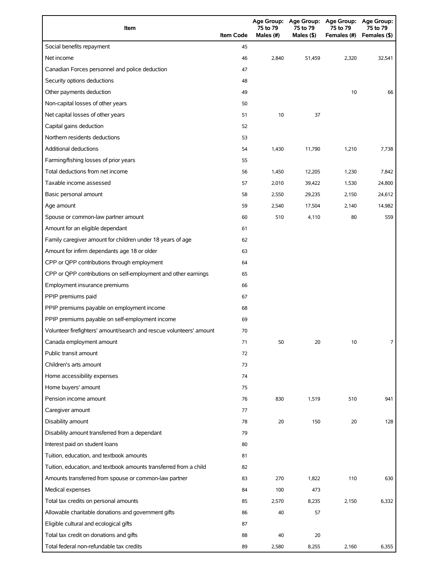| Item                                                                | <b>Item Code</b> | 75 to 79<br>Males (#) | 75 to 79<br>Males (\$) | Age Group: Age Group: Age Group:<br>75 to 79<br>Females (#) | Age Group:<br>75 to 79<br>Females (\$) |
|---------------------------------------------------------------------|------------------|-----------------------|------------------------|-------------------------------------------------------------|----------------------------------------|
| Social benefits repayment                                           | 45               |                       |                        |                                                             |                                        |
| Net income                                                          | 46               | 2,840                 | 51,459                 | 2,320                                                       | 32,541                                 |
| Canadian Forces personnel and police deduction                      | 47               |                       |                        |                                                             |                                        |
| Security options deductions                                         | 48               |                       |                        |                                                             |                                        |
| Other payments deduction                                            | 49               |                       |                        | 10                                                          | 66                                     |
| Non-capital losses of other years                                   | 50               |                       |                        |                                                             |                                        |
| Net capital losses of other years                                   | 51               | 10                    | 37                     |                                                             |                                        |
| Capital gains deduction                                             | 52               |                       |                        |                                                             |                                        |
| Northern residents deductions                                       | 53               |                       |                        |                                                             |                                        |
| Additional deductions                                               | 54               | 1,430                 | 11,790                 | 1,210                                                       | 7,738                                  |
| Farming/fishing losses of prior years                               | 55               |                       |                        |                                                             |                                        |
| Total deductions from net income                                    | 56               | 1,450                 | 12,205                 | 1,230                                                       | 7,842                                  |
| Taxable income assessed                                             | 57               | 2,010                 | 39,422                 | 1,530                                                       | 24,800                                 |
| Basic personal amount                                               | 58               | 2,550                 | 29,235                 | 2,150                                                       | 24,612                                 |
| Age amount                                                          | 59               | 2,540                 | 17,504                 | 2,140                                                       | 14,982                                 |
| Spouse or common-law partner amount                                 | 60               | 510                   | 4,110                  | 80                                                          | 559                                    |
| Amount for an eligible dependant                                    | 61               |                       |                        |                                                             |                                        |
| Family caregiver amount for children under 18 years of age          | 62               |                       |                        |                                                             |                                        |
| Amount for infirm dependants age 18 or older                        | 63               |                       |                        |                                                             |                                        |
| CPP or QPP contributions through employment                         | 64               |                       |                        |                                                             |                                        |
| CPP or QPP contributions on self-employment and other earnings      | 65               |                       |                        |                                                             |                                        |
| Employment insurance premiums                                       | 66               |                       |                        |                                                             |                                        |
| PPIP premiums paid                                                  | 67               |                       |                        |                                                             |                                        |
| PPIP premiums payable on employment income                          | 68               |                       |                        |                                                             |                                        |
| PPIP premiums payable on self-employment income                     | 69               |                       |                        |                                                             |                                        |
| Volunteer firefighters' amount/search and rescue volunteers' amount | 70               |                       |                        |                                                             |                                        |
| Canada employment amount                                            | 71               | 50                    | 20                     | 10                                                          | $\overline{7}$                         |
| Public transit amount                                               | 72               |                       |                        |                                                             |                                        |
| Children's arts amount                                              | 73               |                       |                        |                                                             |                                        |
| Home accessibility expenses                                         | 74               |                       |                        |                                                             |                                        |
| Home buyers' amount                                                 | 75               |                       |                        |                                                             |                                        |
| Pension income amount                                               | 76               | 830                   | 1,519                  | 510                                                         | 941                                    |
| Caregiver amount                                                    | 77               |                       |                        |                                                             |                                        |
| Disability amount                                                   | 78               | 20                    | 150                    | 20                                                          | 128                                    |
| Disability amount transferred from a dependant                      | 79               |                       |                        |                                                             |                                        |
| Interest paid on student loans                                      | 80               |                       |                        |                                                             |                                        |
| Tuition, education, and textbook amounts                            | 81               |                       |                        |                                                             |                                        |
| Tuition, education, and textbook amounts transferred from a child   | 82               |                       |                        |                                                             |                                        |
| Amounts transferred from spouse or common-law partner               | 83               | 270                   | 1,822                  | 110                                                         | 630                                    |
| Medical expenses                                                    | 84               | 100                   | 473                    |                                                             |                                        |
| Total tax credits on personal amounts                               | 85               | 2,570                 | 8,235                  | 2,150                                                       | 6,332                                  |
| Allowable charitable donations and government gifts                 | 86               | 40                    | 57                     |                                                             |                                        |
| Eligible cultural and ecological gifts                              | 87               |                       |                        |                                                             |                                        |
| Total tax credit on donations and gifts                             | 88               | 40                    | 20                     |                                                             |                                        |
| Total federal non-refundable tax credits                            | 89               | 2,580                 | 8,255                  | 2,160                                                       | 6,355                                  |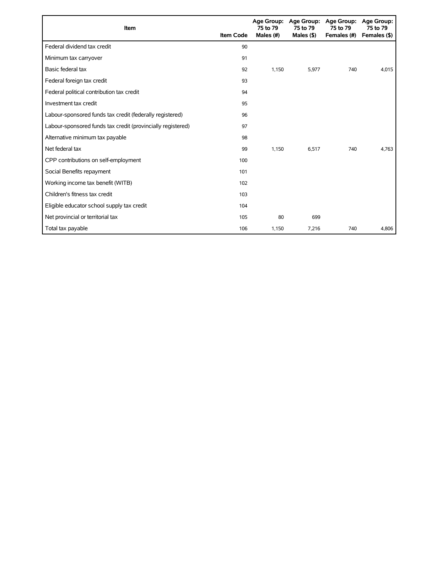| Item                                                        | <b>Item Code</b> | 75 to 79<br>Males (#) | Age Group: Age Group:<br>75 to 79<br>Males $($ \$ $)$ | <b>Age Group:</b><br>75 to 79<br>Females (#) | Age Group:<br>75 to 79<br>Females (\$) |
|-------------------------------------------------------------|------------------|-----------------------|-------------------------------------------------------|----------------------------------------------|----------------------------------------|
| Federal dividend tax credit                                 | 90               |                       |                                                       |                                              |                                        |
| Minimum tax carryover                                       | 91               |                       |                                                       |                                              |                                        |
| Basic federal tax                                           | 92               | 1,150                 | 5,977                                                 | 740                                          | 4,015                                  |
| Federal foreign tax credit                                  | 93               |                       |                                                       |                                              |                                        |
| Federal political contribution tax credit                   | 94               |                       |                                                       |                                              |                                        |
| Investment tax credit                                       | 95               |                       |                                                       |                                              |                                        |
| Labour-sponsored funds tax credit (federally registered)    | 96               |                       |                                                       |                                              |                                        |
| Labour-sponsored funds tax credit (provincially registered) | 97               |                       |                                                       |                                              |                                        |
| Alternative minimum tax payable                             | 98               |                       |                                                       |                                              |                                        |
| Net federal tax                                             | 99               | 1.150                 | 6.517                                                 | 740                                          | 4,763                                  |
| CPP contributions on self-employment                        | 100              |                       |                                                       |                                              |                                        |
| Social Benefits repayment                                   | 101              |                       |                                                       |                                              |                                        |
| Working income tax benefit (WITB)                           | 102              |                       |                                                       |                                              |                                        |
| Children's fitness tax credit                               | 103              |                       |                                                       |                                              |                                        |
| Eligible educator school supply tax credit                  | 104              |                       |                                                       |                                              |                                        |
| Net provincial or territorial tax                           | 105              | 80                    | 699                                                   |                                              |                                        |
| Total tax payable                                           | 106              | 1,150                 | 7,216                                                 | 740                                          | 4,806                                  |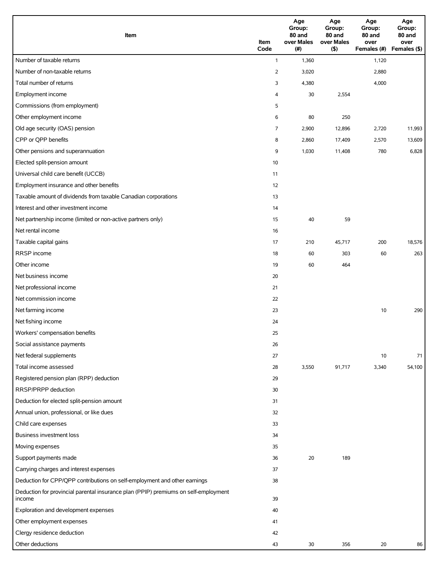| Item                                                                                | Item<br>Code   | Age<br>Group:<br>80 and<br>over Males<br>(# ) | Age<br>Group:<br>80 and<br>over Males<br>(5) | Age<br>Group:<br>80 and<br>over<br>Females (#) | Age<br>Group:<br>80 and<br>over<br>Females (\$) |
|-------------------------------------------------------------------------------------|----------------|-----------------------------------------------|----------------------------------------------|------------------------------------------------|-------------------------------------------------|
| Number of taxable returns                                                           | $\mathbf{1}$   | 1,360                                         |                                              | 1,120                                          |                                                 |
| Number of non-taxable returns                                                       | $\overline{2}$ | 3,020                                         |                                              | 2,880                                          |                                                 |
| Total number of returns                                                             | 3              | 4,380                                         |                                              | 4,000                                          |                                                 |
| Employment income                                                                   | 4              | 30                                            | 2,554                                        |                                                |                                                 |
| Commissions (from employment)                                                       | 5              |                                               |                                              |                                                |                                                 |
| Other employment income                                                             | 6              | 80                                            | 250                                          |                                                |                                                 |
| Old age security (OAS) pension                                                      | 7              | 2,900                                         | 12,896                                       | 2,720                                          | 11,993                                          |
| CPP or QPP benefits                                                                 | 8              | 2,860                                         | 17,409                                       | 2,570                                          | 13,609                                          |
| Other pensions and superannuation                                                   | 9              | 1,030                                         | 11,408                                       | 780                                            | 6,828                                           |
| Elected split-pension amount                                                        | 10             |                                               |                                              |                                                |                                                 |
| Universal child care benefit (UCCB)                                                 | 11             |                                               |                                              |                                                |                                                 |
| Employment insurance and other benefits                                             | 12             |                                               |                                              |                                                |                                                 |
| Taxable amount of dividends from taxable Canadian corporations                      | 13             |                                               |                                              |                                                |                                                 |
| Interest and other investment income                                                | 14             |                                               |                                              |                                                |                                                 |
| Net partnership income (limited or non-active partners only)                        | 15             | 40                                            | 59                                           |                                                |                                                 |
| Net rental income                                                                   | 16             |                                               |                                              |                                                |                                                 |
| Taxable capital gains                                                               | 17             | 210                                           | 45,717                                       | 200                                            | 18,576                                          |
| RRSP income                                                                         | 18             | 60                                            | 303                                          | 60                                             | 263                                             |
| Other income                                                                        | 19             | 60                                            | 464                                          |                                                |                                                 |
| Net business income                                                                 | 20             |                                               |                                              |                                                |                                                 |
| Net professional income                                                             | 21             |                                               |                                              |                                                |                                                 |
| Net commission income                                                               | 22             |                                               |                                              |                                                |                                                 |
| Net farming income                                                                  | 23             |                                               |                                              | 10                                             | 290                                             |
| Net fishing income                                                                  | 24             |                                               |                                              |                                                |                                                 |
| Workers' compensation benefits                                                      | 25             |                                               |                                              |                                                |                                                 |
| Social assistance payments                                                          | 26             |                                               |                                              |                                                |                                                 |
| Net federal supplements                                                             | 27             |                                               |                                              | 10                                             | 71                                              |
| Total income assessed                                                               | 28             | 3,550                                         | 91,717                                       | 3,340                                          | 54,100                                          |
| Registered pension plan (RPP) deduction                                             | 29             |                                               |                                              |                                                |                                                 |
| RRSP/PRPP deduction                                                                 | 30             |                                               |                                              |                                                |                                                 |
| Deduction for elected split-pension amount                                          | 31             |                                               |                                              |                                                |                                                 |
| Annual union, professional, or like dues                                            | 32             |                                               |                                              |                                                |                                                 |
| Child care expenses                                                                 | 33             |                                               |                                              |                                                |                                                 |
| Business investment loss                                                            | 34             |                                               |                                              |                                                |                                                 |
| Moving expenses                                                                     | 35             |                                               |                                              |                                                |                                                 |
| Support payments made                                                               | 36             | 20                                            | 189                                          |                                                |                                                 |
| Carrying charges and interest expenses                                              | 37             |                                               |                                              |                                                |                                                 |
| Deduction for CPP/QPP contributions on self-employment and other earnings           | 38             |                                               |                                              |                                                |                                                 |
| Deduction for provincial parental insurance plan (PPIP) premiums on self-employment |                |                                               |                                              |                                                |                                                 |
| income                                                                              | 39             |                                               |                                              |                                                |                                                 |
| Exploration and development expenses                                                | 40             |                                               |                                              |                                                |                                                 |
| Other employment expenses                                                           | 41             |                                               |                                              |                                                |                                                 |
| Clergy residence deduction                                                          | 42             |                                               |                                              |                                                |                                                 |
| Other deductions                                                                    | 43             | 30                                            | 356                                          | 20                                             | 86                                              |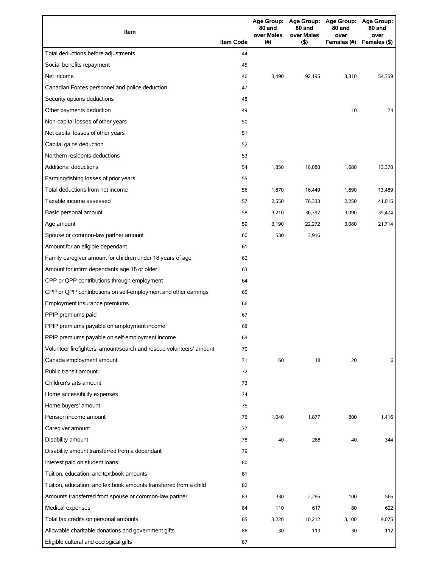| Item                                                                |                  | 80 and<br>over Males | 80 and<br>over Males | Age Group: Age Group: Age Group: Age Group:<br>80 and<br>over | 80 and<br>over |
|---------------------------------------------------------------------|------------------|----------------------|----------------------|---------------------------------------------------------------|----------------|
|                                                                     | <b>Item Code</b> | (#)                  | $($ \$)              | Females (#)                                                   | Females (\$)   |
| Total deductions before adjustments                                 | 44               |                      |                      |                                                               |                |
| Social benefits repayment                                           | 45               |                      |                      |                                                               |                |
| Net income                                                          | 46               | 3,490                | 92,195               | 3,310                                                         | 54,359         |
| Canadian Forces personnel and police deduction                      | 47               |                      |                      |                                                               |                |
| Security options deductions                                         | 48               |                      |                      |                                                               |                |
| Other payments deduction                                            | 49               |                      |                      | 10                                                            | 74             |
| Non-capital losses of other years                                   | 50               |                      |                      |                                                               |                |
| Net capital losses of other years                                   | 51               |                      |                      |                                                               |                |
| Capital gains deduction                                             | 52               |                      |                      |                                                               |                |
| Northern residents deductions                                       | 53               |                      |                      |                                                               |                |
| Additional deductions                                               | 54               | 1,850                | 16,088               | 1,680                                                         | 13,378         |
| Farming/fishing losses of prior years                               | 55               |                      |                      |                                                               |                |
| Total deductions from net income                                    | 56               | 1,870                | 16,449               | 1,690                                                         | 13,489         |
| Taxable income assessed                                             | 57               | 2,550                | 76,333               | 2,250                                                         | 41,015         |
| Basic personal amount                                               | 58               | 3,210                | 36,797               | 3,090                                                         | 35,474         |
| Age amount                                                          | 59               | 3,190                | 22,272               | 3,080                                                         | 21,714         |
| Spouse or common-law partner amount                                 | 60               | 530                  | 3,916                |                                                               |                |
| Amount for an eligible dependant                                    | 61               |                      |                      |                                                               |                |
| Family caregiver amount for children under 18 years of age          | 62               |                      |                      |                                                               |                |
| Amount for infirm dependants age 18 or older                        | 63               |                      |                      |                                                               |                |
| CPP or QPP contributions through employment                         | 64               |                      |                      |                                                               |                |
| CPP or QPP contributions on self-employment and other earnings      | 65               |                      |                      |                                                               |                |
| Employment insurance premiums                                       | 66               |                      |                      |                                                               |                |
| PPIP premiums paid                                                  | 67               |                      |                      |                                                               |                |
| PPIP premiums payable on employment income                          | 68               |                      |                      |                                                               |                |
| PPIP premiums payable on self-employment income                     | 69               |                      |                      |                                                               |                |
| Volunteer firefighters' amount/search and rescue volunteers' amount | 70               |                      |                      |                                                               |                |
| Canada employment amount                                            | 71               | 60                   | 18                   | 20                                                            | 6              |
| Public transit amount                                               | 72               |                      |                      |                                                               |                |
| Children's arts amount                                              | 73               |                      |                      |                                                               |                |
| Home accessibility expenses                                         | 74               |                      |                      |                                                               |                |
| Home buyers' amount                                                 | 75               |                      |                      |                                                               |                |
| Pension income amount                                               | 76               | 1,040                | 1,877                | 800                                                           | 1,416          |
| Caregiver amount                                                    | 77               |                      |                      |                                                               |                |
| Disability amount                                                   | 78               | 40                   | 288                  | 40                                                            | 344            |
| Disability amount transferred from a dependant                      | 79               |                      |                      |                                                               |                |
| Interest paid on student loans                                      | 80               |                      |                      |                                                               |                |
| Tuition, education, and textbook amounts                            | 81               |                      |                      |                                                               |                |
| Tuition, education, and textbook amounts transferred from a child   | 82               |                      |                      |                                                               |                |
| Amounts transferred from spouse or common-law partner               | 83               | 330                  | 2,266                | 100                                                           | 566            |
| Medical expenses                                                    | 84               | 110                  | 617                  | 80                                                            | 622            |
|                                                                     |                  |                      |                      |                                                               |                |
| Total tax credits on personal amounts                               | 85               | 3,220                | 10,212               | 3,100                                                         | 9,075          |
| Allowable charitable donations and government gifts                 | 86               | 30                   | 119                  | 30                                                            | 112            |
| Eligible cultural and ecological gifts                              | 87               |                      |                      |                                                               |                |